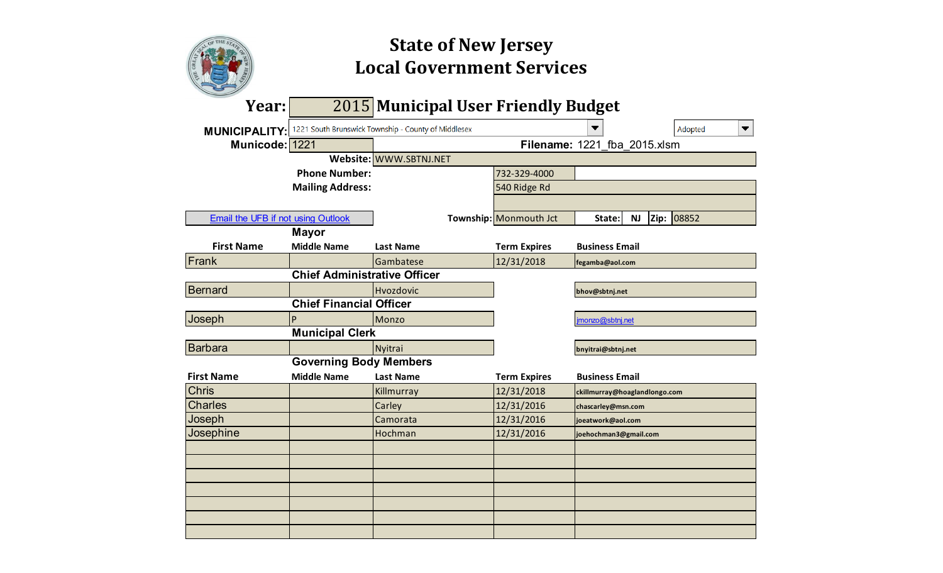|                                           |                                     | <b>State of New Jersey</b><br><b>Local Government Services</b> |                        |                               |            |
|-------------------------------------------|-------------------------------------|----------------------------------------------------------------|------------------------|-------------------------------|------------|
| Year:                                     |                                     | 2015 Municipal User Friendly Budget                            |                        |                               |            |
| <b>MUNICIPALITY:</b>                      |                                     | 1221 South Brunswick Township - County of Middlesex            |                        |                               | Adopted    |
| Municode: 1221                            |                                     |                                                                |                        | Filename: 1221 fba 2015.xlsm  |            |
|                                           |                                     | Website: WWW.SBTNJ.NET                                         |                        |                               |            |
|                                           | <b>Phone Number:</b>                |                                                                | 732-329-4000           |                               |            |
|                                           | <b>Mailing Address:</b>             |                                                                | 540 Ridge Rd           |                               |            |
|                                           |                                     |                                                                |                        |                               |            |
| <b>Email the UFB if not using Outlook</b> |                                     |                                                                | Township: Monmouth Jct | <b>NJ</b><br>State:           | Zip: 08852 |
|                                           | <b>Mayor</b>                        |                                                                |                        |                               |            |
| <b>First Name</b>                         | <b>Middle Name</b>                  | <b>Last Name</b>                                               | <b>Term Expires</b>    | <b>Business Email</b>         |            |
| Frank                                     |                                     | Gambatese                                                      | 12/31/2018             | fegamba@aol.com               |            |
|                                           | <b>Chief Administrative Officer</b> |                                                                |                        |                               |            |
| <b>Bernard</b>                            |                                     | <b>Hvozdovic</b>                                               |                        | bhov@sbtnj.net                |            |
|                                           | <b>Chief Financial Officer</b>      |                                                                |                        |                               |            |
| Joseph                                    | P                                   | Monzo                                                          |                        | jmonzo@sbtnj.net              |            |
|                                           | <b>Municipal Clerk</b>              |                                                                |                        |                               |            |
| <b>Barbara</b>                            |                                     | Nyitrai                                                        |                        | bnyitrai@sbtnj.net            |            |
|                                           | <b>Governing Body Members</b>       |                                                                |                        |                               |            |
| <b>First Name</b>                         | <b>Middle Name</b>                  | <b>Last Name</b>                                               | <b>Term Expires</b>    | <b>Business Email</b>         |            |
| <b>Chris</b>                              |                                     | Killmurray                                                     | 12/31/2018             | ckillmurray@hoaglandlongo.com |            |
| <b>Charles</b>                            |                                     | Carley                                                         | 12/31/2016             | chascarley@msn.com            |            |
| Joseph                                    |                                     | Camorata                                                       | 12/31/2016             | joeatwork@aol.com             |            |
| Josephine                                 |                                     | Hochman                                                        | 12/31/2016             | joehochman3@gmail.com         |            |
|                                           |                                     |                                                                |                        |                               |            |
|                                           |                                     |                                                                |                        |                               |            |
|                                           |                                     |                                                                |                        |                               |            |
|                                           |                                     |                                                                |                        |                               |            |
|                                           |                                     |                                                                |                        |                               |            |
|                                           |                                     |                                                                |                        |                               |            |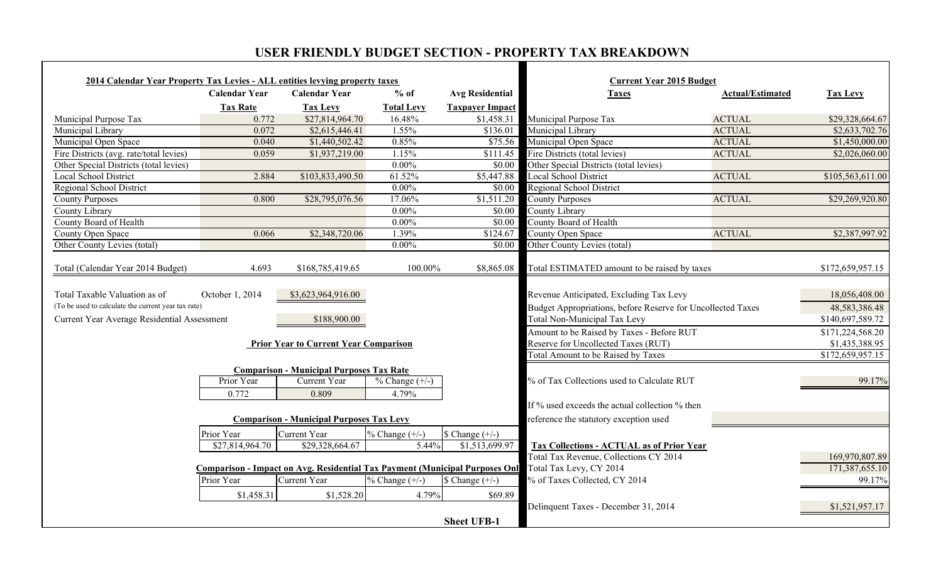### **USER FRIENDLY BUDGET SECTION - PROPERTY TAX BREAKDOWN**

| 2014 Calendar Year Property Tax Levies - ALL entities levying property taxes |                      |                                                                             |                     |                           | <b>Current Year 2015 Budget</b>                             |                         |                  |
|------------------------------------------------------------------------------|----------------------|-----------------------------------------------------------------------------|---------------------|---------------------------|-------------------------------------------------------------|-------------------------|------------------|
|                                                                              | <b>Calendar Year</b> | <b>Calendar Year</b>                                                        | $%$ of              | <b>Avg Residential</b>    | <b>Taxes</b>                                                | <b>Actual/Estimated</b> | <b>Tax Levy</b>  |
|                                                                              | <b>Tax Rate</b>      | <b>Tax Levy</b>                                                             | <b>Total Levy</b>   | <b>Taxpayer Impact</b>    |                                                             |                         |                  |
| Municipal Purpose Tax                                                        | 0.772                | \$27,814,964.70                                                             | 16.48%              | \$1,458.31                | Municipal Purpose Tax                                       | <b>ACTUAL</b>           | \$29,328,664.67  |
| Municipal Library                                                            | 0.072                | \$2,615,446.41                                                              | 1.55%               | \$136.01                  | Municipal Library                                           | <b>ACTUAL</b>           | \$2,633,702.76   |
| Municipal Open Space                                                         | 0.040                | \$1,440,502.42                                                              | 0.85%               | \$75.56                   | Municipal Open Space                                        | <b>ACTUAL</b>           | \$1,450,000.00   |
| Fire Districts (avg. rate/total levies)                                      | 0.059                | \$1,937,219.00                                                              | 1.15%               | $\overline{$}111.45$      | Fire Districts (total levies)                               | <b>ACTUAL</b>           | \$2,026,060.00   |
| Other Special Districts (total levies)                                       |                      |                                                                             | $0.00\%$            | \$0.00                    | Other Special Districts (total levies)                      |                         |                  |
| <b>Local School District</b>                                                 | 2.884                | \$103,833,490.50                                                            | 61.52%              | \$5,447.88                | <b>Local School District</b>                                | <b>ACTUAL</b>           | \$105,563,611.00 |
| Regional School District                                                     |                      |                                                                             | $0.00\%$            | \$0.00                    | <b>Regional School District</b>                             |                         |                  |
| <b>County Purposes</b>                                                       | 0.800                | \$28,795,076.56                                                             | 17.06%              | \$1,511.20                | <b>County Purposes</b>                                      | <b>ACTUAL</b>           | \$29,269,920.80  |
| County Library                                                               |                      |                                                                             | $0.00\%$            | \$0.00                    | County Library                                              |                         |                  |
| County Board of Health                                                       |                      |                                                                             | $0.00\%$            | \$0.00                    | County Board of Health                                      |                         |                  |
| County Open Space                                                            | 0.066                | \$2,348,720.06                                                              | 1.39%               | \$124.67                  | County Open Space                                           | <b>ACTUAL</b>           | \$2,387,997.92   |
| Other County Levies (total)                                                  |                      |                                                                             | $0.00\%$            | \$0.00                    | Other County Levies (total)                                 |                         |                  |
| Total (Calendar Year 2014 Budget)                                            | 4.693                | \$168,785,419.65                                                            | 100.00%             | \$8,865.08                | Total ESTIMATED amount to be raised by taxes                |                         | \$172,659,957.15 |
| Total Taxable Valuation as of                                                | October 1, 2014      | \$3,623,964,916.00                                                          |                     |                           | Revenue Anticipated, Excluding Tax Levy                     |                         | 18,056,408.00    |
| (To be used to calculate the current year tax rate)                          |                      |                                                                             |                     |                           | Budget Appropriations, before Reserve for Uncollected Taxes |                         | 48, 583, 386. 48 |
| Current Year Average Residential Assessment                                  |                      | \$188,900.00                                                                |                     |                           | Total Non-Municipal Tax Levy                                |                         | \$140,697,589.72 |
|                                                                              |                      |                                                                             |                     |                           | Amount to be Raised by Taxes - Before RUT                   |                         | \$171,224,568.20 |
|                                                                              |                      | <b>Prior Year to Current Year Comparison</b>                                |                     |                           | Reserve for Uncollected Taxes (RUT)                         |                         | \$1,435,388.95   |
|                                                                              |                      |                                                                             |                     |                           | Total Amount to be Raised by Taxes                          |                         | \$172,659,957.15 |
|                                                                              |                      |                                                                             |                     |                           |                                                             |                         |                  |
|                                                                              | Prior Year           | <b>Comparison - Municipal Purposes Tax Rate</b><br><b>Current Year</b>      |                     |                           | % of Tax Collections used to Calculate RUT                  |                         | 99.17%           |
|                                                                              |                      |                                                                             | $\%$ Change $(+/-)$ |                           |                                                             |                         |                  |
|                                                                              | 0.772                | 0.809                                                                       | 4.79%               |                           |                                                             |                         |                  |
|                                                                              |                      |                                                                             |                     |                           | If % used exceeds the actual collection % then              |                         |                  |
|                                                                              |                      | <b>Comparison - Municipal Purposes Tax Levy</b>                             |                     |                           | reference the statutory exception used                      |                         |                  |
|                                                                              | Prior Year           | <b>Current Year</b>                                                         | $% Change (+/-)$    | $$ Change (+/-)$          |                                                             |                         |                  |
|                                                                              | \$27,814,964.70      | \$29,328,664.67                                                             | 5.44%               | \$1,513,699.97            | <b>Tax Collections - ACTUAL as of Prior Year</b>            |                         |                  |
|                                                                              |                      |                                                                             |                     |                           | Total Tax Revenue, Collections CY 2014                      |                         | 169,970,807.89   |
|                                                                              |                      | Comparison - Impact on Avg. Residential Tax Payment (Municipal Purposes Onl |                     |                           | Total Tax Levy, CY 2014                                     |                         | 171,387,655.10   |
|                                                                              | Prior Year           | <b>Current Year</b>                                                         | $% Change (+/-)$    | $\text{\$ Change } (+/-)$ | % of Taxes Collected, CY 2014                               |                         | 99.17%           |
|                                                                              | \$1,458.31           | \$1,528.20                                                                  | 4.79%               | \$69.89                   |                                                             |                         |                  |
|                                                                              |                      |                                                                             |                     |                           | Delinquent Taxes - December 31, 2014                        |                         | \$1,521,957.17   |
|                                                                              |                      |                                                                             |                     |                           |                                                             |                         |                  |
|                                                                              |                      |                                                                             |                     | <b>Sheet UFB-1</b>        |                                                             |                         |                  |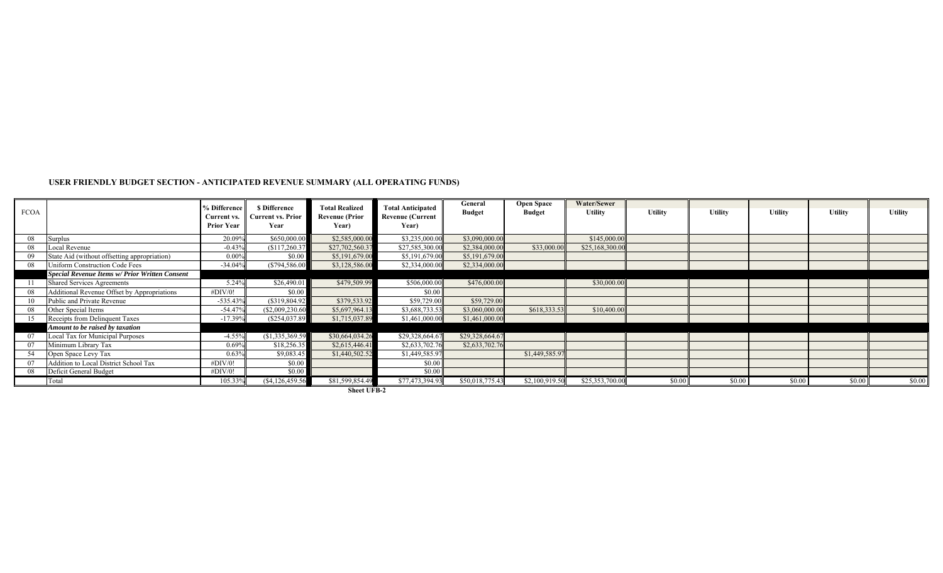#### **USER FRIENDLY BUDGET SECTION - ANTICIPATED REVENUE SUMMARY (ALL OPERATING FUNDS)**

| <b>FCOA</b> |                                                       | % Difference<br>Current vs.<br><b>Prior Year</b> | <b>S</b> Difference<br><b>Current vs. Prior</b><br>Year | <b>Total Realized</b><br><b>Revenue (Prior</b><br>Year) | <b>Total Anticipated</b><br><b>Revenue (Current</b><br>Year) | General<br><b>Budget</b> | <b>Open Space</b><br><b>Budget</b> | Water/Sewer<br><b>Utility</b> | <b>Utility</b> | <b>Utility</b> | <b>Utility</b> | <b>Utility</b> | <b>Utility</b> |
|-------------|-------------------------------------------------------|--------------------------------------------------|---------------------------------------------------------|---------------------------------------------------------|--------------------------------------------------------------|--------------------------|------------------------------------|-------------------------------|----------------|----------------|----------------|----------------|----------------|
| 08          | Surplus                                               | 20.09%                                           | \$650,000.00                                            | \$2,585,000.00                                          | \$3,235,000.00                                               | \$3,090,000.00           |                                    | \$145,000.00                  |                |                |                |                |                |
| 08          | Local Revenue                                         | $-0.43%$                                         | \$117,260.37                                            | \$27,702,560.37                                         | \$27,585,300.00                                              | \$2,384,000.00           | \$33,000.00                        | \$25,168,300.00               |                |                |                |                |                |
| 09          | State Aid (without offsetting appropriation)          | 0.00%                                            | \$0.00                                                  | \$5,191,679.00                                          | \$5,191,679.00                                               | \$5,191,679.00           |                                    |                               |                |                |                |                |                |
| 08          | <b>Uniform Construction Code Fees</b>                 | $-34.04%$                                        | (\$794,586.00)                                          | \$3,128,586.00                                          | \$2,334,000.00                                               | \$2,334,000.00           |                                    |                               |                |                |                |                |                |
|             | <b>Special Revenue Items w/ Prior Written Consent</b> |                                                  |                                                         |                                                         |                                                              |                          |                                    |                               |                |                |                |                |                |
|             | <b>Shared Services Agreements</b>                     | 5.24%                                            | \$26,490.01                                             | \$479,509.99                                            | \$506,000.00                                                 | \$476,000.00             |                                    | \$30,000.00                   |                |                |                |                |                |
| 08          | Additional Revenue Offset by Appropriations           | #DIV/0!                                          | \$0.00                                                  |                                                         | \$0.00                                                       |                          |                                    |                               |                |                |                |                |                |
| 10          | Public and Private Revenue                            | $-535.439$                                       | (\$319,804.92)                                          | \$379,533.92                                            | \$59,729.00                                                  | \$59,729.00              |                                    |                               |                |                |                |                |                |
| 08          | Other Special Items                                   | $-54.47%$                                        | (\$2,009,230.60                                         | \$5,697,964.1                                           | \$3,688,733.53                                               | \$3,060,000.00           | \$618,333.53                       | \$10,400.00                   |                |                |                |                |                |
| 15          | Receipts from Delinquent Taxes                        | $-17.39%$                                        | (\$254,037.89)                                          | \$1,715,037.89                                          | \$1,461,000.00                                               | \$1,461,000.00           |                                    |                               |                |                |                |                |                |
|             | Amount to be raised by taxation                       |                                                  |                                                         |                                                         |                                                              |                          |                                    |                               |                |                |                |                |                |
|             | <b>Local Tax for Municipal Purposes</b>               | $-4.55%$                                         | \$1,335,369.59                                          | \$30,664,034.26                                         | \$29,328,664.67                                              | \$29,328,664.67          |                                    |                               |                |                |                |                |                |
|             | Minimum Library Tax                                   | 0.69%                                            | \$18,256.35                                             | \$2,615,446.41                                          | \$2,633,702.76                                               | \$2,633,702.76           |                                    |                               |                |                |                |                |                |
| 54          | Open Space Levy Tax                                   | 0.63%                                            | \$9,083.4                                               | \$1,440,502.52                                          | \$1,449,585.97                                               |                          | \$1,449,585.97                     |                               |                |                |                |                |                |
| 07          | Addition to Local District School Tax                 | #DIV/0!                                          | \$0.00                                                  |                                                         | \$0.00                                                       |                          |                                    |                               |                |                |                |                |                |
| 08          | Deficit General Budget                                | #DIV/0!                                          | \$0.00                                                  |                                                         | \$0.00                                                       |                          |                                    |                               |                |                |                |                |                |
|             | Total                                                 | 105.33%                                          | $($4,126,459)$ .                                        | \$81,599,854.49                                         | \$77,473,394.93                                              | \$50,018,775.43          | \$2,100,919.50                     | \$25,353,700.00               | \$0.00         | \$0.00         | \$0.00         | \$0.00         | \$0.00         |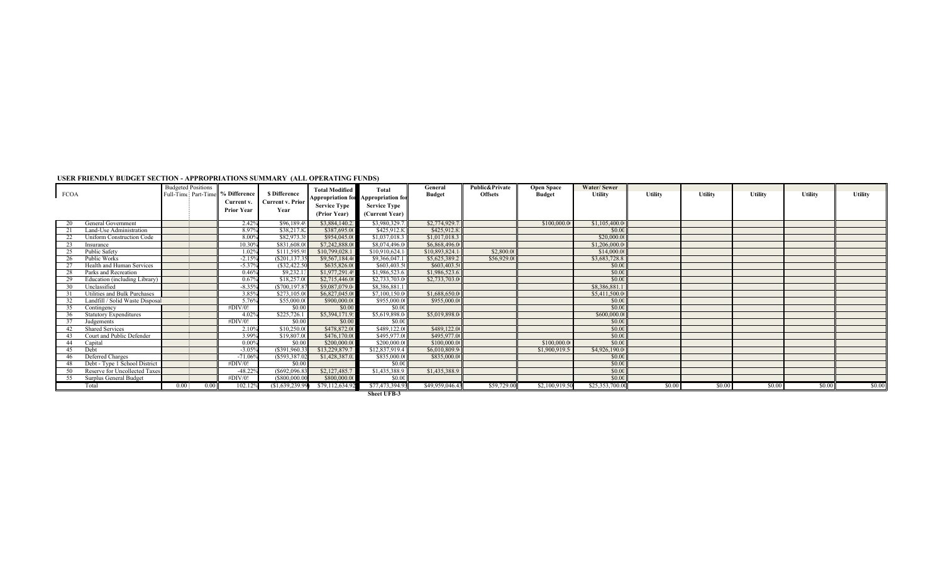#### **USER FRIENDLY BUDGET SECTION - APPROPRIATIONS SUMMARY (ALL OPERATING FUNDS)**

| FCOA |                                  | <b>Budgeted Positions</b><br>Full-Time Part-Time % Difference | Current v.<br><b>Prior Year</b> | <b>S</b> Difference<br><b>Current v. Prior</b><br>Year | <b>Total Modified</b><br><b>Service Type</b><br>(Prior Year) | Total<br><b>Appropriation for Appropriation for</b><br><b>Service Type</b><br>(Current Year) | General<br><b>Budget</b> | <b>Public&amp;Private</b><br><b>Offsets</b> | <b>Open Space</b><br><b>Budget</b> | Water/Sewer<br><b>Utility</b> | <b>Utility</b> | <b>Utility</b> | <b>Utility</b> | <b>Utility</b> | <b>Utility</b> |
|------|----------------------------------|---------------------------------------------------------------|---------------------------------|--------------------------------------------------------|--------------------------------------------------------------|----------------------------------------------------------------------------------------------|--------------------------|---------------------------------------------|------------------------------------|-------------------------------|----------------|----------------|----------------|----------------|----------------|
| 20   | General Government               |                                                               | 2.42%                           | \$96,189.4                                             | \$3,884,140.2                                                | \$3,980,329.                                                                                 | \$2,774,929.7            |                                             | \$100,000.00                       | \$1,105,400.0                 |                |                |                |                |                |
|      | Land-Use Administration          |                                                               | 8.97%                           | \$38.217.                                              | \$387,695.00                                                 | \$425,912.8                                                                                  | \$425,912.82             |                                             |                                    | \$0.00                        |                |                |                |                |                |
|      | <b>Uniform Construction Code</b> |                                                               | 8.00%                           | \$82,973.3                                             | \$954,045.00                                                 | \$1,037,018.3                                                                                | \$1,017,018.3            |                                             |                                    | \$20,000,0                    |                |                |                |                |                |
| 23   | Insurance                        |                                                               | 10.30%                          | \$831,608.                                             | \$7,242,888.0                                                | \$8,074,496.0                                                                                | \$6,868,496.0            |                                             |                                    | \$1,206,000.0                 |                |                |                |                |                |
| 25   | <b>Public Safety</b>             |                                                               | 1.02%                           | \$111,595.                                             | \$10,799,028.1                                               | \$10,910,624.1                                                                               | \$10,893,824.            | \$2,800.00                                  |                                    | \$14,000.0                    |                |                |                |                |                |
| 26   | Public Works                     |                                                               | $-2.15%$                        | (S201, 137.35)                                         | \$9,567,184.4                                                | \$9,366,047.1                                                                                | \$5,625,389.2            | \$56,929.00                                 |                                    | \$3,683,728.8                 |                |                |                |                |                |
|      | Health and Human Services        |                                                               | $-5.37%$                        | (\$32,422.50                                           | \$635,826.00                                                 | \$603,403.50                                                                                 | \$603,403.50             |                                             |                                    | \$0.00                        |                |                |                |                |                |
| 28   | Parks and Recreation             |                                                               | 0.46%                           | \$9,232.1                                              | \$1,977,291.4                                                | \$1,986,523.6                                                                                | \$1,986,523.6            |                                             |                                    | \$0.00                        |                |                |                |                |                |
|      | Education (including Library)    |                                                               | 0.67%                           | \$18,257.00                                            | \$2,715,446.0                                                | \$2,733,703.0                                                                                | \$2,733,703.0            |                                             |                                    | \$0.00                        |                |                |                |                |                |
| -30  | Unclassified                     |                                                               | $-8.35%$                        | (\$700,197.87                                          | \$9,087,079.0                                                | \$8,386,881.1                                                                                |                          |                                             |                                    | \$8,386,881.1                 |                |                |                |                |                |
|      | Utilities and Bulk Purchases     |                                                               | 3.85%                           | \$273,105.00                                           | \$6,827,045.0                                                | \$7.100.150.0                                                                                | \$1,688,650.0            |                                             |                                    | \$5,411,500.0                 |                |                |                |                |                |
|      | Landfill / Solid Waste Disposal  |                                                               | 5.76%                           | \$55,000.0                                             | \$900,000.00                                                 | \$955,000.00                                                                                 | \$955,000.00             |                                             |                                    | \$0.00                        |                |                |                |                |                |
| 35   | Contingency                      |                                                               | #DIV/0!                         | \$0.00                                                 | \$0.00                                                       | \$0.00                                                                                       |                          |                                             |                                    | \$0.00                        |                |                |                |                |                |
| -36  | <b>Statutory Expenditures</b>    |                                                               | 4.02%                           | \$225,726.1                                            | \$5,394,171.9                                                | \$5,619,898.0                                                                                | \$5,019,898.0            |                                             |                                    | \$600,000,0                   |                |                |                |                |                |
|      | Judgements                       |                                                               | #DIV/0!                         | \$0.00                                                 | \$0.00                                                       | \$0.00                                                                                       |                          |                                             |                                    | \$0.00                        |                |                |                |                |                |
|      | <b>Shared Services</b>           |                                                               | 2.10%                           | \$10,250.0                                             | \$478,872.00                                                 | \$489,122.0                                                                                  | \$489,122.00             |                                             |                                    | \$0.00                        |                |                |                |                |                |
|      | Court and Public Defender        |                                                               | 3.99%                           | \$19,807.0                                             | \$476,170.00                                                 | \$495,977.0                                                                                  | \$495,977.00             |                                             |                                    | \$0.00                        |                |                |                |                |                |
| -44  | Capital                          |                                                               | 0.00%                           | \$0.00                                                 | \$200,000.00                                                 | \$200,000.00                                                                                 | \$100,000.0              |                                             | \$100,000.00                       | \$000                         |                |                |                |                |                |
| -45  | Debt                             |                                                               | $-3.05%$                        | (S391,960.3)                                           | \$13,229,879.7                                               | \$12,837,919.4                                                                               | \$6,010,809.9            |                                             | \$1,900.919.5                      | \$4,926,190.0                 |                |                |                |                |                |
| 46   | Deferred Charges                 |                                                               | $-71.06%$                       | (S593, 387.0)                                          | \$1,428,387.0                                                | \$835,000.0                                                                                  | \$835,000.0              |                                             |                                    | \$0.00                        |                |                |                |                |                |
| -48  | Debt - Type 1 School District    |                                                               | #DIV/0!                         | \$0.00                                                 |                                                              | \$0.00                                                                                       |                          |                                             |                                    | \$0.00                        |                |                |                |                |                |
| -50  | Reserve for Uncollected Taxes    |                                                               | $-48.22%$                       | (S692,096.                                             | \$2,127,485.7                                                | \$1,435,388.9                                                                                | \$1,435,388.9            |                                             |                                    | \$0.00                        |                |                |                |                |                |
| -55  | Surplus General Budget           |                                                               | #DIV/0!                         | (\$800,000.00                                          | \$800,000.00                                                 | \$0.00                                                                                       |                          |                                             |                                    | \$0.00                        |                |                |                |                |                |
|      | Total                            | 0.00<br>0.00                                                  | 102.12%                         | (S1, 639, 239.99)                                      | \$79,112,634.92                                              | \$77,473,394.93<br>$Choot IFD 3$                                                             | \$49,959,046.43          | \$59,729.00                                 | \$2,100,919.50                     | \$25,353,700.0                | \$0.00         | \$0.00         | \$0.00         | \$0.00         | \$0.00         |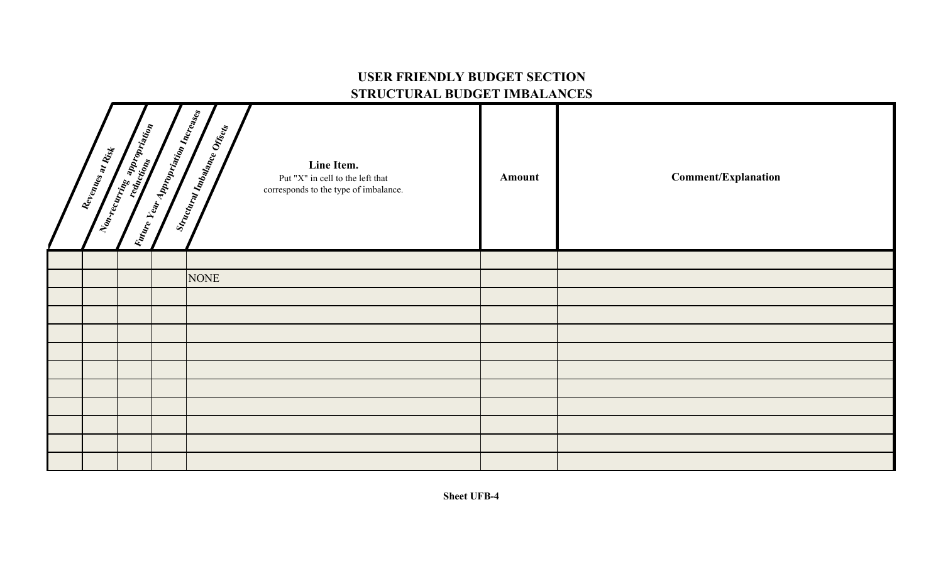## **USER FRIENDLY BUDGET SECTION STRUCTURAL BUDGET IMBALANCES**

| Vidare Vear Appropriation Increases<br><b>Representation Contract Contract Contract Contract Contract Contract Contract Contract Contract Contract Contract Contract Contract Contract Contract Contract Contract Contract Contract Contract Contract Contract Contract</b><br>Revenues at Rist | Structural Imbalance Offices<br>Line Item.<br>Put "X" in cell to the left that<br>corresponds to the type of imbalance. | Amount | <b>Comment/Explanation</b> |
|-------------------------------------------------------------------------------------------------------------------------------------------------------------------------------------------------------------------------------------------------------------------------------------------------|-------------------------------------------------------------------------------------------------------------------------|--------|----------------------------|
|                                                                                                                                                                                                                                                                                                 |                                                                                                                         |        |                            |
|                                                                                                                                                                                                                                                                                                 | <b>NONE</b>                                                                                                             |        |                            |
|                                                                                                                                                                                                                                                                                                 |                                                                                                                         |        |                            |
|                                                                                                                                                                                                                                                                                                 |                                                                                                                         |        |                            |
|                                                                                                                                                                                                                                                                                                 |                                                                                                                         |        |                            |
|                                                                                                                                                                                                                                                                                                 |                                                                                                                         |        |                            |
|                                                                                                                                                                                                                                                                                                 |                                                                                                                         |        |                            |
|                                                                                                                                                                                                                                                                                                 |                                                                                                                         |        |                            |
|                                                                                                                                                                                                                                                                                                 |                                                                                                                         |        |                            |
|                                                                                                                                                                                                                                                                                                 |                                                                                                                         |        |                            |
|                                                                                                                                                                                                                                                                                                 |                                                                                                                         |        |                            |
|                                                                                                                                                                                                                                                                                                 |                                                                                                                         |        |                            |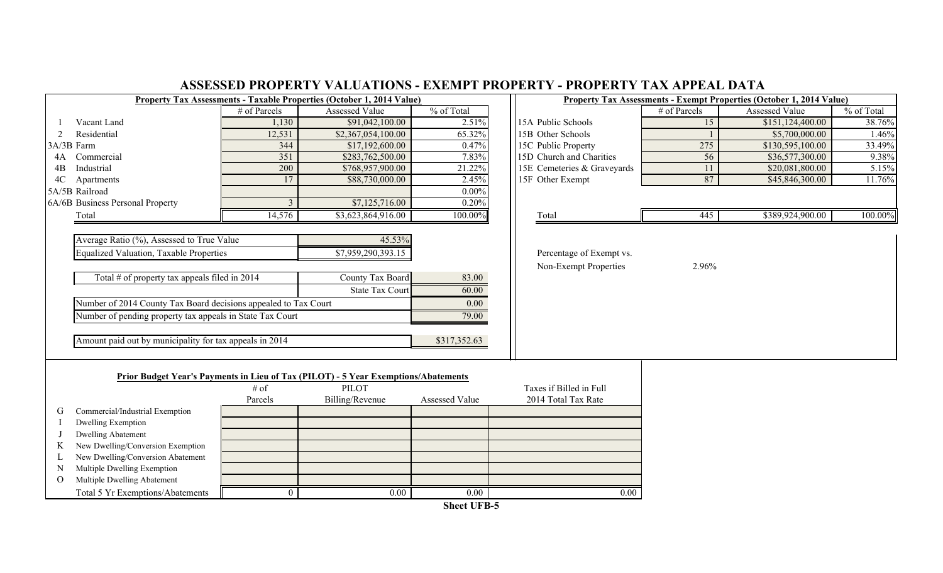|                                                                     |                |                                                                                             |                    | ASSESSED PROPERTY VALUATIONS - EXEMPT PROPERTY - PROPERTY TAX APPEAL DATA |              |                                                                             |            |
|---------------------------------------------------------------------|----------------|---------------------------------------------------------------------------------------------|--------------------|---------------------------------------------------------------------------|--------------|-----------------------------------------------------------------------------|------------|
|                                                                     |                | <b>Property Tax Assessments - Taxable Properties (October 1, 2014 Value)</b>                |                    |                                                                           |              | <b>Property Tax Assessments - Exempt Properties (October 1, 2014 Value)</b> |            |
|                                                                     | # of Parcels   | <b>Assessed Value</b>                                                                       | % of Total         |                                                                           | # of Parcels | Assessed Value                                                              | % of Total |
| Vacant Land                                                         | 1,130          | \$91,042,100.00                                                                             | 2.51%              | 15A Public Schools                                                        | 15           | \$151,124,400.00                                                            | 38.76%     |
| Residential<br>2                                                    | 12,531         | \$2,367,054,100.00                                                                          | 65.32%             | 15B Other Schools                                                         |              | \$5,700,000.00                                                              | 1.46%      |
| 3A/3B Farm                                                          | 344            | \$17,192,600.00                                                                             | 0.47%              | 15C Public Property                                                       | 275          | \$130,595,100.00                                                            | 33.49%     |
| Commercial<br>4A                                                    | 351            | \$283,762,500.00                                                                            | 7.83%              | 15D Church and Charities                                                  | 56           | \$36,577,300.00                                                             | 9.38%      |
| Industrial<br>4B                                                    | 200            | \$768,957,900.00                                                                            | 21.22%             | 15E Cemeteries & Graveyards                                               | 11           | \$20,081,800.00                                                             | 5.15%      |
| 4C<br>Apartments                                                    | 17             | \$88,730,000.00                                                                             | 2.45%              | 15F Other Exempt                                                          | 87           | \$45,846,300.00                                                             | 11.76%     |
| 5A/5B Railroad                                                      |                |                                                                                             | $0.00\%$           |                                                                           |              |                                                                             |            |
| 6A/6B Business Personal Property                                    | $\mathfrak{Z}$ | \$7,125,716.00                                                                              | 0.20%              |                                                                           |              |                                                                             |            |
| Total                                                               | 14,576         | \$3,623,864,916.00                                                                          | 100.00%            | Total                                                                     | 445          | \$389,924,900.00                                                            | 100.00%    |
|                                                                     |                |                                                                                             |                    |                                                                           |              |                                                                             |            |
| Average Ratio (%), Assessed to True Value                           |                | 45.53%                                                                                      |                    |                                                                           |              |                                                                             |            |
| <b>Equalized Valuation, Taxable Properties</b>                      |                | \$7,959,290,393.15                                                                          |                    | Percentage of Exempt vs.                                                  |              |                                                                             |            |
|                                                                     |                |                                                                                             |                    | Non-Exempt Properties                                                     | 2.96%        |                                                                             |            |
| Total # of property tax appeals filed in $2014$<br>County Tax Board |                |                                                                                             | 83.00              |                                                                           |              |                                                                             |            |
|                                                                     |                | <b>State Tax Court</b>                                                                      | 60.00              |                                                                           |              |                                                                             |            |
| Number of 2014 County Tax Board decisions appealed to Tax Court     |                |                                                                                             | 0.00               |                                                                           |              |                                                                             |            |
| Number of pending property tax appeals in State Tax Court           |                |                                                                                             | 79.00              |                                                                           |              |                                                                             |            |
|                                                                     |                |                                                                                             |                    |                                                                           |              |                                                                             |            |
| Amount paid out by municipality for tax appeals in 2014             |                |                                                                                             | \$317,352.63       |                                                                           |              |                                                                             |            |
|                                                                     |                |                                                                                             |                    |                                                                           |              |                                                                             |            |
|                                                                     |                |                                                                                             |                    |                                                                           |              |                                                                             |            |
|                                                                     | $#$ of         | Prior Budget Year's Payments in Lieu of Tax (PILOT) - 5 Year Exemptions/Abatements<br>PILOT |                    | Taxes if Billed in Full                                                   |              |                                                                             |            |
|                                                                     | Parcels        | Billing/Revenue                                                                             | Assessed Value     | 2014 Total Tax Rate                                                       |              |                                                                             |            |
| Commercial/Industrial Exemption<br>G                                |                |                                                                                             |                    |                                                                           |              |                                                                             |            |
| <b>Dwelling Exemption</b>                                           |                |                                                                                             |                    |                                                                           |              |                                                                             |            |
| <b>Dwelling Abatement</b>                                           |                |                                                                                             |                    |                                                                           |              |                                                                             |            |
| New Dwelling/Conversion Exemption<br>K                              |                |                                                                                             |                    |                                                                           |              |                                                                             |            |
| New Dwelling/Conversion Abatement                                   |                |                                                                                             |                    |                                                                           |              |                                                                             |            |
| Multiple Dwelling Exemption<br>N                                    |                |                                                                                             |                    |                                                                           |              |                                                                             |            |
| Multiple Dwelling Abatement<br>$\Omega$                             |                |                                                                                             |                    |                                                                           |              |                                                                             |            |
| Total 5 Yr Exemptions/Abatements                                    | $\theta$       | $\overline{0.00}$                                                                           | $\overline{0.00}$  | 0.00                                                                      |              |                                                                             |            |
|                                                                     |                |                                                                                             | <b>Sheet UFB-5</b> |                                                                           |              |                                                                             |            |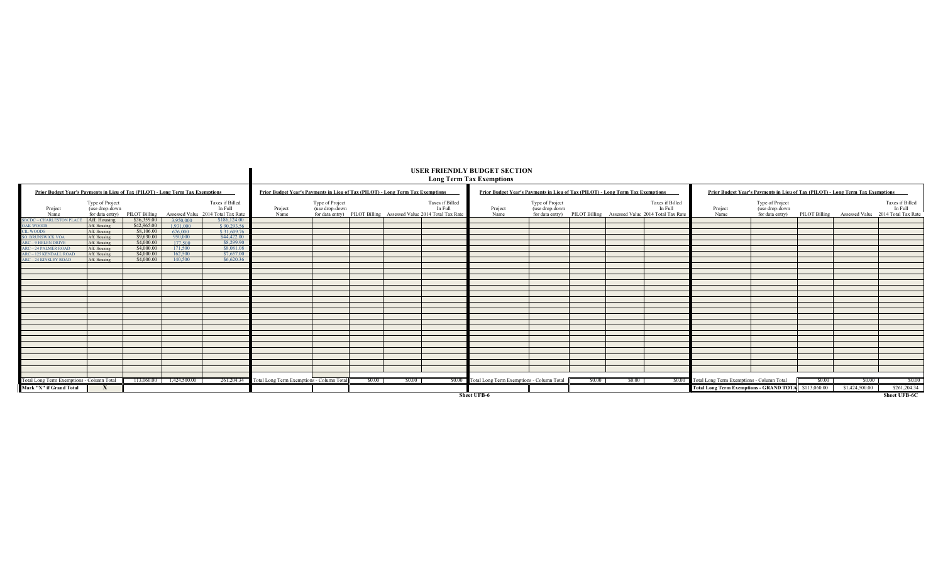|                                                                                |                                   |             |                         |                                                                                                |                                                                                |                                   |        |        |                                                                                                | USER FRIENDLY BUDGET SECTION<br><b>Long Term Tax Exemptions</b> |                                                                                |         |       |                                                                                                |                                                                     |                                                                                |       |                                                  |                            |
|--------------------------------------------------------------------------------|-----------------------------------|-------------|-------------------------|------------------------------------------------------------------------------------------------|--------------------------------------------------------------------------------|-----------------------------------|--------|--------|------------------------------------------------------------------------------------------------|-----------------------------------------------------------------|--------------------------------------------------------------------------------|---------|-------|------------------------------------------------------------------------------------------------|---------------------------------------------------------------------|--------------------------------------------------------------------------------|-------|--------------------------------------------------|----------------------------|
| Prior Budget Year's Payments in Lieu of Tax (PILOT) - Long Term Tax Exemptions |                                   |             |                         |                                                                                                | Prior Budget Year's Payments in Lieu of Tax (PILOT) - Long Term Tax Exemptions |                                   |        |        |                                                                                                |                                                                 | Prior Budget Year's Payments in Lieu of Tax (PILOT) - Long Term Tax Exemptions |         |       |                                                                                                |                                                                     | Prior Budget Year's Payments in Lieu of Tax (PILOT) - Long Term Tax Exemptions |       |                                                  |                            |
| Project<br>Name                                                                | Type of Project<br>(use drop-down |             |                         | Taxes if Billed<br>In Full<br>for data entry) PILOT Billing Assessed Value 2014 Total Tax Rate | Project<br>Name                                                                | Type of Project<br>(use drop-down |        |        | Taxes if Billed<br>In Full<br>for data entry) PILOT Billing Assessed Value 2014 Total Tax Rate | Project<br>Name                                                 | Type of Project<br>(use drop-down                                              |         |       | Taxes if Billed<br>In Full<br>for data entry) PILOT Billing Assessed Value 2014 Total Tax Rate | Project<br>Name                                                     | Type of Project<br>(use drop-down<br>for data entry)                           |       | PILOT Billing Assessed Value 2014 Total Tax Rate | Taxes if Billed<br>In Full |
| <b>BCDC - CHARLESTON PLACE</b>                                                 | Aff. Housing                      | \$36,359.00 | 3 950 000               | \$186,124,00                                                                                   |                                                                                |                                   |        |        |                                                                                                |                                                                 |                                                                                |         |       |                                                                                                |                                                                     |                                                                                |       |                                                  |                            |
| <b>OAK WOODS</b>                                                               | Aff. Housing                      | \$42,965.00 | 1 931 000               | \$90 293 56                                                                                    |                                                                                |                                   |        |        |                                                                                                |                                                                 |                                                                                |         |       |                                                                                                |                                                                     |                                                                                |       |                                                  |                            |
| <b>CIL WOODS</b>                                                               | Aff. Housing                      | \$8 106 00  | 676,000                 | \$316097                                                                                       |                                                                                |                                   |        |        |                                                                                                |                                                                 |                                                                                |         |       |                                                                                                |                                                                     |                                                                                |       |                                                  |                            |
| <b>SO. BRUNSWICK VOA</b>                                                       | Aff. Housing                      | \$9,630,00  | 950,000                 | \$44,422.00                                                                                    |                                                                                |                                   |        |        |                                                                                                |                                                                 |                                                                                |         |       |                                                                                                |                                                                     |                                                                                |       |                                                  |                            |
| ARC - 9 HELEN DRIVE                                                            | Aff. Housing                      | \$4,000.00  | 177.500                 | \$8 299 90                                                                                     |                                                                                |                                   |        |        |                                                                                                |                                                                 |                                                                                |         |       |                                                                                                |                                                                     |                                                                                |       |                                                  |                            |
| <b>ARC-24 PALMER ROAD</b>                                                      | Aff. Housing                      | \$4,000.00  | 171.500                 | \$8,081.08                                                                                     |                                                                                |                                   |        |        |                                                                                                |                                                                 |                                                                                |         |       |                                                                                                |                                                                     |                                                                                |       |                                                  |                            |
| ARC - 125 KENDALL ROAD                                                         | Aff. Housing                      | \$400000    | 162,500                 | \$7,657,00                                                                                     |                                                                                |                                   |        |        |                                                                                                |                                                                 |                                                                                |         |       |                                                                                                |                                                                     |                                                                                |       |                                                  |                            |
| ARC - 24 KINSLEY ROAD                                                          | Aff. Housing                      | \$4,000.00  | 140 500                 | \$6,620.36                                                                                     |                                                                                |                                   |        |        |                                                                                                |                                                                 |                                                                                |         |       |                                                                                                |                                                                     |                                                                                |       |                                                  |                            |
|                                                                                |                                   |             |                         |                                                                                                |                                                                                |                                   |        |        |                                                                                                |                                                                 |                                                                                |         |       |                                                                                                |                                                                     |                                                                                |       |                                                  |                            |
|                                                                                |                                   |             |                         |                                                                                                |                                                                                |                                   |        |        |                                                                                                |                                                                 |                                                                                |         |       |                                                                                                |                                                                     |                                                                                |       |                                                  |                            |
|                                                                                |                                   |             |                         |                                                                                                |                                                                                |                                   |        |        |                                                                                                |                                                                 |                                                                                |         |       |                                                                                                |                                                                     |                                                                                |       |                                                  |                            |
|                                                                                |                                   |             |                         |                                                                                                |                                                                                |                                   |        |        |                                                                                                |                                                                 |                                                                                |         |       |                                                                                                |                                                                     |                                                                                |       |                                                  |                            |
|                                                                                |                                   |             |                         |                                                                                                |                                                                                |                                   |        |        |                                                                                                |                                                                 |                                                                                |         |       |                                                                                                |                                                                     |                                                                                |       |                                                  |                            |
|                                                                                |                                   |             |                         |                                                                                                |                                                                                |                                   |        |        |                                                                                                |                                                                 |                                                                                |         |       |                                                                                                |                                                                     |                                                                                |       |                                                  |                            |
|                                                                                |                                   |             |                         |                                                                                                |                                                                                |                                   |        |        |                                                                                                |                                                                 |                                                                                |         |       |                                                                                                |                                                                     |                                                                                |       |                                                  |                            |
|                                                                                |                                   |             |                         |                                                                                                |                                                                                |                                   |        |        |                                                                                                |                                                                 |                                                                                |         |       |                                                                                                |                                                                     |                                                                                |       |                                                  |                            |
|                                                                                |                                   |             |                         |                                                                                                |                                                                                |                                   |        |        |                                                                                                |                                                                 |                                                                                |         |       |                                                                                                |                                                                     |                                                                                |       |                                                  |                            |
|                                                                                |                                   |             |                         |                                                                                                |                                                                                |                                   |        |        |                                                                                                |                                                                 |                                                                                |         |       |                                                                                                |                                                                     |                                                                                |       |                                                  |                            |
|                                                                                |                                   |             |                         |                                                                                                |                                                                                |                                   |        |        |                                                                                                |                                                                 |                                                                                |         |       |                                                                                                |                                                                     |                                                                                |       |                                                  |                            |
|                                                                                |                                   |             |                         |                                                                                                |                                                                                |                                   |        |        |                                                                                                |                                                                 |                                                                                |         |       |                                                                                                |                                                                     |                                                                                |       |                                                  |                            |
|                                                                                |                                   |             |                         |                                                                                                |                                                                                |                                   |        |        |                                                                                                |                                                                 |                                                                                |         |       |                                                                                                |                                                                     |                                                                                |       |                                                  |                            |
|                                                                                |                                   |             |                         |                                                                                                |                                                                                |                                   |        |        |                                                                                                |                                                                 |                                                                                |         |       |                                                                                                |                                                                     |                                                                                |       |                                                  |                            |
|                                                                                |                                   |             |                         |                                                                                                |                                                                                |                                   |        |        |                                                                                                |                                                                 |                                                                                |         |       |                                                                                                |                                                                     |                                                                                |       |                                                  |                            |
|                                                                                |                                   |             |                         |                                                                                                |                                                                                |                                   |        |        |                                                                                                |                                                                 |                                                                                |         |       |                                                                                                |                                                                     |                                                                                |       |                                                  |                            |
|                                                                                |                                   |             |                         |                                                                                                |                                                                                |                                   |        |        |                                                                                                |                                                                 |                                                                                |         |       |                                                                                                |                                                                     |                                                                                |       |                                                  |                            |
|                                                                                |                                   |             |                         |                                                                                                |                                                                                |                                   |        |        |                                                                                                |                                                                 |                                                                                |         |       |                                                                                                |                                                                     |                                                                                |       |                                                  |                            |
|                                                                                |                                   |             |                         |                                                                                                |                                                                                |                                   |        |        |                                                                                                |                                                                 |                                                                                |         |       |                                                                                                |                                                                     |                                                                                |       |                                                  |                            |
| Total Long Term Exemptions - Column Total                                      |                                   |             | 113,060.00 1,424,500.00 | 261.204.34                                                                                     | Total Long Term Exemptions - Column Total                                      |                                   | \$0.00 | \$0.00 |                                                                                                | \$0.00 Total Long Term Exemptions - Column Total                |                                                                                | S0.00 T | S0.00 |                                                                                                | \$0.00 Total Long Term Exemptions - Column Total                    |                                                                                | S0.00 | S0.00                                            | \$0.00                     |
|                                                                                |                                   |             |                         |                                                                                                |                                                                                |                                   |        |        |                                                                                                |                                                                 |                                                                                |         |       |                                                                                                |                                                                     |                                                                                |       |                                                  |                            |
| Mark "X" if Grand Total                                                        |                                   |             |                         |                                                                                                |                                                                                |                                   |        |        |                                                                                                |                                                                 |                                                                                |         |       |                                                                                                | Total Long Term Exemptions - GRAND TOTA \$113,060.00 \$1,424,500.00 |                                                                                |       |                                                  | \$261.204.34               |
|                                                                                |                                   |             |                         |                                                                                                |                                                                                |                                   |        |        |                                                                                                | Sheet UFB-6                                                     |                                                                                |         |       |                                                                                                |                                                                     |                                                                                |       |                                                  | <b>Sheet UFB-6C</b>        |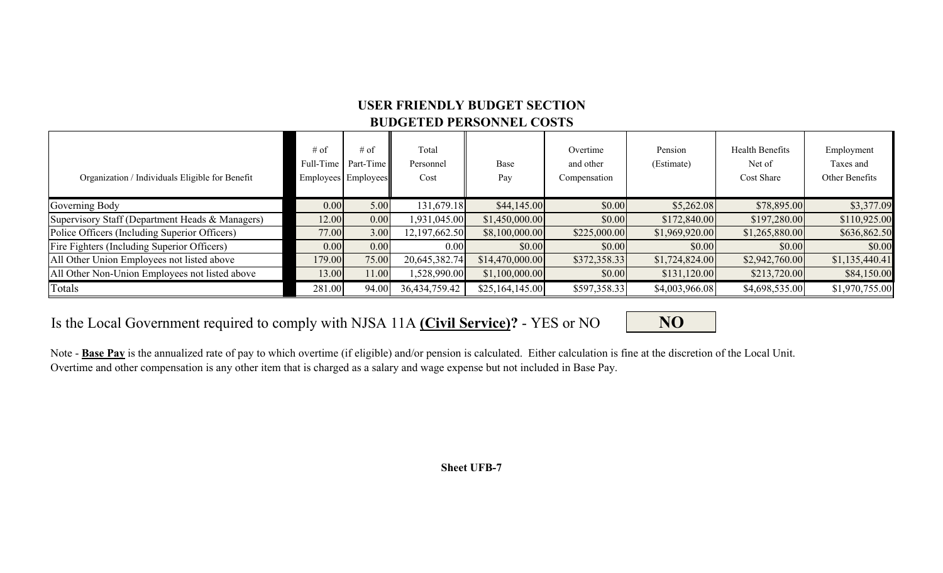## **USER FRIENDLY BUDGET SECTION BUDGETED PERSONNEL COSTS**

| Organization / Individuals Eligible for Benefit | $#$ of<br>Full-Time | # of<br>Part-Time<br>Employees Employees | Total<br>Personnel<br>Cost | Base<br>Pay     | Overtime<br>and other<br>Compensation | Pension<br>(Estimate) | <b>Health Benefits</b><br>Net of<br>Cost Share | Employment<br>Taxes and<br>Other Benefits |
|-------------------------------------------------|---------------------|------------------------------------------|----------------------------|-----------------|---------------------------------------|-----------------------|------------------------------------------------|-------------------------------------------|
| Governing Body                                  | 0.00                | 5.00                                     | 131,679.18                 | \$44,145.00     | \$0.00                                | \$5,262.08            | \$78,895.00                                    | \$3,377.09                                |
| Supervisory Staff (Department Heads & Managers) | 12.00               | 0.00                                     | 1,931,045.00               | \$1,450,000.00  | \$0.00                                | \$172,840.00          | \$197,280.00                                   | \$110,925.00                              |
| Police Officers (Including Superior Officers)   | 77.00               | 3.00                                     | 12,197,662.50              | \$8,100,000.00  | \$225,000.00                          | \$1,969,920.00        | \$1,265,880.00                                 | \$636,862.50                              |
| Fire Fighters (Including Superior Officers)     | 0.00                | 0.00                                     | 0.00                       | \$0.00          | \$0.00                                | \$0.00                | \$0.00                                         | \$0.00                                    |
| All Other Union Employees not listed above      | 179.00              | 75.00                                    | 20,645,382.74              | \$14,470,000.00 | \$372,358.33                          | \$1,724,824.00        | \$2,942,760.00                                 | \$1,135,440.41                            |
| All Other Non-Union Employees not listed above  | 13.00               | 11.00                                    | 1,528,990.00               | \$1,100,000.00  | \$0.00                                | \$131,120.00          | \$213,720.00                                   | \$84,150.00                               |
| Totals                                          | 281.00              | 94.00                                    | 36,434,759.42              | \$25,164,145.00 | \$597,358.33                          | \$4,003,966.08        | \$4,698,535.00                                 | \$1,970,755.00                            |

# Is the Local Government required to comply with NJSA 11A **(Civil Service) ?** - YES or NO

0 | **NO** 

Note - **Base Pay** is the annualized rate of pay to which overtime (if eligible) and/or pension is calculated. Either calculation is fine at the discretion of the Local Unit. Overtime and other compensation is any other item that is charged as a salary and wage expense but not included in Base Pay.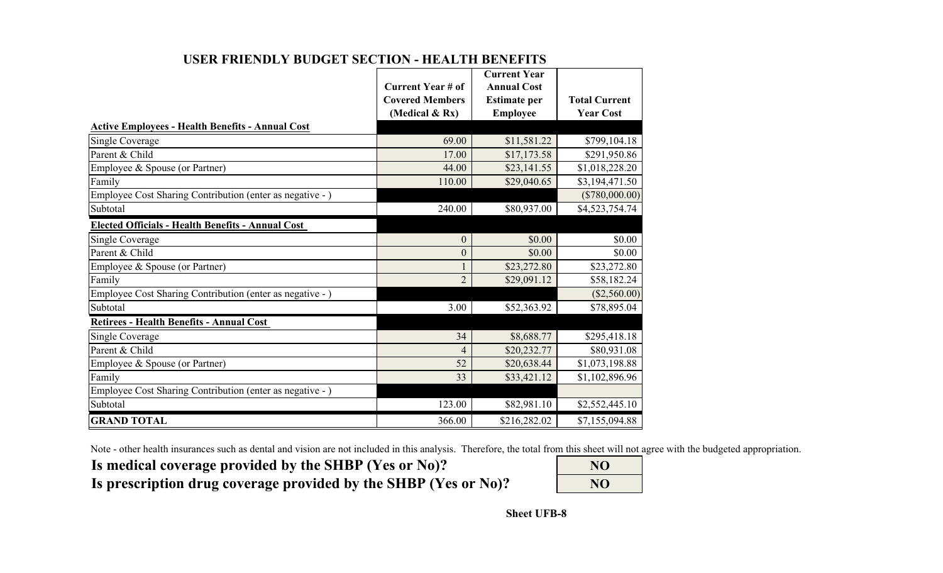|                                                           |                          | <b>Current Year</b> |                      |
|-----------------------------------------------------------|--------------------------|---------------------|----------------------|
|                                                           | <b>Current Year # of</b> | <b>Annual Cost</b>  |                      |
|                                                           | <b>Covered Members</b>   | <b>Estimate per</b> | <b>Total Current</b> |
|                                                           | (Medical $& Rx$ )        | <b>Employee</b>     | <b>Year Cost</b>     |
| <b>Active Employees - Health Benefits - Annual Cost</b>   |                          |                     |                      |
| <b>Single Coverage</b>                                    | 69.00                    | \$11,581.22         | \$799,104.18         |
| Parent & Child                                            | 17.00                    | \$17,173.58         | \$291,950.86         |
| Employee & Spouse (or Partner)                            | 44.00                    | \$23,141.55         | \$1,018,228.20       |
| Family                                                    | 110.00                   | \$29,040.65         | \$3,194,471.50       |
| Employee Cost Sharing Contribution (enter as negative - ) |                          |                     | (\$780,000.00)       |
| Subtotal                                                  | 240.00                   | \$80,937.00         | \$4,523,754.74       |
| <b>Elected Officials - Health Benefits - Annual Cost</b>  |                          |                     |                      |
| Single Coverage                                           | $\theta$                 | \$0.00              | \$0.00               |
| Parent & Child                                            | $\overline{0}$           | \$0.00              | \$0.00               |
| Employee & Spouse (or Partner)                            |                          | \$23,272.80         | \$23,272.80          |
| Family                                                    | $\overline{2}$           | \$29,091.12         | \$58,182.24          |
| Employee Cost Sharing Contribution (enter as negative - ) |                          |                     | $(\$2,560.00)$       |
| Subtotal                                                  | 3.00                     | \$52,363.92         | \$78,895.04          |
| <b>Retirees - Health Benefits - Annual Cost</b>           |                          |                     |                      |
| Single Coverage                                           | 34                       | \$8,688.77          | \$295,418.18         |
| Parent & Child                                            | $\overline{4}$           | \$20,232.77         | \$80,931.08          |
| Employee & Spouse (or Partner)                            | 52                       | \$20,638.44         | \$1,073,198.88       |
| Family                                                    | 33                       | \$33,421.12         | \$1,102,896.96       |
| Employee Cost Sharing Contribution (enter as negative - ) |                          |                     |                      |
| Subtotal                                                  | 123.00                   | \$82,981.10         | \$2,552,445.10       |
| <b>GRAND TOTAL</b>                                        | 366.00                   | \$216,282.02        | \$7,155,094.88       |

### **USER FRIENDLY BUDGET SECTION - HEALTH BENEFITS**

Note - other health insurances such as dental and vision are not included in this analysis. Therefore, the total from this sheet will not agree with the budgeted appropriation.

Is medical coverage provided by the SHBP (Yes or No)? Is prescription drug coverage provided by the SHBP (Yes or No)?

| n and bheet win not a<br>NO |
|-----------------------------|
| NO                          |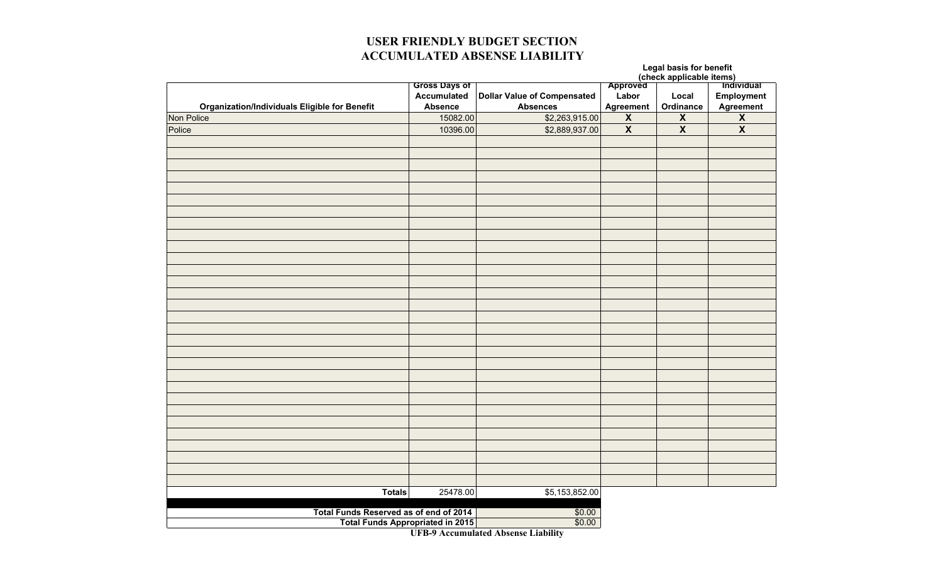### **USER FRIENDLY BUDGET SECTION ACCUMULATED ABSENSE LIABILITY**

**Legal basis for benefit**

|                                               |                      |                                                                |                         | Logar pagio foi poliotti |                         |
|-----------------------------------------------|----------------------|----------------------------------------------------------------|-------------------------|--------------------------|-------------------------|
|                                               | <b>Gross Days of</b> |                                                                |                         |                          | <b>Individual</b>       |
|                                               | <b>Accumulated</b>   | <b>Dollar Value of Compensated</b>                             | Labor                   | Local                    | Employment              |
| Organization/Individuals Eligible for Benefit | <b>Absence</b>       | <b>Absences</b>                                                | Agreement               | Ordinance                | <b>Agreement</b>        |
| Non Police                                    | 15082.00             | \$2,263,915.00                                                 | $\overline{\mathbf{X}}$ | $\overline{\mathbf{X}}$  | $\overline{\mathbf{X}}$ |
| Police                                        | 10396.00             | \$2,889,937.00                                                 | $\overline{\mathbf{X}}$ | $\overline{\mathbf{X}}$  | $\overline{\mathbf{x}}$ |
|                                               |                      |                                                                |                         |                          |                         |
|                                               |                      |                                                                |                         |                          |                         |
|                                               |                      |                                                                |                         |                          |                         |
|                                               |                      |                                                                |                         |                          |                         |
|                                               |                      |                                                                |                         |                          |                         |
|                                               |                      |                                                                |                         |                          |                         |
|                                               |                      |                                                                |                         |                          |                         |
|                                               |                      |                                                                |                         |                          |                         |
|                                               |                      |                                                                |                         |                          |                         |
|                                               |                      |                                                                |                         |                          |                         |
|                                               |                      |                                                                |                         |                          |                         |
|                                               |                      |                                                                |                         |                          |                         |
|                                               |                      |                                                                |                         |                          |                         |
|                                               |                      |                                                                |                         |                          |                         |
|                                               |                      |                                                                |                         |                          |                         |
|                                               |                      |                                                                |                         |                          |                         |
|                                               |                      |                                                                |                         |                          |                         |
|                                               |                      |                                                                |                         |                          |                         |
|                                               |                      |                                                                |                         |                          |                         |
|                                               |                      |                                                                |                         |                          |                         |
|                                               |                      |                                                                |                         |                          |                         |
|                                               |                      |                                                                |                         |                          |                         |
|                                               |                      |                                                                |                         |                          |                         |
|                                               |                      |                                                                |                         |                          |                         |
|                                               |                      |                                                                |                         |                          |                         |
|                                               |                      |                                                                |                         |                          |                         |
|                                               |                      |                                                                |                         |                          |                         |
|                                               |                      |                                                                |                         |                          |                         |
|                                               |                      |                                                                |                         |                          |                         |
|                                               |                      |                                                                |                         |                          |                         |
|                                               |                      |                                                                |                         |                          |                         |
|                                               |                      |                                                                |                         |                          |                         |
| <b>Totals</b>                                 | 25478.00             | \$5,153,852.00                                                 |                         |                          |                         |
|                                               |                      |                                                                |                         |                          |                         |
| Total Funds Reserved as of end of 2014        |                      | \$0.00<br>\$0.00                                               |                         |                          |                         |
| <b>Total Funds Appropriated in 2015</b>       | $\overline{1}$       | $\sim$ $\sim$ $\sim$<br>$\mathbf{r}$ . The set of $\mathbf{r}$ |                         |                          |                         |

**UFB-9 Accumulated Absense Liability**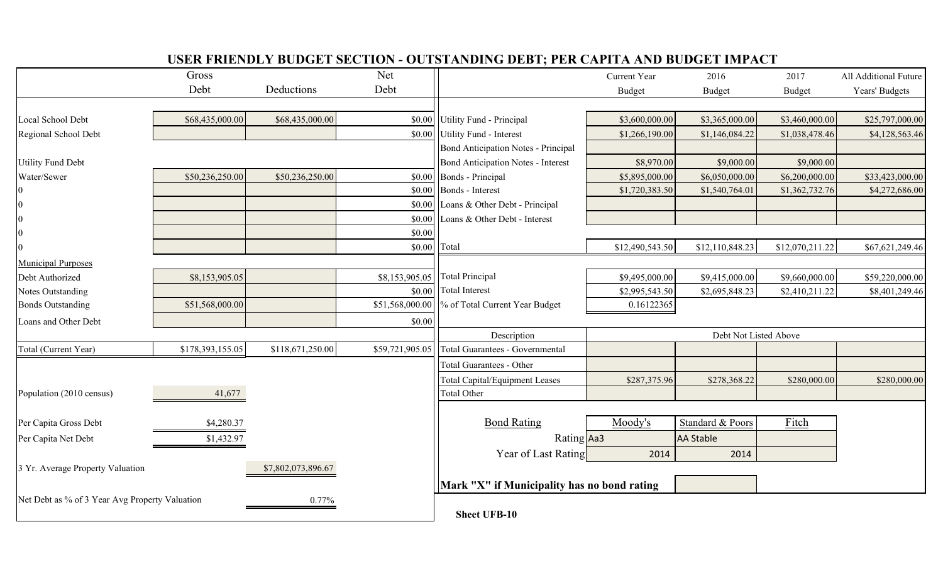|                                                |                  |                    |                 | USER FRIENDLY BUDGET SECTION - OUTSTANDING DEBT; PER CAPITA AND BUDGET IMPACT |                 |                       |                 |                       |
|------------------------------------------------|------------------|--------------------|-----------------|-------------------------------------------------------------------------------|-----------------|-----------------------|-----------------|-----------------------|
|                                                | Gross            |                    | <b>Net</b>      |                                                                               | Current Year    | 2016                  | 2017            | All Additional Future |
|                                                | Debt             | Deductions         | Debt            |                                                                               | <b>Budget</b>   | <b>Budget</b>         | <b>Budget</b>   | Years' Budgets        |
|                                                |                  |                    |                 |                                                                               |                 |                       |                 |                       |
| Local School Debt                              | \$68,435,000.00  | \$68,435,000.00    | \$0.00          | Utility Fund - Principal                                                      | \$3,600,000.00  | \$3,365,000.00        | \$3,460,000.00  | \$25,797,000.00       |
| Regional School Debt                           |                  |                    | \$0.00          | Utility Fund - Interest                                                       | \$1,266,190.00  | \$1,146,084.22        | \$1,038,478.46  | \$4,128,563.46        |
|                                                |                  |                    |                 | Bond Anticipation Notes - Principal                                           |                 |                       |                 |                       |
| <b>Utility Fund Debt</b>                       |                  |                    |                 | <b>Bond Anticipation Notes - Interest</b>                                     | \$8,970.00      | \$9,000.00            | \$9,000.00      |                       |
| Water/Sewer                                    | \$50,236,250.00  | \$50,236,250.00    | \$0.00          | Bonds - Principal                                                             | \$5,895,000.00  | \$6,050,000.00        | \$6,200,000.00  | \$33,423,000.00       |
|                                                |                  |                    | \$0.00          | Bonds - Interest                                                              | \$1,720,383.50  | \$1,540,764.01        | \$1,362,732.76  | \$4,272,686.00        |
|                                                |                  |                    | \$0.00          | Loans & Other Debt - Principal                                                |                 |                       |                 |                       |
|                                                |                  |                    | \$0.00          | Loans & Other Debt - Interest                                                 |                 |                       |                 |                       |
| $\boldsymbol{0}$                               |                  |                    | \$0.00          |                                                                               |                 |                       |                 |                       |
|                                                |                  |                    | \$0.00 Total    |                                                                               | \$12,490,543.50 | \$12,110,848.23       | \$12,070,211.22 | \$67,621,249.46       |
| <b>Municipal Purposes</b>                      |                  |                    |                 |                                                                               |                 |                       |                 |                       |
| Debt Authorized                                | \$8,153,905.05   |                    | \$8,153,905.05  | <b>Total Principal</b>                                                        | \$9,495,000.00  | \$9,415,000.00        | \$9,660,000.00  | \$59,220,000.00       |
| <b>Notes Outstanding</b>                       |                  |                    | \$0.00          | <b>Total Interest</b>                                                         | \$2,995,543.50  | \$2,695,848.23        | \$2,410,211.22  | \$8,401,249.46        |
| <b>Bonds Outstanding</b>                       | \$51,568,000.00  |                    | \$51,568,000.00 | % of Total Current Year Budget                                                | 0.16122365      |                       |                 |                       |
| Loans and Other Debt                           |                  |                    | \$0.00          |                                                                               |                 |                       |                 |                       |
|                                                |                  |                    |                 | Description                                                                   |                 | Debt Not Listed Above |                 |                       |
| Total (Current Year)                           | \$178,393,155.05 | \$118,671,250.00   | \$59,721,905.05 | <b>Total Guarantees - Governmental</b>                                        |                 |                       |                 |                       |
|                                                |                  |                    |                 | <b>Total Guarantees - Other</b>                                               |                 |                       |                 |                       |
|                                                |                  |                    |                 | <b>Total Capital/Equipment Leases</b>                                         | \$287,375.96    | \$278,368.22          | \$280,000.00    | \$280,000.00          |
| Population (2010 census)                       | 41,677           |                    |                 | <b>Total Other</b>                                                            |                 |                       |                 |                       |
|                                                |                  |                    |                 |                                                                               |                 |                       |                 |                       |
| Per Capita Gross Debt                          | \$4,280.37       |                    |                 | <b>Bond Rating</b>                                                            | Moody's         | Standard & Poors      | Fitch           |                       |
| Per Capita Net Debt                            | \$1,432.97       |                    |                 | Rating Aa3                                                                    |                 | <b>AA Stable</b>      |                 |                       |
|                                                |                  |                    |                 | Year of Last Rating                                                           | 2014            | 2014                  |                 |                       |
| 3 Yr. Average Property Valuation               |                  | \$7,802,073,896.67 |                 |                                                                               |                 |                       |                 |                       |
|                                                |                  |                    |                 | Mark "X" if Municipality has no bond rating                                   |                 |                       |                 |                       |
| Net Debt as % of 3 Year Avg Property Valuation |                  | 0.77%              |                 |                                                                               |                 |                       |                 |                       |
|                                                |                  |                    |                 | <b>Sheet UFB-10</b>                                                           |                 |                       |                 |                       |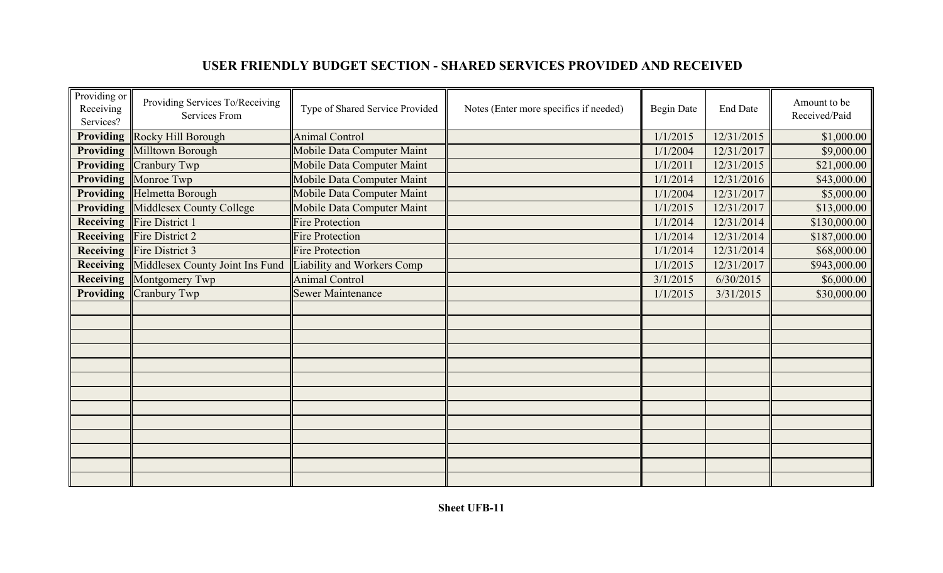## **USER FRIENDLY BUDGET SECTION - SHARED SERVICES PROVIDED AND RECEIVED**

| Providing or<br>Receiving<br>Services? | Providing Services To/Receiving<br><b>Services From</b> | Type of Shared Service Provided | Notes (Enter more specifics if needed) | <b>Begin Date</b> | <b>End Date</b> | Amount to be<br>Received/Paid |
|----------------------------------------|---------------------------------------------------------|---------------------------------|----------------------------------------|-------------------|-----------------|-------------------------------|
|                                        | <b>Providing Rocky Hill Borough</b>                     | <b>Animal Control</b>           |                                        | 1/1/2015          | 12/31/2015      | \$1,000.00                    |
|                                        | <b>Providing Milltown Borough</b>                       | Mobile Data Computer Maint      |                                        | 1/1/2004          | 12/31/2017      | \$9,000.00                    |
|                                        | <b>Providing Cranbury Twp</b>                           | Mobile Data Computer Maint      |                                        | 1/1/2011          | 12/31/2015      | \$21,000.00                   |
|                                        | <b>Providing Monroe Twp</b>                             | Mobile Data Computer Maint      |                                        | 1/1/2014          | 12/31/2016      | \$43,000.00                   |
|                                        | <b>Providing Helmetta Borough</b>                       | Mobile Data Computer Maint      |                                        | 1/1/2004          | 12/31/2017      | \$5,000.00                    |
|                                        | <b>Providing Middlesex County College</b>               | Mobile Data Computer Maint      |                                        | 1/1/2015          | 12/31/2017      | \$13,000.00                   |
|                                        | <b>Receiving Fire District 1</b>                        | <b>Fire Protection</b>          |                                        | 1/1/2014          | 12/31/2014      | \$130,000.00                  |
|                                        | <b>Receiving Fire District 2</b>                        | <b>Fire Protection</b>          |                                        | 1/1/2014          | 12/31/2014      | \$187,000.00                  |
|                                        | <b>Receiving Fire District 3</b>                        | <b>Fire Protection</b>          |                                        | 1/1/2014          | 12/31/2014      | \$68,000.00                   |
|                                        | <b>Receiving Middlesex County Joint Ins Fund</b>        | Liability and Workers Comp      |                                        | 1/1/2015          | 12/31/2017      | \$943,000.00                  |
|                                        | <b>Receiving Montgomery Twp</b>                         | <b>Animal Control</b>           |                                        | 3/1/2015          | 6/30/2015       | \$6,000.00                    |
|                                        | <b>Providing Cranbury Twp</b>                           | <b>Sewer Maintenance</b>        |                                        | 1/1/2015          | 3/31/2015       | \$30,000.00                   |
|                                        |                                                         |                                 |                                        |                   |                 |                               |
|                                        |                                                         |                                 |                                        |                   |                 |                               |
|                                        |                                                         |                                 |                                        |                   |                 |                               |
|                                        |                                                         |                                 |                                        |                   |                 |                               |
|                                        |                                                         |                                 |                                        |                   |                 |                               |
|                                        |                                                         |                                 |                                        |                   |                 |                               |
|                                        |                                                         |                                 |                                        |                   |                 |                               |
|                                        |                                                         |                                 |                                        |                   |                 |                               |
|                                        |                                                         |                                 |                                        |                   |                 |                               |
|                                        |                                                         |                                 |                                        |                   |                 |                               |
|                                        |                                                         |                                 |                                        |                   |                 |                               |
|                                        |                                                         |                                 |                                        |                   |                 |                               |
|                                        |                                                         |                                 |                                        |                   |                 |                               |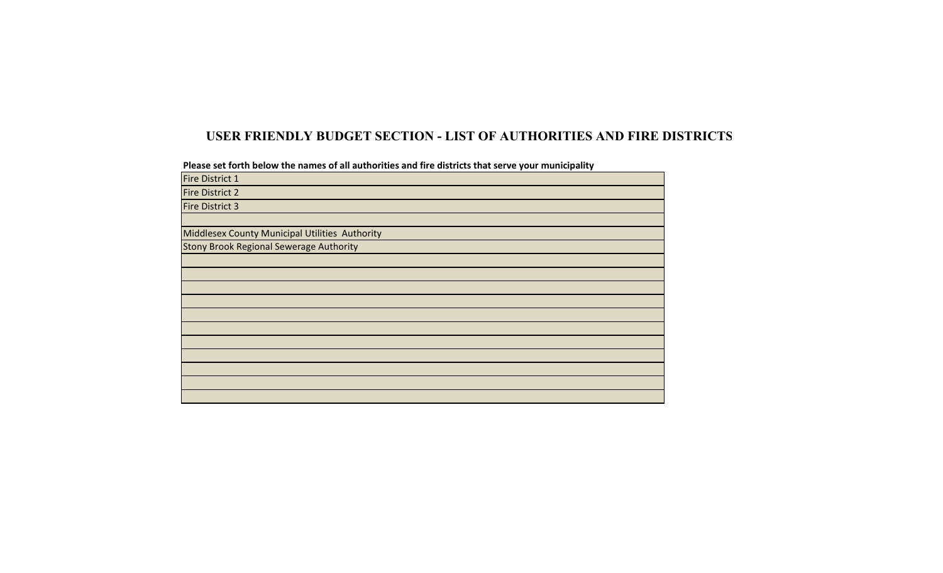### **USER FRIENDLY BUDGET SECTION - LIST OF AUTHORITIES AND FIRE DISTRICT S**

**Please set forth below the names of all authorities and fire districts that serve your municipality**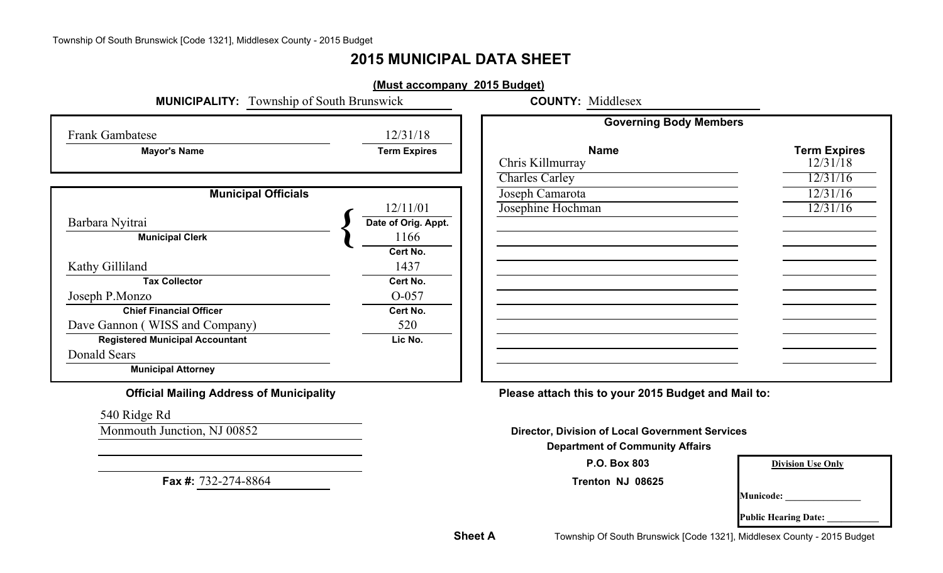# **2015 MUNICIPAL DATA SHEET**

|                                                                                                                                                                                                                                                                          | (Must accompany 2015 Budget)                                                                                     |                                                                                                                  |                                                                             |
|--------------------------------------------------------------------------------------------------------------------------------------------------------------------------------------------------------------------------------------------------------------------------|------------------------------------------------------------------------------------------------------------------|------------------------------------------------------------------------------------------------------------------|-----------------------------------------------------------------------------|
| <b>MUNICIPALITY:</b> Township of South Brunswick                                                                                                                                                                                                                         |                                                                                                                  | <b>COUNTY: Middlesex</b>                                                                                         |                                                                             |
| <b>Frank Gambatese</b>                                                                                                                                                                                                                                                   | 12/31/18                                                                                                         | <b>Governing Body Members</b>                                                                                    |                                                                             |
| <b>Mayor's Name</b>                                                                                                                                                                                                                                                      | <b>Term Expires</b>                                                                                              | <b>Name</b><br>Chris Killmurray<br><b>Charles Carley</b>                                                         | <b>Term Expires</b><br>12/31/18<br>12/31/16                                 |
| <b>Municipal Officials</b>                                                                                                                                                                                                                                               |                                                                                                                  | Joseph Camarota                                                                                                  | 12/31/16                                                                    |
| Barbara Nyitrai<br><b>Municipal Clerk</b><br>Kathy Gilliland<br><b>Tax Collector</b><br>Joseph P.Monzo<br><b>Chief Financial Officer</b><br>Dave Gannon (WISS and Company)<br><b>Registered Municipal Accountant</b><br><b>Donald Sears</b><br><b>Municipal Attorney</b> | 12/11/01<br>Date of Orig. Appt.<br>1166<br>Cert No.<br>1437<br>Cert No.<br>$O-057$<br>Cert No.<br>520<br>Lic No. | Josephine Hochman                                                                                                | 12/31/16                                                                    |
| <b>Official Mailing Address of Municipality</b>                                                                                                                                                                                                                          |                                                                                                                  | Please attach this to your 2015 Budget and Mail to:                                                              |                                                                             |
| 540 Ridge Rd                                                                                                                                                                                                                                                             |                                                                                                                  |                                                                                                                  |                                                                             |
| Monmouth Junction, NJ 00852                                                                                                                                                                                                                                              |                                                                                                                  | <b>Director, Division of Local Government Services</b><br><b>Department of Community Affairs</b><br>P.O. Box 803 |                                                                             |
| Fax #: 732-274-8864                                                                                                                                                                                                                                                      |                                                                                                                  | Trenton NJ 08625                                                                                                 | <b>Division Use Only</b><br><b>Municode:</b><br>Public Hearing Date: ______ |

**Sheet A**

Township Of South Brunswick [Code 1321], Middlesex County - 2015 Budget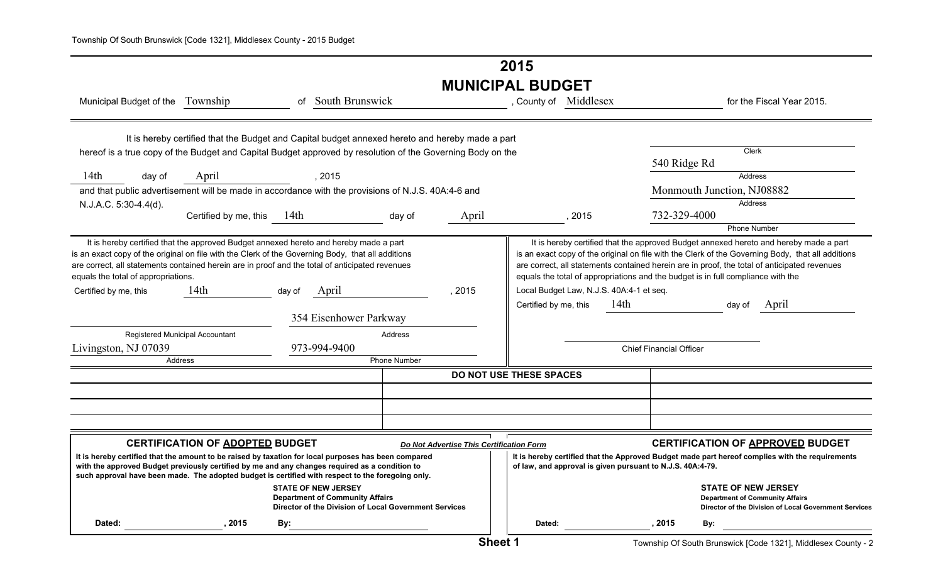# **2015 MUNICIPAL BUDGET**

| Municipal Budget of the Township                                                                                                                                                                                                                                                                                                     | <b>South Brunswick</b><br>0f                                                                    |                                                                                                                                                                                                                                                                                                                                                                                | , County of Middlesex                    |                                | for the Fiscal Year 2015.                                                                                                     |  |
|--------------------------------------------------------------------------------------------------------------------------------------------------------------------------------------------------------------------------------------------------------------------------------------------------------------------------------------|-------------------------------------------------------------------------------------------------|--------------------------------------------------------------------------------------------------------------------------------------------------------------------------------------------------------------------------------------------------------------------------------------------------------------------------------------------------------------------------------|------------------------------------------|--------------------------------|-------------------------------------------------------------------------------------------------------------------------------|--|
| hereof is a true copy of the Budget and Capital Budget approved by resolution of the Governing Body on the                                                                                                                                                                                                                           | It is hereby certified that the Budget and Capital budget annexed hereto and hereby made a part |                                                                                                                                                                                                                                                                                                                                                                                |                                          | 540 Ridge Rd                   | <b>Clerk</b>                                                                                                                  |  |
| 14 <sub>th</sub><br>April<br>day of                                                                                                                                                                                                                                                                                                  | , 2015                                                                                          |                                                                                                                                                                                                                                                                                                                                                                                |                                          |                                | Address                                                                                                                       |  |
| and that public advertisement will be made in accordance with the provisions of N.J.S. 40A:4-6 and                                                                                                                                                                                                                                   |                                                                                                 |                                                                                                                                                                                                                                                                                                                                                                                |                                          |                                | Monmouth Junction, NJ08882                                                                                                    |  |
| N.J.A.C. 5:30-4.4(d).                                                                                                                                                                                                                                                                                                                |                                                                                                 |                                                                                                                                                                                                                                                                                                                                                                                |                                          |                                | <b>Address</b>                                                                                                                |  |
| Certified by me, this                                                                                                                                                                                                                                                                                                                | 14th                                                                                            | April<br>day of                                                                                                                                                                                                                                                                                                                                                                | , 2015                                   | 732-329-4000                   |                                                                                                                               |  |
|                                                                                                                                                                                                                                                                                                                                      |                                                                                                 |                                                                                                                                                                                                                                                                                                                                                                                |                                          |                                | <b>Phone Number</b>                                                                                                           |  |
| It is hereby certified that the approved Budget annexed hereto and hereby made a part<br>is an exact copy of the original on file with the Clerk of the Governing Body, that all additions<br>are correct, all statements contained herein are in proof and the total of anticipated revenues<br>equals the total of appropriations. |                                                                                                 | It is hereby certified that the approved Budget annexed hereto and hereby made a part<br>is an exact copy of the original on file with the Clerk of the Governing Body, that all additions<br>are correct, all statements contained herein are in proof, the total of anticipated revenues<br>equals the total of appropriations and the budget is in full compliance with the |                                          |                                |                                                                                                                               |  |
| 14th<br>Certified by me, this                                                                                                                                                                                                                                                                                                        | April<br>day of                                                                                 | , 2015                                                                                                                                                                                                                                                                                                                                                                         | Local Budget Law, N.J.S. 40A:4-1 et seq. |                                |                                                                                                                               |  |
|                                                                                                                                                                                                                                                                                                                                      | 354 Eisenhower Parkway                                                                          |                                                                                                                                                                                                                                                                                                                                                                                | Certified by me, this                    | 14th                           | April<br>day of                                                                                                               |  |
| Registered Municipal Accountant                                                                                                                                                                                                                                                                                                      |                                                                                                 | Address                                                                                                                                                                                                                                                                                                                                                                        |                                          |                                |                                                                                                                               |  |
| Livingston, NJ 07039                                                                                                                                                                                                                                                                                                                 | 973-994-9400                                                                                    |                                                                                                                                                                                                                                                                                                                                                                                |                                          | <b>Chief Financial Officer</b> |                                                                                                                               |  |
| Address                                                                                                                                                                                                                                                                                                                              |                                                                                                 | Phone Number                                                                                                                                                                                                                                                                                                                                                                   |                                          |                                |                                                                                                                               |  |
|                                                                                                                                                                                                                                                                                                                                      |                                                                                                 |                                                                                                                                                                                                                                                                                                                                                                                | DO NOT USE THESE SPACES                  |                                |                                                                                                                               |  |
|                                                                                                                                                                                                                                                                                                                                      |                                                                                                 |                                                                                                                                                                                                                                                                                                                                                                                |                                          |                                |                                                                                                                               |  |
|                                                                                                                                                                                                                                                                                                                                      |                                                                                                 |                                                                                                                                                                                                                                                                                                                                                                                |                                          |                                |                                                                                                                               |  |
|                                                                                                                                                                                                                                                                                                                                      |                                                                                                 |                                                                                                                                                                                                                                                                                                                                                                                |                                          |                                |                                                                                                                               |  |
| <b>CERTIFICATION OF ADOPTED BUDGET</b>                                                                                                                                                                                                                                                                                               |                                                                                                 | Do Not Advertise This Certification Form                                                                                                                                                                                                                                                                                                                                       |                                          |                                | <b>CERTIFICATION OF APPROVED BUDGET</b>                                                                                       |  |
| It is hereby certified that the amount to be raised by taxation for local purposes has been compared<br>with the approved Budget previously certified by me and any changes required as a condition to                                                                                                                               |                                                                                                 | It is hereby certified that the Approved Budget made part hereof complies with the requirements<br>of law, and approval is given pursuant to N.J.S. 40A:4-79.                                                                                                                                                                                                                  |                                          |                                |                                                                                                                               |  |
| such approval have been made. The adopted budget is certified with respect to the foregoing only.<br><b>STATE OF NEW JERSEY</b><br><b>Department of Community Affairs</b><br>Director of the Division of Local Government Services                                                                                                   |                                                                                                 |                                                                                                                                                                                                                                                                                                                                                                                |                                          |                                | <b>STATE OF NEW JERSEY</b><br><b>Department of Community Affairs</b><br>Director of the Division of Local Government Services |  |
| 2015<br>Dated:                                                                                                                                                                                                                                                                                                                       | By:                                                                                             |                                                                                                                                                                                                                                                                                                                                                                                | Dated:                                   | 2015                           | By:                                                                                                                           |  |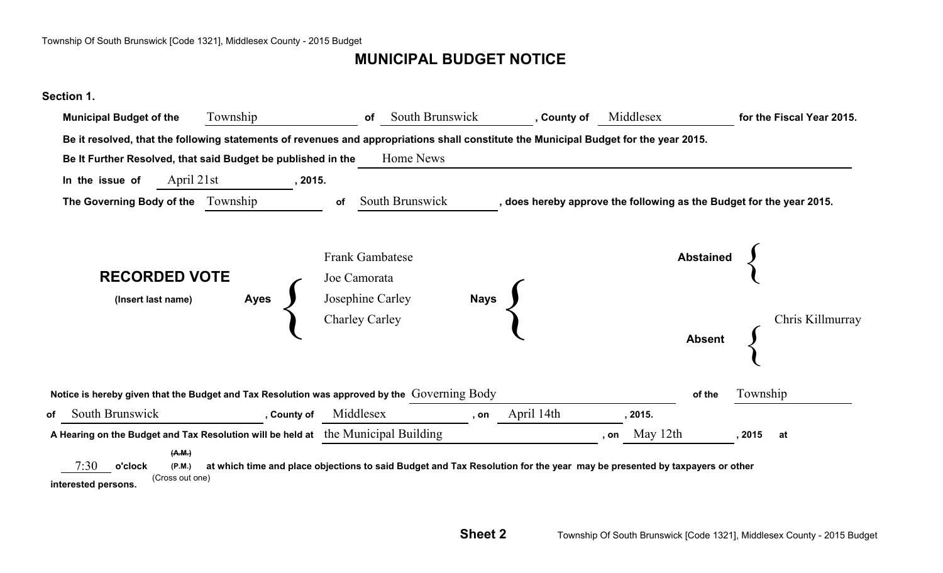# **MUNICIPAL BUDGET NOTICE**

### **Section 1.**

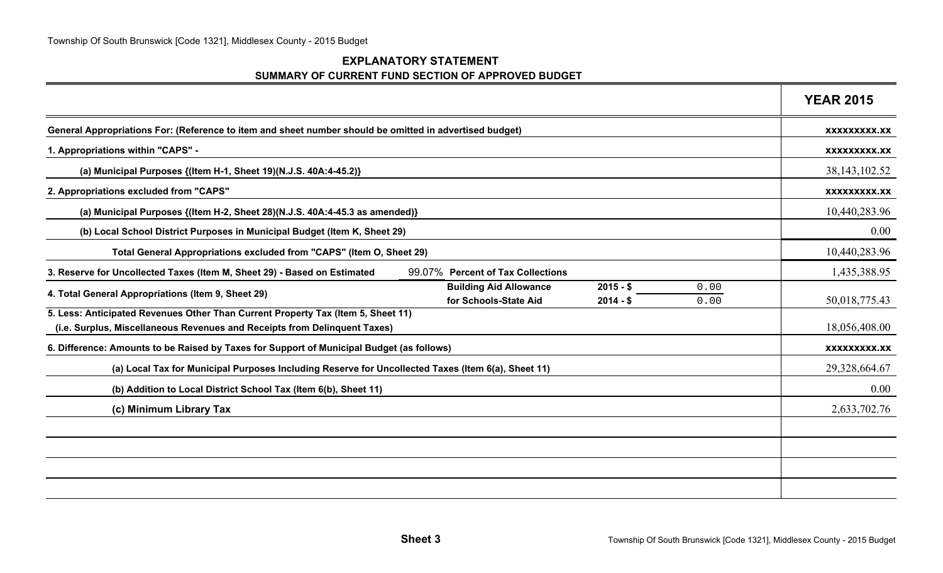### **EXPLANATORY STATEMENT SUMMARY OF CURRENT FUND SECTION OF APPROVED BUDGET**

|                                                                                                                                                               |                                                        |                          |              | <b>YEAR 2015</b>    |
|---------------------------------------------------------------------------------------------------------------------------------------------------------------|--------------------------------------------------------|--------------------------|--------------|---------------------|
| General Appropriations For: (Reference to item and sheet number should be omitted in advertised budget)                                                       |                                                        |                          |              | XXXXXXXXX.XX        |
| 1. Appropriations within "CAPS" -                                                                                                                             |                                                        |                          |              | <b>XXXXXXXXX.XX</b> |
| (a) Municipal Purposes {(Item H-1, Sheet 19)(N.J.S. 40A:4-45.2)}                                                                                              |                                                        |                          |              | 38, 143, 102. 52    |
| 2. Appropriations excluded from "CAPS"                                                                                                                        |                                                        |                          |              | <b>XXXXXXXXX.XX</b> |
| (a) Municipal Purposes {(Item H-2, Sheet 28)(N.J.S. 40A:4-45.3 as amended)}                                                                                   |                                                        |                          |              | 10,440,283.96       |
| (b) Local School District Purposes in Municipal Budget (Item K, Sheet 29)                                                                                     |                                                        |                          |              | 0.00                |
| Total General Appropriations excluded from "CAPS" (Item O, Sheet 29)                                                                                          |                                                        |                          |              | 10,440,283.96       |
| 3. Reserve for Uncollected Taxes (Item M, Sheet 29) - Based on Estimated                                                                                      | 99.07% Percent of Tax Collections                      |                          |              | 1,435,388.95        |
| 4. Total General Appropriations (Item 9, Sheet 29)                                                                                                            | <b>Building Aid Allowance</b><br>for Schools-State Aid | $2015 - $$<br>$2014 - $$ | 0.00<br>0.00 | 50,018,775.43       |
| 5. Less: Anticipated Revenues Other Than Current Property Tax (Item 5, Sheet 11)<br>(i.e. Surplus, Miscellaneous Revenues and Receipts from Delinquent Taxes) |                                                        |                          |              | 18,056,408.00       |
| 6. Difference: Amounts to be Raised by Taxes for Support of Municipal Budget (as follows)                                                                     |                                                        |                          |              | XXXXXXXXX.XX        |
| (a) Local Tax for Municipal Purposes Including Reserve for Uncollected Taxes (Item 6(a), Sheet 11)                                                            |                                                        |                          |              | 29,328,664.67       |
| (b) Addition to Local District School Tax (Item 6(b), Sheet 11)                                                                                               |                                                        |                          |              | 0.00                |
| (c) Minimum Library Tax                                                                                                                                       |                                                        |                          |              | 2,633,702.76        |
|                                                                                                                                                               |                                                        |                          |              |                     |
|                                                                                                                                                               |                                                        |                          |              |                     |
|                                                                                                                                                               |                                                        |                          |              |                     |
|                                                                                                                                                               |                                                        |                          |              |                     |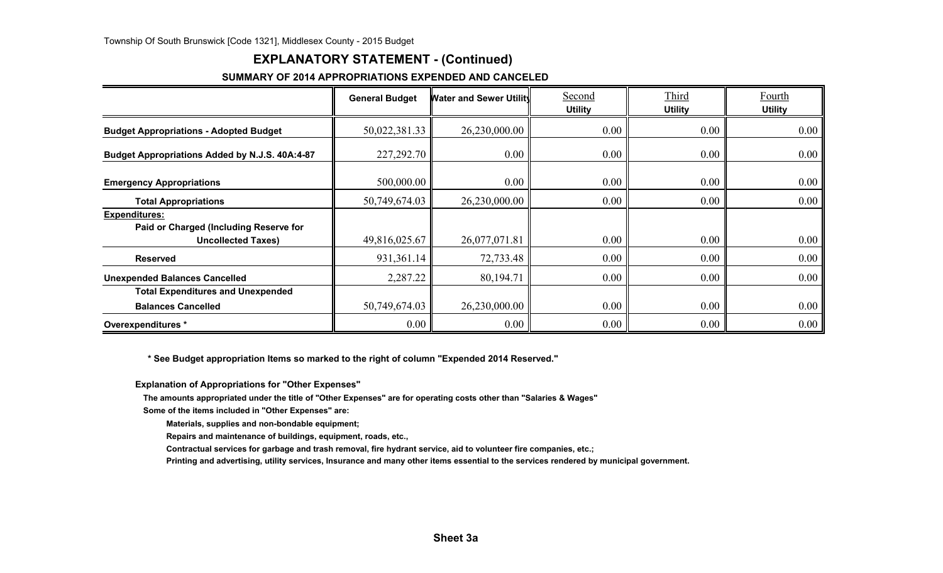### **EXPLANATORY STATEMENT - (Continued)**

#### **SUMMARY OF 2014 APPROPRIATIONS EXPENDED AND CANCELED**

|                                                                                             | <b>General Budget</b> | <b>Water and Sewer Utility</b> | Second<br><b>Utility</b> | Third<br><b>Utility</b> | Fourth<br><b>Utility</b> |
|---------------------------------------------------------------------------------------------|-----------------------|--------------------------------|--------------------------|-------------------------|--------------------------|
| <b>Budget Appropriations - Adopted Budget</b>                                               | 50,022,381.33         | 26,230,000.00                  | 0.00                     | 0.00                    | 0.00                     |
| Budget Appropriations Added by N.J.S. 40A:4-87                                              | 227,292.70            | 0.00                           | $0.00\,$                 | 0.00                    | 0.00                     |
| <b>Emergency Appropriations</b>                                                             | 500,000.00            | 0.00                           | 0.00                     | 0.00                    | 0.00                     |
| <b>Total Appropriations</b>                                                                 | 50,749,674.03         | 26,230,000.00                  | $0.00\,$                 | 0.00                    | 0.00                     |
| <b>Expenditures:</b><br>Paid or Charged (Including Reserve for<br><b>Uncollected Taxes)</b> | 49,816,025.67         | 26,077,071.81                  | 0.00                     | 0.00                    | 0.00                     |
| <b>Reserved</b>                                                                             | 931, 361.14           | 72,733.48                      | 0.00                     | 0.00                    | 0.00                     |
| <b>Unexpended Balances Cancelled</b>                                                        | 2,287.22              | 80,194.71                      | 0.00                     | 0.00                    | 0.00                     |
| <b>Total Expenditures and Unexpended</b>                                                    |                       |                                |                          |                         |                          |
| <b>Balances Cancelled</b>                                                                   | 50,749,674.03         | 26,230,000.00                  | 0.00                     | 0.00                    | 0.00                     |
| Overexpenditures *                                                                          | 0.00                  | 0.00                           | 0.00                     | 0.00                    | 0.00                     |

 **\* See Budget appropriation Items so marked to the right of column "Expended 2014 Reserved."**

**Explanation of Appropriations for "Other Expenses"**

**The amounts appropriated under the title of "Other Expenses" are for operating costs other than "Salaries & Wages"**

**Some of the items included in "Other Expenses" are:**

**Materials, supplies and non-bondable equipment;**

**Repairs and maintenance of buildings, equipment, roads, etc.,**

**Contractual services for garbage and trash removal, fire hydrant service, aid to volunteer fire companies, etc.;**

**Printing and advertising, utility services, Insurance and many other items essential to the services rendered by municipal government.**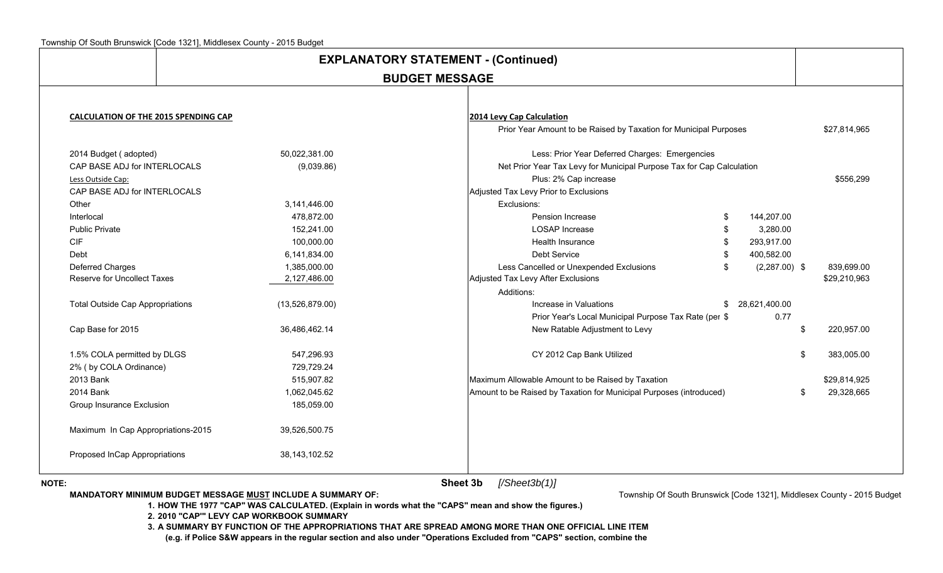|                                             |                       |                 | <b>EXPLANATORY STATEMENT - (Continued)</b> |                                                                       |    |                 |              |  |
|---------------------------------------------|-----------------------|-----------------|--------------------------------------------|-----------------------------------------------------------------------|----|-----------------|--------------|--|
|                                             | <b>BUDGET MESSAGE</b> |                 |                                            |                                                                       |    |                 |              |  |
|                                             |                       |                 |                                            |                                                                       |    |                 |              |  |
| <b>CALCULATION OF THE 2015 SPENDING CAP</b> |                       |                 |                                            | 2014 Levy Cap Calculation                                             |    |                 |              |  |
|                                             |                       |                 |                                            | Prior Year Amount to be Raised by Taxation for Municipal Purposes     |    |                 | \$27,814,965 |  |
| 2014 Budget (adopted)                       |                       | 50,022,381.00   |                                            | Less: Prior Year Deferred Charges: Emergencies                        |    |                 |              |  |
| CAP BASE ADJ for INTERLOCALS                |                       | (9,039.86)      |                                            | Net Prior Year Tax Levy for Municipal Purpose Tax for Cap Calculation |    |                 |              |  |
| Less Outside Cap:                           |                       |                 |                                            | Plus: 2% Cap increase                                                 |    |                 | \$556.299    |  |
| CAP BASE ADJ for INTERLOCALS                |                       |                 |                                            | Adjusted Tax Levy Prior to Exclusions                                 |    |                 |              |  |
| Other                                       |                       | 3,141,446.00    |                                            | Exclusions:                                                           |    |                 |              |  |
| Interlocal                                  |                       | 478,872.00      |                                            | Pension Increase                                                      | \$ | 144,207.00      |              |  |
| <b>Public Private</b>                       |                       | 152,241.00      |                                            | LOSAP Increase                                                        | \$ | 3,280.00        |              |  |
| <b>CIF</b>                                  |                       | 100,000.00      |                                            | <b>Health Insurance</b>                                               | \$ | 293,917.00      |              |  |
| Debt                                        |                       | 6,141,834.00    |                                            | Debt Service                                                          | \$ | 400,582.00      |              |  |
| Deferred Charges                            |                       | 1,385,000.00    |                                            | Less Cancelled or Unexpended Exclusions                               | .ፍ | $(2,287.00)$ \$ | 839,699.00   |  |
| Reserve for Uncollect Taxes                 |                       | 2,127,486.00    |                                            | Adjusted Tax Levy After Exclusions                                    |    |                 | \$29,210,963 |  |
|                                             |                       |                 |                                            | Additions:                                                            |    |                 |              |  |
| <b>Total Outside Cap Appropriations</b>     |                       | (13,526,879.00) |                                            | Increase in Valuations                                                | \$ | 28,621,400.00   |              |  |
|                                             |                       |                 |                                            | Prior Year's Local Municipal Purpose Tax Rate (per \$                 |    | 0.77            |              |  |
| Cap Base for 2015                           |                       | 36,486,462.14   |                                            | New Ratable Adjustment to Levy                                        |    | \$              | 220,957.00   |  |
| 1.5% COLA permitted by DLGS                 |                       | 547,296.93      |                                            | CY 2012 Cap Bank Utilized                                             |    | \$              | 383,005.00   |  |
| 2% (by COLA Ordinance)                      |                       | 729,729.24      |                                            |                                                                       |    |                 |              |  |
| 2013 Bank                                   |                       | 515,907.82      |                                            | Maximum Allowable Amount to be Raised by Taxation                     |    |                 | \$29,814,925 |  |
| 2014 Bank                                   |                       | 1,062,045.62    |                                            | Amount to be Raised by Taxation for Municipal Purposes (introduced)   |    | \$              | 29,328,665   |  |
| Group Insurance Exclusion                   |                       | 185,059.00      |                                            |                                                                       |    |                 |              |  |
| Maximum In Cap Appropriations-2015          |                       | 39,526,500.75   |                                            |                                                                       |    |                 |              |  |
| Proposed InCap Appropriations               |                       | 38, 143, 102.52 |                                            |                                                                       |    |                 |              |  |

**NOTE:**

 **Sheet 3b***[/Sheet3b(1)]*

**MANDATORY MINIMUM BUDGET MESSAGE MUST INCLUDE A SUMMARY OF:** 

Township Of South Brunswick [Code 1321], Middlesex County - 2015 Budget

**1. HOW THE 1977 "CAP" WAS CALCULATED. (Explain in words what the "CAPS" mean and show the figures.)**

**2. 2010 "CAP'" LEVY CAP WORKBOOK SUMMARY**

**3. A SUMMARY BY FUNCTION OF THE APPROPRIATIONS THAT ARE SPREAD AMONG MORE THAN ONE OFFICIAL LINE ITEM**

**(e.g. if Police S&W appears in the regular section and also under "Operations Excluded from "CAPS" section, combine the**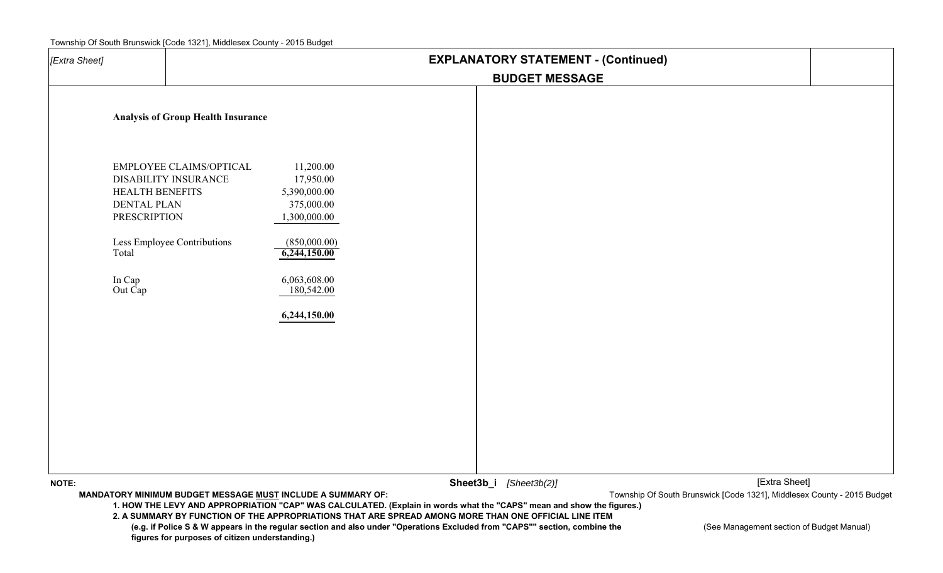| [Extra Sheet] |                                                                                                                                                                                     | <b>EXPLANATORY STATEMENT - (Continued)</b>      |                                                                                                                                                    |  |                                                                                                                                                                                                                                     |  |                                                                                          |  |
|---------------|-------------------------------------------------------------------------------------------------------------------------------------------------------------------------------------|-------------------------------------------------|----------------------------------------------------------------------------------------------------------------------------------------------------|--|-------------------------------------------------------------------------------------------------------------------------------------------------------------------------------------------------------------------------------------|--|------------------------------------------------------------------------------------------|--|
|               |                                                                                                                                                                                     |                                                 |                                                                                                                                                    |  | <b>BUDGET MESSAGE</b>                                                                                                                                                                                                               |  |                                                                                          |  |
|               | <b>Analysis of Group Health Insurance</b>                                                                                                                                           |                                                 |                                                                                                                                                    |  |                                                                                                                                                                                                                                     |  |                                                                                          |  |
|               | EMPLOYEE CLAIMS/OPTICAL<br>DISABILITY INSURANCE<br><b>HEALTH BENEFITS</b><br><b>DENTAL PLAN</b><br><b>PRESCRIPTION</b><br>Less Employee Contributions<br>Total<br>In Cap<br>Out Cap |                                                 | 11,200.00<br>17,950.00<br>5,390,000.00<br>375,000.00<br>1,300,000.00<br>(850,000.00)<br>6,244,150.00<br>6,063,608.00<br>180,542.00<br>6,244,150.00 |  |                                                                                                                                                                                                                                     |  |                                                                                          |  |
| <b>NOTE:</b>  |                                                                                                                                                                                     |                                                 | <b>MANDATORY MINIMUM BUDGET MESSAGE MUST INCLUDE A SUMMARY OF:</b>                                                                                 |  | Sheet3b_i [Sheet3b(2)]<br>1. HOW THE LEVY AND APPROPRIATION "CAP" WAS CALCULATED. (Explain in words what the "CAPS" mean and show the figures.)                                                                                     |  | [Extra Sheet]<br>Township Of South Brunswick [Code 1321], Middlesex County - 2015 Budget |  |
|               |                                                                                                                                                                                     | figures for purposes of citizen understanding.) |                                                                                                                                                    |  | 2. A SUMMARY BY FUNCTION OF THE APPROPRIATIONS THAT ARE SPREAD AMONG MORE THAN ONE OFFICIAL LINE ITEM<br>(e.g. if Police S & W appears in the regular section and also under "Operations Excluded from "CAPS"" section, combine the |  | (See Management section of Budget Manual)                                                |  |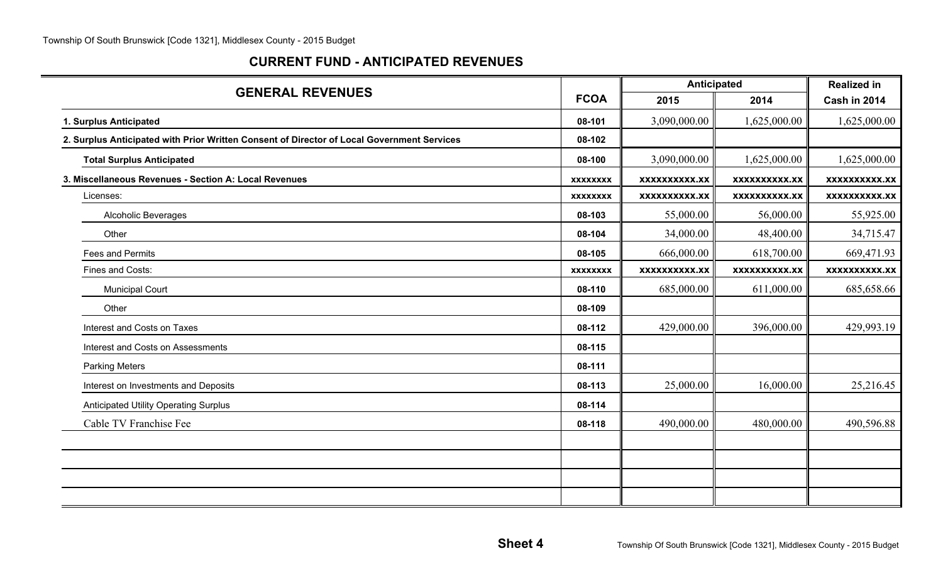### **CURRENT FUND - ANTICIPATED REVENUES**

| <b>GENERAL REVENUES</b>                                                                    |                 | <b>Anticipated</b>   |                      | <b>Realized in</b>   |
|--------------------------------------------------------------------------------------------|-----------------|----------------------|----------------------|----------------------|
|                                                                                            |                 | 2015                 | 2014                 | Cash in 2014         |
| 1. Surplus Anticipated                                                                     | 08-101          | 3,090,000.00         | 1,625,000.00         | 1,625,000.00         |
| 2. Surplus Anticipated with Prior Written Consent of Director of Local Government Services | 08-102          |                      |                      |                      |
| <b>Total Surplus Anticipated</b>                                                           | 08-100          | 3,090,000.00         | 1,625,000.00         | 1,625,000.00         |
| 3. Miscellaneous Revenues - Section A: Local Revenues                                      | <b>XXXXXXXX</b> | <b>XXXXXXXXXX.XX</b> | <b>XXXXXXXXXX.XX</b> | <b>XXXXXXXXXX.XX</b> |
| Licenses:                                                                                  | <b>XXXXXXXX</b> | <b>XXXXXXXXXX.XX</b> | <b>XXXXXXXXXX.XX</b> | <b>XXXXXXXXXX.XX</b> |
| <b>Alcoholic Beverages</b>                                                                 | 08-103          | 55,000.00            | 56,000.00            | 55,925.00            |
| Other                                                                                      | 08-104          | 34,000.00            | 48,400.00            | 34,715.47            |
| <b>Fees and Permits</b>                                                                    | 08-105          | 666,000.00           | 618,700.00           | 669,471.93           |
| Fines and Costs:                                                                           | <b>XXXXXXXX</b> | <b>XXXXXXXXXX.XX</b> | <b>XXXXXXXXXX.XX</b> | <b>XXXXXXXXXX.XX</b> |
| <b>Municipal Court</b>                                                                     | 08-110          | 685,000.00           | 611,000.00           | 685,658.66           |
| Other                                                                                      | 08-109          |                      |                      |                      |
| Interest and Costs on Taxes                                                                | 08-112          | 429,000.00           | 396,000.00           | 429,993.19           |
| Interest and Costs on Assessments                                                          | 08-115          |                      |                      |                      |
| <b>Parking Meters</b>                                                                      | 08-111          |                      |                      |                      |
| Interest on Investments and Deposits                                                       | 08-113          | 25,000.00            | 16,000.00            | 25,216.45            |
| Anticipated Utility Operating Surplus                                                      | 08-114          |                      |                      |                      |
| Cable TV Franchise Fee                                                                     | 08-118          | 490,000.00           | 480,000.00           | 490,596.88           |
|                                                                                            |                 |                      |                      |                      |
|                                                                                            |                 |                      |                      |                      |
|                                                                                            |                 |                      |                      |                      |
|                                                                                            |                 |                      |                      |                      |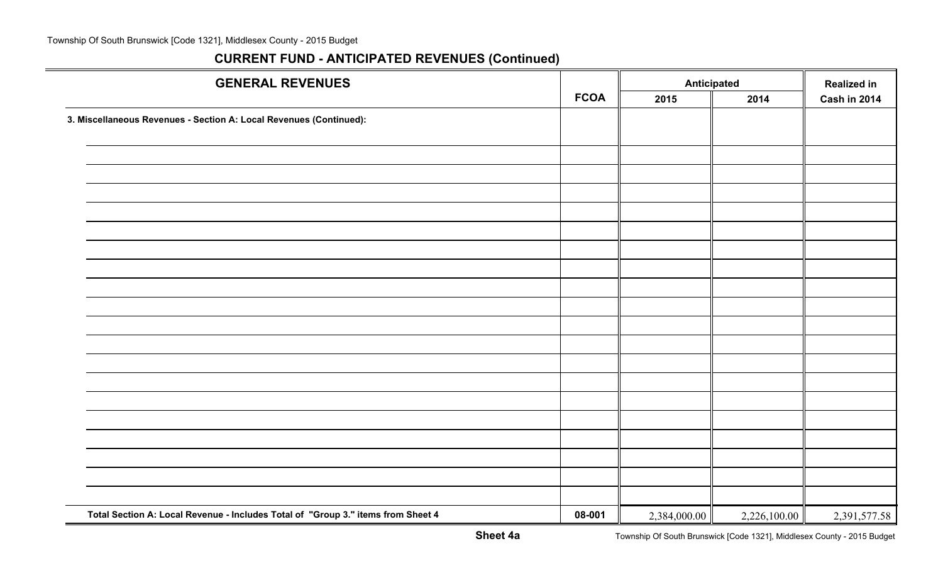| <b>GENERAL REVENUES</b>                                                          |             | <b>Anticipated</b> |              | <b>Realized in</b> |  |
|----------------------------------------------------------------------------------|-------------|--------------------|--------------|--------------------|--|
|                                                                                  | <b>FCOA</b> | 2015               | 2014         | Cash in 2014       |  |
| 3. Miscellaneous Revenues - Section A: Local Revenues (Continued):               |             |                    |              |                    |  |
|                                                                                  |             |                    |              |                    |  |
|                                                                                  |             |                    |              |                    |  |
|                                                                                  |             |                    |              |                    |  |
|                                                                                  |             |                    |              |                    |  |
|                                                                                  |             |                    |              |                    |  |
|                                                                                  |             |                    |              |                    |  |
|                                                                                  |             |                    |              |                    |  |
|                                                                                  |             |                    |              |                    |  |
|                                                                                  |             |                    |              |                    |  |
|                                                                                  |             |                    |              |                    |  |
|                                                                                  |             |                    |              |                    |  |
|                                                                                  |             |                    |              |                    |  |
|                                                                                  |             |                    |              |                    |  |
|                                                                                  |             |                    |              |                    |  |
|                                                                                  |             |                    |              |                    |  |
|                                                                                  |             |                    |              |                    |  |
|                                                                                  |             |                    |              |                    |  |
|                                                                                  |             |                    |              |                    |  |
|                                                                                  |             |                    |              |                    |  |
| Total Section A: Local Revenue - Includes Total of "Group 3." items from Sheet 4 | 08-001      | 2,384,000.00       | 2,226,100.00 | 2,391,577.58       |  |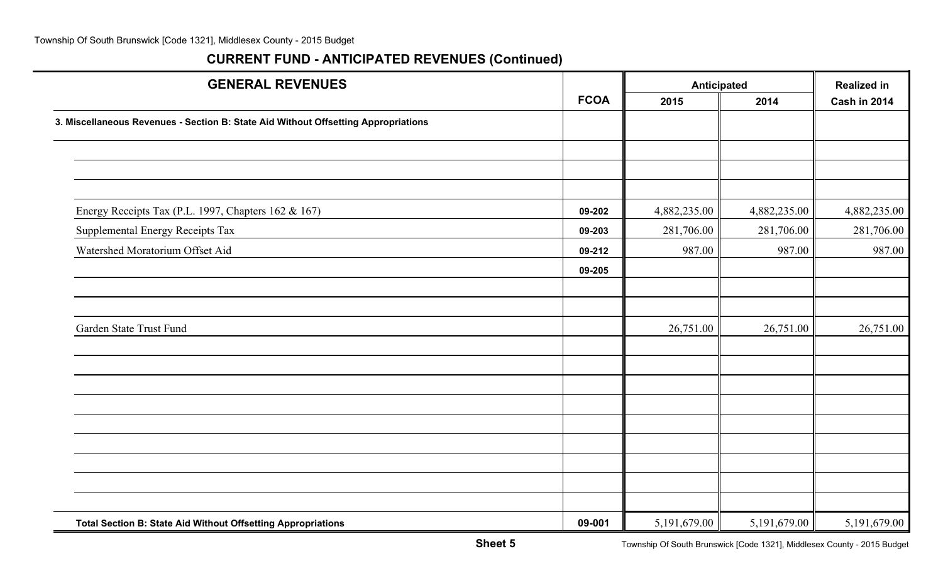| <b>GENERAL REVENUES</b>                                                            |             | <b>Anticipated</b> | <b>Realized in</b> |                |
|------------------------------------------------------------------------------------|-------------|--------------------|--------------------|----------------|
|                                                                                    | <b>FCOA</b> | 2015               | 2014               | Cash in 2014   |
| 3. Miscellaneous Revenues - Section B: State Aid Without Offsetting Appropriations |             |                    |                    |                |
|                                                                                    |             |                    |                    |                |
|                                                                                    |             |                    |                    |                |
|                                                                                    |             |                    |                    |                |
| Energy Receipts Tax (P.L. 1997, Chapters 162 & 167)                                | 09-202      | 4,882,235.00       | 4,882,235.00       | 4,882,235.00   |
| Supplemental Energy Receipts Tax                                                   | 09-203      | 281,706.00         | 281,706.00         | 281,706.00     |
| Watershed Moratorium Offset Aid                                                    | 09-212      | 987.00             | 987.00             | 987.00         |
|                                                                                    | 09-205      |                    |                    |                |
|                                                                                    |             |                    |                    |                |
|                                                                                    |             |                    |                    |                |
| Garden State Trust Fund                                                            |             | 26,751.00          | 26,751.00          | 26,751.00      |
|                                                                                    |             |                    |                    |                |
|                                                                                    |             |                    |                    |                |
|                                                                                    |             |                    |                    |                |
|                                                                                    |             |                    |                    |                |
|                                                                                    |             |                    |                    |                |
|                                                                                    |             |                    |                    |                |
|                                                                                    |             |                    |                    |                |
|                                                                                    |             |                    |                    |                |
|                                                                                    |             |                    |                    |                |
| Total Section B: State Aid Without Offsetting Appropriations                       | 09-001      | 5,191,679.00       | 5,191,679.00       | 5, 191, 679.00 |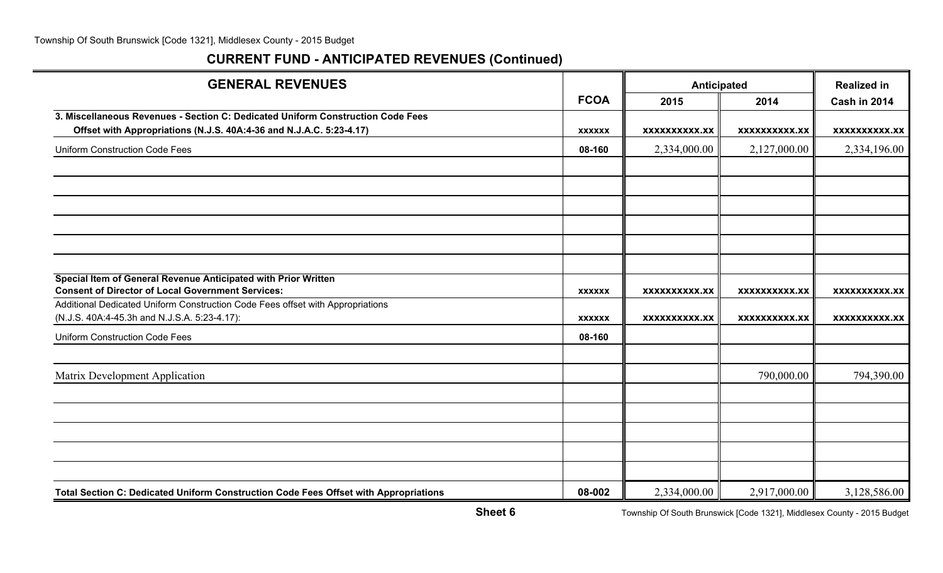# **CURRENT FUND - ANTICIPATED REVENUES (Continued)**

| <b>GENERAL REVENUES</b>                                                                                                    |               | <b>Anticipated</b>   | <b>Realized in</b>   |                      |
|----------------------------------------------------------------------------------------------------------------------------|---------------|----------------------|----------------------|----------------------|
|                                                                                                                            | <b>FCOA</b>   | 2015                 | 2014                 | Cash in 2014         |
| 3. Miscellaneous Revenues - Section C: Dedicated Uniform Construction Code Fees                                            |               |                      |                      |                      |
| Offset with Appropriations (N.J.S. 40A:4-36 and N.J.A.C. 5:23-4.17)                                                        | <b>XXXXXX</b> | <b>XXXXXXXXXX.XX</b> | <b>XXXXXXXXXX.XX</b> | <b>XXXXXXXXXX.XX</b> |
| <b>Uniform Construction Code Fees</b>                                                                                      | 08-160        | 2,334,000.00         | 2,127,000.00         | 2,334,196.00         |
|                                                                                                                            |               |                      |                      |                      |
|                                                                                                                            |               |                      |                      |                      |
|                                                                                                                            |               |                      |                      |                      |
|                                                                                                                            |               |                      |                      |                      |
|                                                                                                                            |               |                      |                      |                      |
|                                                                                                                            |               |                      |                      |                      |
| Special Item of General Revenue Anticipated with Prior Written<br><b>Consent of Director of Local Government Services:</b> | <b>XXXXXX</b> | <b>XXXXXXXXXX.XX</b> | <b>XXXXXXXXXX.XX</b> | <b>XXXXXXXXXX.XX</b> |
| Additional Dedicated Uniform Construction Code Fees offset with Appropriations                                             |               |                      |                      |                      |
| (N.J.S. 40A:4-45.3h and N.J.S.A. 5:23-4.17):                                                                               | <b>XXXXXX</b> | <b>XXXXXXXXXX.XX</b> | <b>XXXXXXXXXX.XX</b> | <b>XXXXXXXXXX.XX</b> |
| <b>Uniform Construction Code Fees</b>                                                                                      | 08-160        |                      |                      |                      |
|                                                                                                                            |               |                      |                      |                      |
| Matrix Development Application                                                                                             |               |                      | 790,000.00           | 794,390.00           |
|                                                                                                                            |               |                      |                      |                      |
|                                                                                                                            |               |                      |                      |                      |
|                                                                                                                            |               |                      |                      |                      |
|                                                                                                                            |               |                      |                      |                      |
|                                                                                                                            |               |                      |                      |                      |
| Total Section C: Dedicated Uniform Construction Code Fees Offset with Appropriations                                       | 08-002        | 2,334,000.00         | 2,917,000.00         | 3,128,586.00         |

Township Of South Brunswick [Code 1321], Middlesex County - 2015 Budget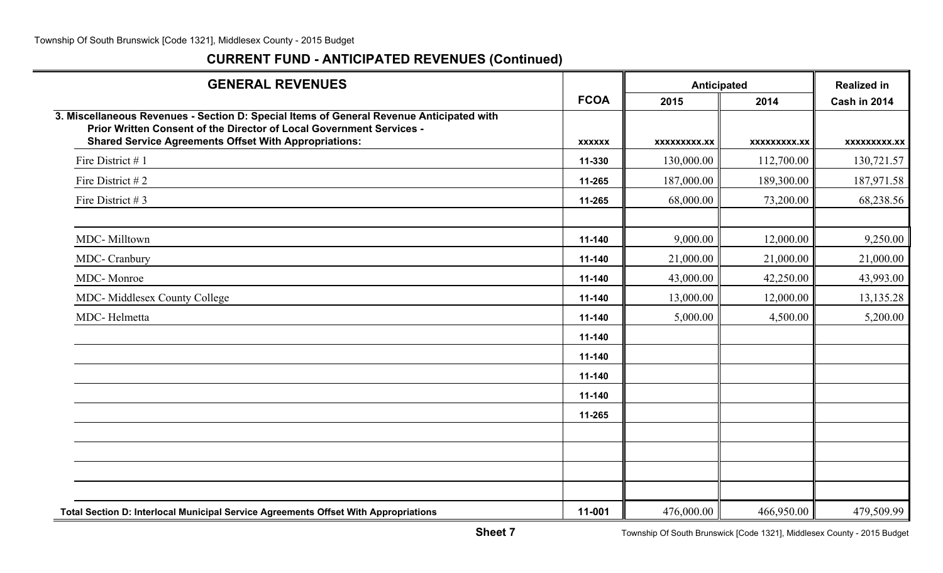| <b>GENERAL REVENUES</b>                                                                                                                                                                                                          |               | <b>Anticipated</b> |                     | <b>Realized in</b> |
|----------------------------------------------------------------------------------------------------------------------------------------------------------------------------------------------------------------------------------|---------------|--------------------|---------------------|--------------------|
|                                                                                                                                                                                                                                  | <b>FCOA</b>   | 2015               | 2014                | Cash in 2014       |
| 3. Miscellaneous Revenues - Section D: Special Items of General Revenue Anticipated with<br>Prior Written Consent of the Director of Local Government Services -<br><b>Shared Service Agreements Offset With Appropriations:</b> | <b>XXXXXX</b> | xxxxxxxxx.xx       | <b>XXXXXXXXX.XX</b> | xxxxxxxxx.xx       |
| Fire District #1                                                                                                                                                                                                                 | 11-330        | 130,000.00         | 112,700.00          | 130,721.57         |
| Fire District #2                                                                                                                                                                                                                 | 11-265        | 187,000.00         | 189,300.00          | 187,971.58         |
| Fire District # 3                                                                                                                                                                                                                | 11-265        | 68,000.00          | 73,200.00           | 68,238.56          |
|                                                                                                                                                                                                                                  |               |                    |                     |                    |
| MDC-Milltown                                                                                                                                                                                                                     | 11-140        | 9,000.00           | 12,000.00           | 9,250.00           |
| MDC- Cranbury                                                                                                                                                                                                                    | 11-140        | 21,000.00          | 21,000.00           | 21,000.00          |
| MDC-Monroe                                                                                                                                                                                                                       | 11-140        | 43,000.00          | 42,250.00           | 43,993.00          |
| MDC- Middlesex County College                                                                                                                                                                                                    | 11-140        | 13,000.00          | 12,000.00           | 13,135.28          |
| MDC-Helmetta                                                                                                                                                                                                                     | 11-140        | 5,000.00           | 4,500.00            | 5,200.00           |
|                                                                                                                                                                                                                                  | 11-140        |                    |                     |                    |
|                                                                                                                                                                                                                                  | 11-140        |                    |                     |                    |
|                                                                                                                                                                                                                                  | 11-140        |                    |                     |                    |
|                                                                                                                                                                                                                                  | 11-140        |                    |                     |                    |
|                                                                                                                                                                                                                                  | 11-265        |                    |                     |                    |
|                                                                                                                                                                                                                                  |               |                    |                     |                    |
|                                                                                                                                                                                                                                  |               |                    |                     |                    |
|                                                                                                                                                                                                                                  |               |                    |                     |                    |
|                                                                                                                                                                                                                                  |               |                    |                     |                    |
| Total Section D: Interlocal Municipal Service Agreements Offset With Appropriations                                                                                                                                              | 11-001        | 476,000.00         | 466,950.00          | 479,509.99         |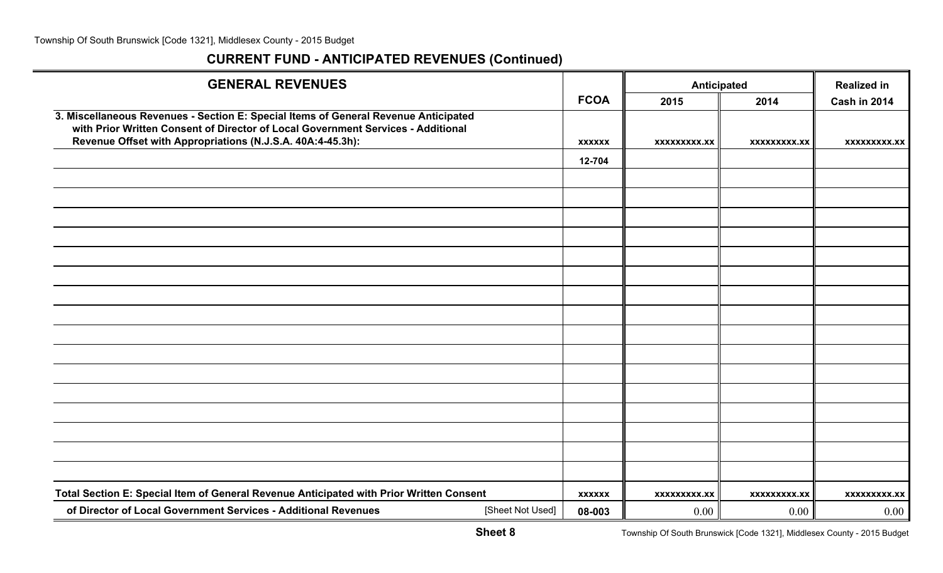| <b>GENERAL REVENUES</b>                                                                 |               | Anticipated         |                     | <b>Realized in</b>  |
|-----------------------------------------------------------------------------------------|---------------|---------------------|---------------------|---------------------|
|                                                                                         | <b>FCOA</b>   | 2015                | 2014                | Cash in 2014        |
| 3. Miscellaneous Revenues - Section E: Special Items of General Revenue Anticipated     |               |                     |                     |                     |
| with Prior Written Consent of Director of Local Government Services - Additional        |               |                     |                     |                     |
| Revenue Offset with Appropriations (N.J.S.A. 40A:4-45.3h):                              | <b>XXXXXX</b> | XXXXXXXXX.XX        | XXXXXXXXX.XX        | XXXXXXXXX.XX        |
|                                                                                         | 12-704        |                     |                     |                     |
|                                                                                         |               |                     |                     |                     |
|                                                                                         |               |                     |                     |                     |
|                                                                                         |               |                     |                     |                     |
|                                                                                         |               |                     |                     |                     |
|                                                                                         |               |                     |                     |                     |
|                                                                                         |               |                     |                     |                     |
|                                                                                         |               |                     |                     |                     |
|                                                                                         |               |                     |                     |                     |
|                                                                                         |               |                     |                     |                     |
|                                                                                         |               |                     |                     |                     |
|                                                                                         |               |                     |                     |                     |
|                                                                                         |               |                     |                     |                     |
|                                                                                         |               |                     |                     |                     |
|                                                                                         |               |                     |                     |                     |
|                                                                                         |               |                     |                     |                     |
|                                                                                         |               |                     |                     |                     |
| Total Section E: Special Item of General Revenue Anticipated with Prior Written Consent | <b>XXXXXX</b> | <b>XXXXXXXXX.XX</b> | <b>XXXXXXXXX.XX</b> | <b>XXXXXXXXX.XX</b> |
| of Director of Local Government Services - Additional Revenues<br>[Sheet Not Used]      | 08-003        | 0.00                | 0.00                | 0.00                |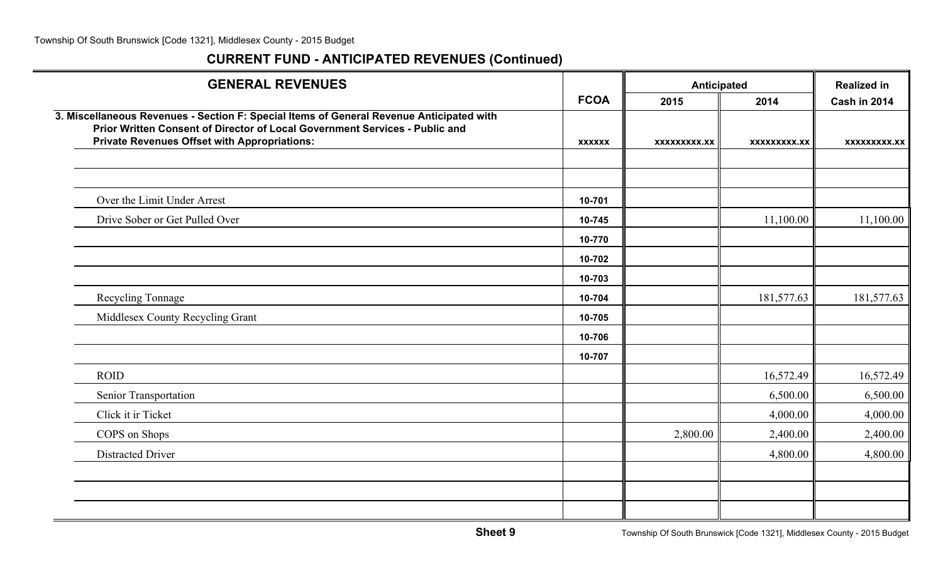| <b>GENERAL REVENUES</b>                                                                                                                                                 |               | Anticipated        |                     | <b>Realized in</b>  |
|-------------------------------------------------------------------------------------------------------------------------------------------------------------------------|---------------|--------------------|---------------------|---------------------|
|                                                                                                                                                                         | <b>FCOA</b>   | 2015               | 2014                | Cash in 2014        |
| 3. Miscellaneous Revenues - Section F: Special Items of General Revenue Anticipated with<br>Prior Written Consent of Director of Local Government Services - Public and |               |                    |                     |                     |
| <b>Private Revenues Offset with Appropriations:</b>                                                                                                                     | <b>XXXXXX</b> | <b>XXXXXXXX.XX</b> | <b>XXXXXXXXX.XX</b> | <b>XXXXXXXXX.XX</b> |
|                                                                                                                                                                         |               |                    |                     |                     |
|                                                                                                                                                                         |               |                    |                     |                     |
| Over the Limit Under Arrest                                                                                                                                             | 10-701        |                    |                     |                     |
| Drive Sober or Get Pulled Over                                                                                                                                          | 10-745        |                    | 11,100.00           | 11,100.00           |
|                                                                                                                                                                         | 10-770        |                    |                     |                     |
|                                                                                                                                                                         | 10-702        |                    |                     |                     |
|                                                                                                                                                                         | 10-703        |                    |                     |                     |
| Recycling Tonnage                                                                                                                                                       | 10-704        |                    | 181,577.63          | 181,577.63          |
| Middlesex County Recycling Grant                                                                                                                                        | 10-705        |                    |                     |                     |
|                                                                                                                                                                         | 10-706        |                    |                     |                     |
|                                                                                                                                                                         | 10-707        |                    |                     |                     |
| <b>ROID</b>                                                                                                                                                             |               |                    | 16,572.49           | 16,572.49           |
| Senior Transportation                                                                                                                                                   |               |                    | 6,500.00            | 6,500.00            |
| Click it ir Ticket                                                                                                                                                      |               |                    | 4,000.00            | 4,000.00            |
| COPS on Shops                                                                                                                                                           |               | 2,800.00           | 2,400.00            | 2,400.00            |
| <b>Distracted Driver</b>                                                                                                                                                |               |                    | 4,800.00            | 4,800.00            |
|                                                                                                                                                                         |               |                    |                     |                     |
|                                                                                                                                                                         |               |                    |                     |                     |
|                                                                                                                                                                         |               |                    |                     |                     |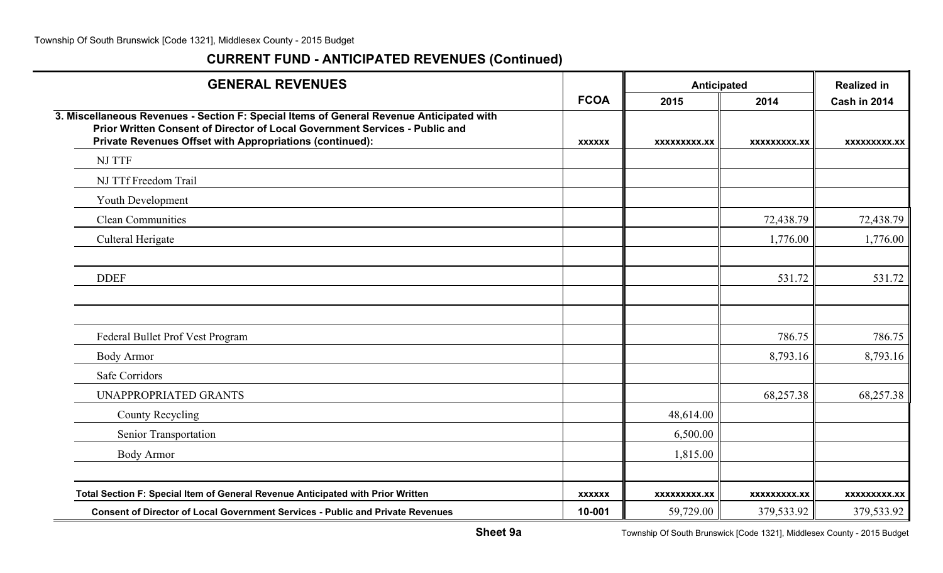# **CURRENT FUND - ANTICIPATED REVENUES (Continued)**

| <b>GENERAL REVENUES</b>                                                                                                                                                                                                             |               | Anticipated  |                     | <b>Realized in</b>  |
|-------------------------------------------------------------------------------------------------------------------------------------------------------------------------------------------------------------------------------------|---------------|--------------|---------------------|---------------------|
|                                                                                                                                                                                                                                     | <b>FCOA</b>   | 2015         | 2014                | Cash in 2014        |
| 3. Miscellaneous Revenues - Section F: Special Items of General Revenue Anticipated with<br>Prior Written Consent of Director of Local Government Services - Public and<br>Private Revenues Offset with Appropriations (continued): | <b>XXXXXX</b> | XXXXXXXXX.XX | <b>XXXXXXXXX.XX</b> | <b>XXXXXXXXX.XX</b> |
| <b>NJ TTF</b>                                                                                                                                                                                                                       |               |              |                     |                     |
| NJ TTf Freedom Trail                                                                                                                                                                                                                |               |              |                     |                     |
| Youth Development                                                                                                                                                                                                                   |               |              |                     |                     |
| <b>Clean Communities</b>                                                                                                                                                                                                            |               |              | 72,438.79           | 72,438.79           |
| Culteral Herigate                                                                                                                                                                                                                   |               |              | 1,776.00            | 1,776.00            |
|                                                                                                                                                                                                                                     |               |              |                     |                     |
| <b>DDEF</b>                                                                                                                                                                                                                         |               |              | 531.72              | 531.72              |
|                                                                                                                                                                                                                                     |               |              |                     |                     |
|                                                                                                                                                                                                                                     |               |              |                     |                     |
| Federal Bullet Prof Vest Program                                                                                                                                                                                                    |               |              | 786.75              | 786.75              |
| <b>Body Armor</b>                                                                                                                                                                                                                   |               |              | 8,793.16            | 8,793.16            |
| Safe Corridors                                                                                                                                                                                                                      |               |              |                     |                     |
| UNAPPROPRIATED GRANTS                                                                                                                                                                                                               |               |              | 68,257.38           | 68,257.38           |
| County Recycling                                                                                                                                                                                                                    |               | 48,614.00    |                     |                     |
| Senior Transportation                                                                                                                                                                                                               |               | 6,500.00     |                     |                     |
| <b>Body Armor</b>                                                                                                                                                                                                                   |               | 1,815.00     |                     |                     |
|                                                                                                                                                                                                                                     |               |              |                     |                     |
| Total Section F: Special Item of General Revenue Anticipated with Prior Written                                                                                                                                                     | <b>XXXXXX</b> | XXXXXXXXX.XX | XXXXXXXXX.XX        | XXXXXXXXX.XX        |
| <b>Consent of Director of Local Government Services - Public and Private Revenues</b>                                                                                                                                               | 10-001        | 59,729.00    | 379,533.92          | 379,533.92          |

Township Of South Brunswick [Code 1321], Middlesex County - 2015 Budget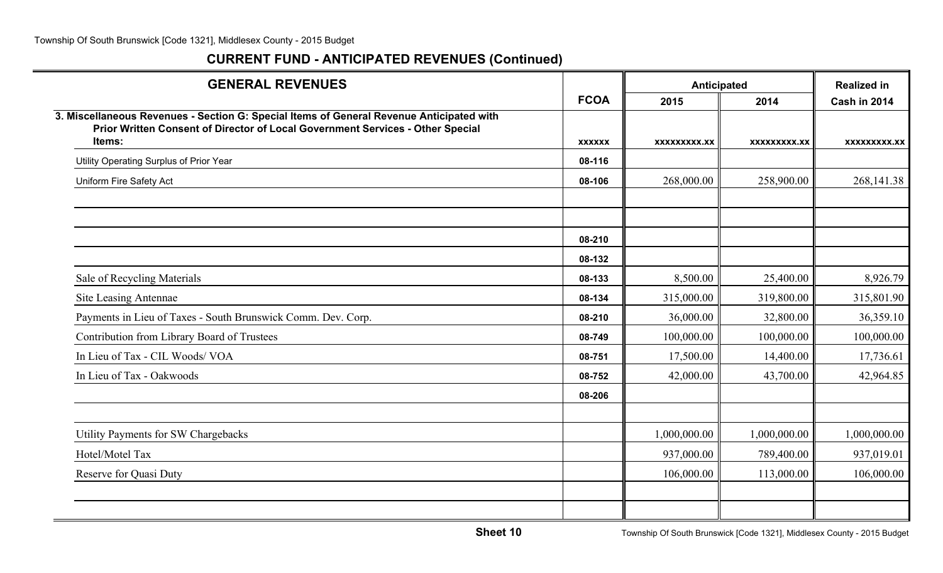| <b>GENERAL REVENUES</b>                                                                                                                                                    |               | <b>Anticipated</b>  |                     | <b>Realized in</b>  |
|----------------------------------------------------------------------------------------------------------------------------------------------------------------------------|---------------|---------------------|---------------------|---------------------|
|                                                                                                                                                                            | <b>FCOA</b>   | 2015                | 2014                | Cash in 2014        |
| 3. Miscellaneous Revenues - Section G: Special Items of General Revenue Anticipated with<br>Prior Written Consent of Director of Local Government Services - Other Special |               |                     |                     |                     |
| Items:                                                                                                                                                                     | <b>XXXXXX</b> | <b>XXXXXXXXX.XX</b> | <b>XXXXXXXXX.XX</b> | <b>XXXXXXXXX.XX</b> |
| Utility Operating Surplus of Prior Year                                                                                                                                    | 08-116        |                     |                     |                     |
| Uniform Fire Safety Act                                                                                                                                                    | 08-106        | 268,000.00          | 258,900.00          | 268, 141.38         |
|                                                                                                                                                                            |               |                     |                     |                     |
|                                                                                                                                                                            |               |                     |                     |                     |
|                                                                                                                                                                            | 08-210        |                     |                     |                     |
|                                                                                                                                                                            | 08-132        |                     |                     |                     |
| Sale of Recycling Materials                                                                                                                                                | 08-133        | 8,500.00            | 25,400.00           | 8,926.79            |
| Site Leasing Antennae                                                                                                                                                      | 08-134        | 315,000.00          | 319,800.00          | 315,801.90          |
| Payments in Lieu of Taxes - South Brunswick Comm. Dev. Corp.                                                                                                               | 08-210        | 36,000.00           | 32,800.00           | 36,359.10           |
| Contribution from Library Board of Trustees                                                                                                                                | 08-749        | 100,000.00          | 100,000.00          | 100,000.00          |
| In Lieu of Tax - CIL Woods/ VOA                                                                                                                                            | 08-751        | 17,500.00           | 14,400.00           | 17,736.61           |
| In Lieu of Tax - Oakwoods                                                                                                                                                  | 08-752        | 42,000.00           | 43,700.00           | 42,964.85           |
|                                                                                                                                                                            | 08-206        |                     |                     |                     |
|                                                                                                                                                                            |               |                     |                     |                     |
| Utility Payments for SW Chargebacks                                                                                                                                        |               | 1,000,000.00        | 1,000,000.00        | 1,000,000.00        |
| Hotel/Motel Tax                                                                                                                                                            |               | 937,000.00          | 789,400.00          | 937,019.01          |
| Reserve for Quasi Duty                                                                                                                                                     |               | 106,000.00          | 113,000.00          | 106,000.00          |
|                                                                                                                                                                            |               |                     |                     |                     |
|                                                                                                                                                                            |               |                     |                     |                     |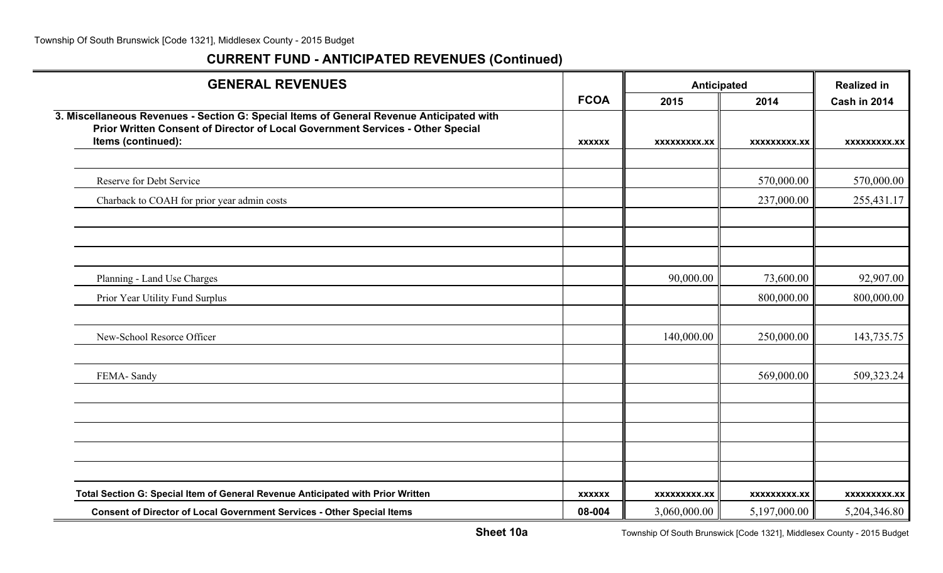| <b>GENERAL REVENUES</b>                                                                                                                                                                          |               | Anticipated  |              | <b>Realized in</b>  |
|--------------------------------------------------------------------------------------------------------------------------------------------------------------------------------------------------|---------------|--------------|--------------|---------------------|
|                                                                                                                                                                                                  | <b>FCOA</b>   | 2015         | 2014         | Cash in 2014        |
| 3. Miscellaneous Revenues - Section G: Special Items of General Revenue Anticipated with<br>Prior Written Consent of Director of Local Government Services - Other Special<br>Items (continued): |               |              |              |                     |
|                                                                                                                                                                                                  | <b>XXXXXX</b> | XXXXXXXXX.XX | XXXXXXXXX.XX | <b>XXXXXXXXX.XX</b> |
| <b>Reserve for Debt Service</b>                                                                                                                                                                  |               |              | 570,000.00   | 570,000.00          |
| Charback to COAH for prior year admin costs                                                                                                                                                      |               |              | 237,000.00   | 255,431.17          |
|                                                                                                                                                                                                  |               |              |              |                     |
|                                                                                                                                                                                                  |               |              |              |                     |
|                                                                                                                                                                                                  |               |              |              |                     |
| Planning - Land Use Charges                                                                                                                                                                      |               | 90,000.00    | 73,600.00    | 92,907.00           |
| Prior Year Utility Fund Surplus                                                                                                                                                                  |               |              | 800,000.00   | 800,000.00          |
|                                                                                                                                                                                                  |               |              |              |                     |
| New-School Resorce Officer                                                                                                                                                                       |               | 140,000.00   | 250,000.00   | 143,735.75          |
|                                                                                                                                                                                                  |               |              |              |                     |
| FEMA-Sandy                                                                                                                                                                                       |               |              | 569,000.00   | 509,323.24          |
|                                                                                                                                                                                                  |               |              |              |                     |
|                                                                                                                                                                                                  |               |              |              |                     |
|                                                                                                                                                                                                  |               |              |              |                     |
|                                                                                                                                                                                                  |               |              |              |                     |
|                                                                                                                                                                                                  |               |              |              |                     |
| Total Section G: Special Item of General Revenue Anticipated with Prior Written                                                                                                                  | <b>XXXXXX</b> | XXXXXXXXX.XX | XXXXXXXXX.XX | XXXXXXXXX.XX        |
| <b>Consent of Director of Local Government Services - Other Special Items</b>                                                                                                                    | 08-004        | 3,060,000.00 | 5,197,000.00 | 5,204,346.80        |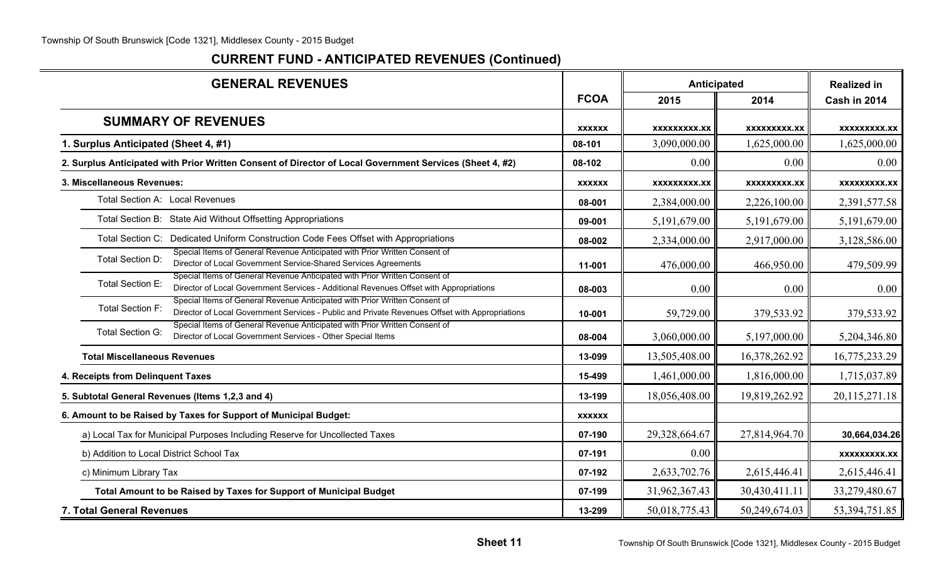| <b>GENERAL REVENUES</b>                                                                                                                                                                          |               | Anticipated         |                     | <b>Realized in</b>  |
|--------------------------------------------------------------------------------------------------------------------------------------------------------------------------------------------------|---------------|---------------------|---------------------|---------------------|
|                                                                                                                                                                                                  | <b>FCOA</b>   | 2015                | 2014                | Cash in 2014        |
| <b>SUMMARY OF REVENUES</b>                                                                                                                                                                       | <b>XXXXXX</b> | <b>XXXXXXXXX.XX</b> | <b>XXXXXXXXX.XX</b> | <b>XXXXXXXXX.XX</b> |
| 1. Surplus Anticipated (Sheet 4, #1)                                                                                                                                                             | 08-101        | 3,090,000.00        | 1,625,000.00        | 1,625,000.00        |
| 2. Surplus Anticipated with Prior Written Consent of Director of Local Government Services (Sheet 4, #2)                                                                                         | 08-102        | 0.00                | 0.00                | 0.00                |
| 3. Miscellaneous Revenues:                                                                                                                                                                       | <b>XXXXXX</b> | XXXXXXXXX.XX        | <b>XXXXXXXXX.XX</b> | <b>XXXXXXXXX.XX</b> |
| Total Section A: Local Revenues                                                                                                                                                                  | 08-001        | 2,384,000.00        | 2,226,100.00        | 2,391,577.58        |
| Total Section B: State Aid Without Offsetting Appropriations                                                                                                                                     | 09-001        | 5, 191, 679.00      | 5,191,679.00        | 5,191,679.00        |
| Total Section C: Dedicated Uniform Construction Code Fees Offset with Appropriations                                                                                                             | 08-002        | 2,334,000.00        | 2,917,000.00        | 3,128,586.00        |
| Special Items of General Revenue Anticipated with Prior Written Consent of<br>Total Section D:<br>Director of Local Government Service-Shared Services Agreements                                | 11-001        | 476,000.00          | 466,950.00          | 479,509.99          |
| Special Items of General Revenue Anticipated with Prior Written Consent of<br>Total Section E:<br>Director of Local Government Services - Additional Revenues Offset with Appropriations         | 08-003        | 0.00                | 0.00                | 0.00                |
| Special Items of General Revenue Anticipated with Prior Written Consent of<br>Total Section F:<br>Director of Local Government Services - Public and Private Revenues Offset with Appropriations | 10-001        | 59,729.00           | 379,533.92          | 379,533.92          |
| Special Items of General Revenue Anticipated with Prior Written Consent of<br>Total Section G:<br>Director of Local Government Services - Other Special Items                                    | 08-004        | 3,060,000.00        | 5,197,000.00        | 5,204,346.80        |
| <b>Total Miscellaneous Revenues</b>                                                                                                                                                              | 13-099        | 13,505,408.00       | 16,378,262.92       | 16,775,233.29       |
| 4. Receipts from Delinquent Taxes                                                                                                                                                                | 15-499        | 1,461,000.00        | 1,816,000.00        | 1,715,037.89        |
| 5. Subtotal General Revenues (Items 1,2,3 and 4)                                                                                                                                                 | 13-199        | 18,056,408.00       | 19,819,262.92       | 20,115,271.18       |
| 6. Amount to be Raised by Taxes for Support of Municipal Budget:                                                                                                                                 | <b>XXXXXX</b> |                     |                     |                     |
| a) Local Tax for Municipal Purposes Including Reserve for Uncollected Taxes                                                                                                                      | 07-190        | 29,328,664.67       | 27,814,964.70       | 30,664,034.26       |
| b) Addition to Local District School Tax                                                                                                                                                         | 07-191        | 0.00                |                     | <b>XXXXXXXXX.XX</b> |
| c) Minimum Library Tax                                                                                                                                                                           | 07-192        | 2,633,702.76        | 2,615,446.41        | 2,615,446.41        |
| Total Amount to be Raised by Taxes for Support of Municipal Budget                                                                                                                               | 07-199        | 31,962,367.43       | 30,430,411.11       | 33,279,480.67       |
| 7. Total General Revenues                                                                                                                                                                        | 13-299        | 50,018,775.43       | 50,249,674.03       | 53, 394, 751.85     |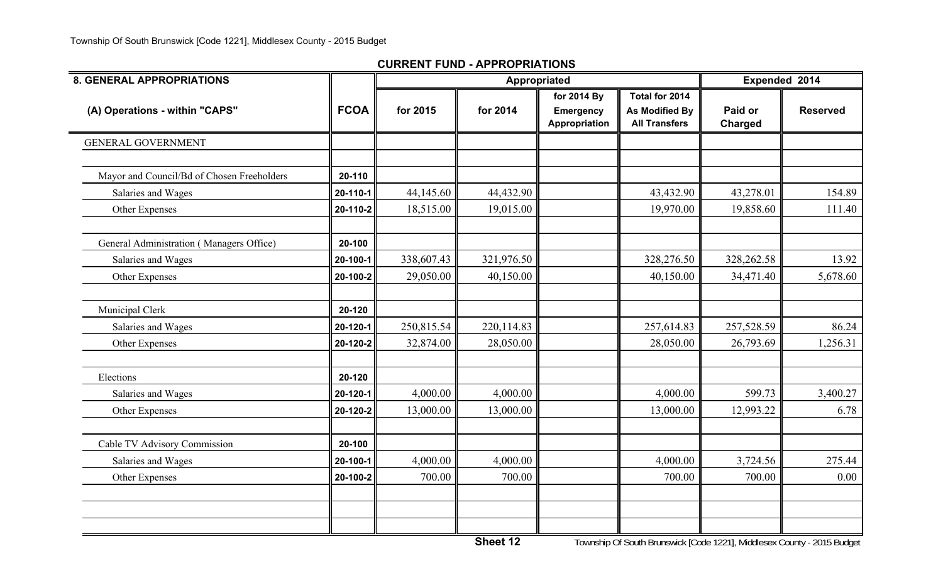| <b>8. GENERAL APPROPRIATIONS</b>           |             |            |            | Appropriated                    |                                         | Expended 2014 |                 |  |
|--------------------------------------------|-------------|------------|------------|---------------------------------|-----------------------------------------|---------------|-----------------|--|
| (A) Operations - within "CAPS"             | <b>FCOA</b> | for 2015   | for 2014   | for 2014 By<br><b>Emergency</b> | Total for 2014<br><b>As Modified By</b> | Paid or       | <b>Reserved</b> |  |
|                                            |             |            |            | Appropriation                   | <b>All Transfers</b>                    | Charged       |                 |  |
| <b>GENERAL GOVERNMENT</b>                  |             |            |            |                                 |                                         |               |                 |  |
|                                            |             |            |            |                                 |                                         |               |                 |  |
| Mayor and Council/Bd of Chosen Freeholders | 20-110      |            |            |                                 |                                         |               |                 |  |
| Salaries and Wages                         | 20-110-1    | 44,145.60  | 44,432.90  |                                 | 43,432.90                               | 43,278.01     | 154.89          |  |
| Other Expenses                             | 20-110-2    | 18,515.00  | 19,015.00  |                                 | 19,970.00                               | 19,858.60     | 111.40          |  |
| General Administration (Managers Office)   | 20-100      |            |            |                                 |                                         |               |                 |  |
| Salaries and Wages                         | 20-100-1    | 338,607.43 | 321,976.50 |                                 | 328,276.50                              | 328,262.58    | 13.92           |  |
| Other Expenses                             | 20-100-2    | 29,050.00  | 40,150.00  |                                 | 40,150.00                               | 34,471.40     | 5,678.60        |  |
| Municipal Clerk                            | 20-120      |            |            |                                 |                                         |               |                 |  |
| Salaries and Wages                         | 20-120-1    | 250,815.54 | 220,114.83 |                                 | 257,614.83                              | 257,528.59    | 86.24           |  |
| Other Expenses                             | 20-120-2    | 32,874.00  | 28,050.00  |                                 | 28,050.00                               | 26,793.69     | 1,256.31        |  |
| Elections                                  | 20-120      |            |            |                                 |                                         |               |                 |  |
| Salaries and Wages                         | 20-120-1    | 4,000.00   | 4,000.00   |                                 | 4,000.00                                | 599.73        | 3,400.27        |  |
| Other Expenses                             | 20-120-2    | 13,000.00  | 13,000.00  |                                 | 13,000.00                               | 12,993.22     | 6.78            |  |
| Cable TV Advisory Commission               | 20-100      |            |            |                                 |                                         |               |                 |  |
| Salaries and Wages                         | 20-100-1    | 4,000.00   | 4,000.00   |                                 | 4,000.00                                | 3,724.56      | 275.44          |  |
| Other Expenses                             | 20-100-2    | 700.00     | 700.00     |                                 | 700.00                                  | 700.00        | 0.00            |  |
|                                            |             |            |            |                                 |                                         |               |                 |  |
|                                            |             |            |            |                                 |                                         |               |                 |  |
|                                            |             |            |            |                                 |                                         |               |                 |  |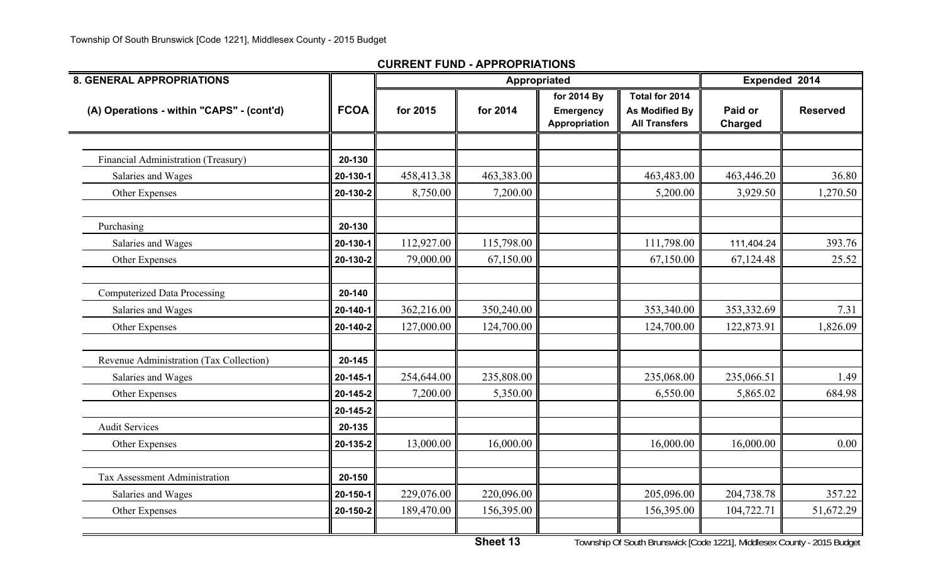| <b>8. GENERAL APPROPRIATIONS</b>          |             |            | Appropriated |                                                  |                                                          | Expended 2014      |                 |  |
|-------------------------------------------|-------------|------------|--------------|--------------------------------------------------|----------------------------------------------------------|--------------------|-----------------|--|
| (A) Operations - within "CAPS" - (cont'd) | <b>FCOA</b> | for 2015   | for 2014     | for 2014 By<br><b>Emergency</b><br>Appropriation | Total for 2014<br>As Modified By<br><b>All Transfers</b> | Paid or<br>Charged | <b>Reserved</b> |  |
|                                           |             |            |              |                                                  |                                                          |                    |                 |  |
| Financial Administration (Treasury)       | 20-130      |            |              |                                                  |                                                          |                    |                 |  |
| Salaries and Wages                        | 20-130-1    | 458,413.38 | 463,383.00   |                                                  | 463,483.00                                               | 463,446.20         | 36.80           |  |
| Other Expenses                            | 20-130-2    | 8,750.00   | 7,200.00     |                                                  | 5,200.00                                                 | 3,929.50           | 1,270.50        |  |
| Purchasing                                | 20-130      |            |              |                                                  |                                                          |                    |                 |  |
| Salaries and Wages                        | 20-130-1    | 112,927.00 | 115,798.00   |                                                  | 111,798.00                                               | 111,404.24         | 393.76          |  |
| Other Expenses                            | 20-130-2    | 79,000.00  | 67,150.00    |                                                  | 67,150.00                                                | 67,124.48          | 25.52           |  |
| <b>Computerized Data Processing</b>       | 20-140      |            |              |                                                  |                                                          |                    |                 |  |
| Salaries and Wages                        | 20-140-1    | 362,216.00 | 350,240.00   |                                                  | 353,340.00                                               | 353,332.69         | 7.31            |  |
| Other Expenses                            | 20-140-2    | 127,000.00 | 124,700.00   |                                                  | 124,700.00                                               | 122,873.91         | 1,826.09        |  |
| Revenue Administration (Tax Collection)   | 20-145      |            |              |                                                  |                                                          |                    |                 |  |
| Salaries and Wages                        | 20-145-1    | 254,644.00 | 235,808.00   |                                                  | 235,068.00                                               | 235,066.51         | 1.49            |  |
| Other Expenses                            | 20-145-2    | 7,200.00   | 5,350.00     |                                                  | 6,550.00                                                 | 5,865.02           | 684.98          |  |
|                                           | 20-145-2    |            |              |                                                  |                                                          |                    |                 |  |
| <b>Audit Services</b>                     | 20-135      |            |              |                                                  |                                                          |                    |                 |  |
| Other Expenses                            | 20-135-2    | 13,000.00  | 16,000.00    |                                                  | 16,000.00                                                | 16,000.00          | 0.00            |  |
| Tax Assessment Administration             | 20-150      |            |              |                                                  |                                                          |                    |                 |  |
| Salaries and Wages                        | 20-150-1    | 229,076.00 | 220,096.00   |                                                  | 205,096.00                                               | 204,738.78         | 357.22          |  |
| Other Expenses                            | 20-150-2    | 189,470.00 | 156,395.00   |                                                  | 156,395.00                                               | 104,722.71         | 51,672.29       |  |

Township Of South Brunswick [Code 1221], Middlesex County - 2015 Budget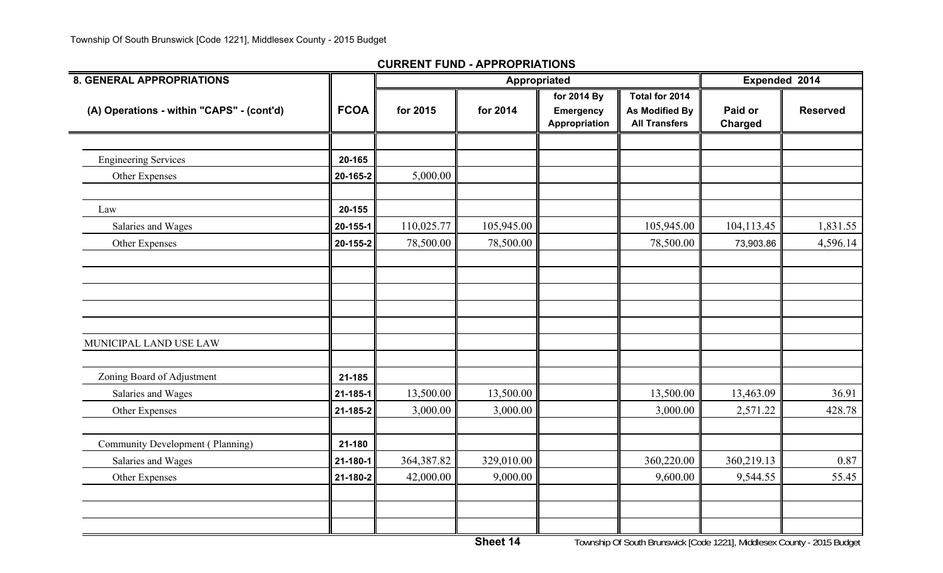| 8. GENERAL APPROPRIATIONS                 |             |            | Appropriated |                                           |                                                                 | Expended 2014      |                 |
|-------------------------------------------|-------------|------------|--------------|-------------------------------------------|-----------------------------------------------------------------|--------------------|-----------------|
| (A) Operations - within "CAPS" - (cont'd) | <b>FCOA</b> | for 2015   | for 2014     | for 2014 By<br>Emergency<br>Appropriation | Total for 2014<br><b>As Modified By</b><br><b>All Transfers</b> | Paid or<br>Charged | <b>Reserved</b> |
|                                           |             |            |              |                                           |                                                                 |                    |                 |
| <b>Engineering Services</b>               | 20-165      |            |              |                                           |                                                                 |                    |                 |
| Other Expenses                            | 20-165-2    | 5,000.00   |              |                                           |                                                                 |                    |                 |
| Law                                       | 20-155      |            |              |                                           |                                                                 |                    |                 |
| Salaries and Wages                        | 20-155-1    | 110,025.77 | 105,945.00   |                                           | 105,945.00                                                      | 104,113.45         | 1,831.55        |
| Other Expenses                            | 20-155-2    | 78,500.00  | 78,500.00    |                                           | 78,500.00                                                       | 73,903.86          | 4,596.14        |
|                                           |             |            |              |                                           |                                                                 |                    |                 |
| MUNICIPAL LAND USE LAW                    |             |            |              |                                           |                                                                 |                    |                 |
| Zoning Board of Adjustment                | 21-185      |            |              |                                           |                                                                 |                    |                 |
| Salaries and Wages                        | 21-185-1    | 13,500.00  | 13,500.00    |                                           | 13,500.00                                                       | 13,463.09          | 36.91           |
| Other Expenses                            | 21-185-2    | 3,000.00   | 3,000.00     |                                           | 3,000.00                                                        | 2,571.22           | 428.78          |
| Community Development (Planning)          | 21-180      |            |              |                                           |                                                                 |                    |                 |
| Salaries and Wages                        | 21-180-1    | 364,387.82 | 329,010.00   |                                           | 360,220.00                                                      | 360,219.13         | 0.87            |
| Other Expenses                            | 21-180-2    | 42,000.00  | 9,000.00     |                                           | 9,600.00                                                        | 9,544.55           | 55.45           |
|                                           |             |            |              |                                           |                                                                 |                    |                 |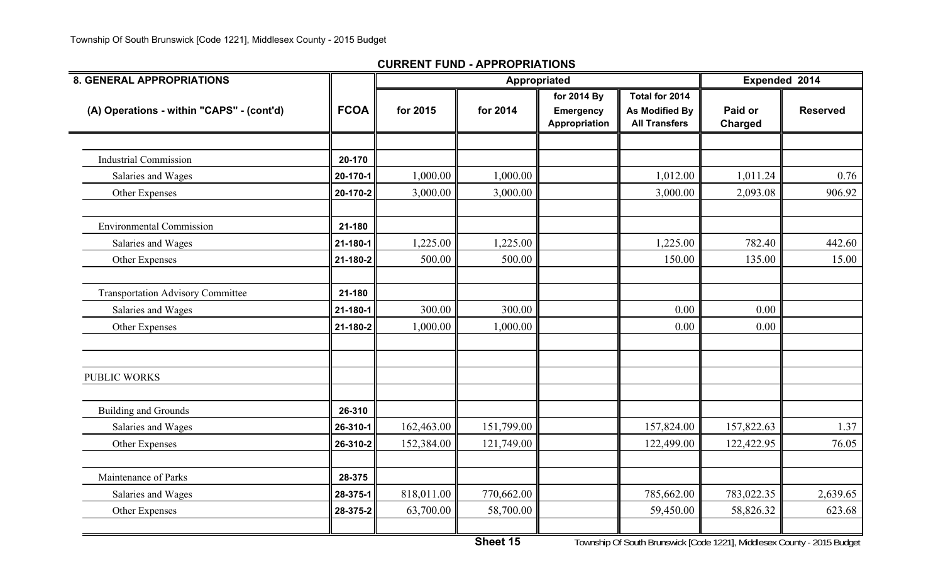| <b>8. GENERAL APPROPRIATIONS</b>          |             |            |            | Appropriated                                     |                                                                 | Expended 2014      |                 |  |
|-------------------------------------------|-------------|------------|------------|--------------------------------------------------|-----------------------------------------------------------------|--------------------|-----------------|--|
| (A) Operations - within "CAPS" - (cont'd) | <b>FCOA</b> | for 2015   | for 2014   | for 2014 By<br><b>Emergency</b><br>Appropriation | Total for 2014<br><b>As Modified By</b><br><b>All Transfers</b> | Paid or<br>Charged | <b>Reserved</b> |  |
|                                           |             |            |            |                                                  |                                                                 |                    |                 |  |
| <b>Industrial Commission</b>              | 20-170      |            |            |                                                  |                                                                 |                    |                 |  |
| Salaries and Wages                        | 20-170-1    | 1,000.00   | 1,000.00   |                                                  | 1,012.00                                                        | 1,011.24           | 0.76            |  |
| Other Expenses                            | 20-170-2    | 3,000.00   | 3,000.00   |                                                  | 3,000.00                                                        | 2,093.08           | 906.92          |  |
| <b>Environmental Commission</b>           | 21-180      |            |            |                                                  |                                                                 |                    |                 |  |
| Salaries and Wages                        | 21-180-1    | 1,225.00   | 1,225.00   |                                                  | 1,225.00                                                        | 782.40             | 442.60          |  |
| Other Expenses                            | 21-180-2    | 500.00     | 500.00     |                                                  | 150.00                                                          | 135.00             | 15.00           |  |
| <b>Transportation Advisory Committee</b>  | 21-180      |            |            |                                                  |                                                                 |                    |                 |  |
| Salaries and Wages                        | 21-180-1    | 300.00     | 300.00     |                                                  | 0.00                                                            | 0.00               |                 |  |
| Other Expenses                            | 21-180-2    | 1,000.00   | 1,000.00   |                                                  | 0.00                                                            | 0.00               |                 |  |
| PUBLIC WORKS                              |             |            |            |                                                  |                                                                 |                    |                 |  |
| <b>Building and Grounds</b>               | 26-310      |            |            |                                                  |                                                                 |                    |                 |  |
| Salaries and Wages                        | 26-310-1    | 162,463.00 | 151,799.00 |                                                  | 157,824.00                                                      | 157,822.63         | 1.37            |  |
| Other Expenses                            | 26-310-2    | 152,384.00 | 121,749.00 |                                                  | 122,499.00                                                      | 122,422.95         | 76.05           |  |
| Maintenance of Parks                      | 28-375      |            |            |                                                  |                                                                 |                    |                 |  |
| Salaries and Wages                        | 28-375-1    | 818,011.00 | 770,662.00 |                                                  | 785,662.00                                                      | 783,022.35         | 2,639.65        |  |
| Other Expenses                            | 28-375-2    | 63,700.00  | 58,700.00  |                                                  | 59,450.00                                                       | 58,826.32          | 623.68          |  |

Township Of South Brunswick [Code 1221], Middlesex County - 2015 Budget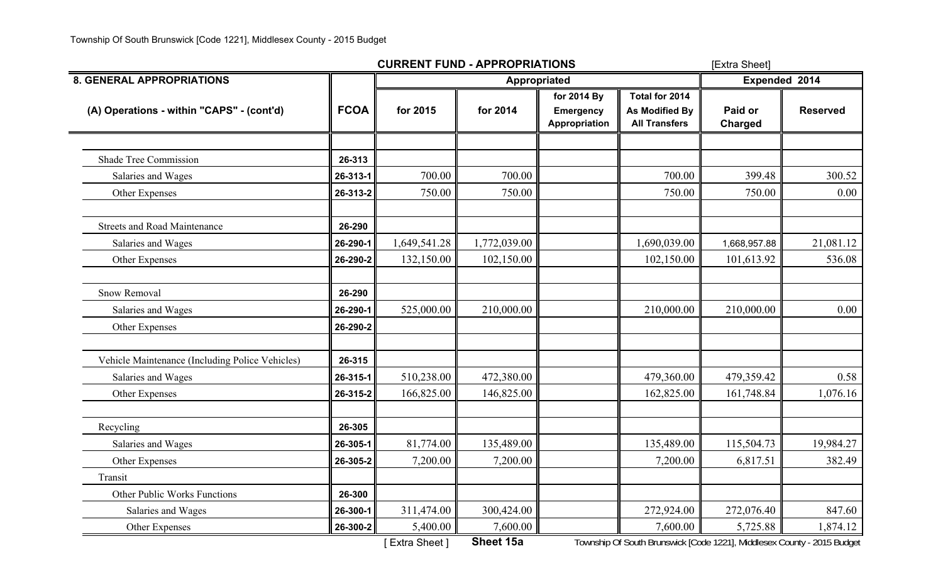|                                                 |             | <b>CURRENT FUND - APPROPRIATIONS</b> |              |                                                         |                                                          | [Extra Sheet]      |                 |  |
|-------------------------------------------------|-------------|--------------------------------------|--------------|---------------------------------------------------------|----------------------------------------------------------|--------------------|-----------------|--|
| <b>8. GENERAL APPROPRIATIONS</b>                |             |                                      |              | Appropriated                                            |                                                          | Expended 2014      |                 |  |
| (A) Operations - within "CAPS" - (cont'd)       | <b>FCOA</b> | for 2015                             | for 2014     | for 2014 By<br><b>Emergency</b><br><b>Appropriation</b> | Total for 2014<br>As Modified By<br><b>All Transfers</b> | Paid or<br>Charged | <b>Reserved</b> |  |
| <b>Shade Tree Commission</b>                    | 26-313      |                                      |              |                                                         |                                                          |                    |                 |  |
| Salaries and Wages                              | 26-313-1    | 700.00                               | 700.00       |                                                         | 700.00                                                   | 399.48             | 300.52          |  |
| Other Expenses                                  | 26-313-2    | 750.00                               | 750.00       |                                                         | 750.00                                                   | 750.00             | 0.00            |  |
| <b>Streets and Road Maintenance</b>             | 26-290      |                                      |              |                                                         |                                                          |                    |                 |  |
| Salaries and Wages                              | 26-290-1    | 1,649,541.28                         | 1,772,039.00 |                                                         | 1,690,039.00                                             | 1,668,957.88       | 21,081.12       |  |
| Other Expenses                                  | 26-290-2    | 132,150.00                           | 102,150.00   |                                                         | 102,150.00                                               | 101,613.92         | 536.08          |  |
| Snow Removal                                    | 26-290      |                                      |              |                                                         |                                                          |                    |                 |  |
| Salaries and Wages                              | 26-290-1    | 525,000.00                           | 210,000.00   |                                                         | 210,000.00                                               | 210,000.00         | 0.00            |  |
| Other Expenses                                  | 26-290-2    |                                      |              |                                                         |                                                          |                    |                 |  |
| Vehicle Maintenance (Including Police Vehicles) | 26-315      |                                      |              |                                                         |                                                          |                    |                 |  |
| Salaries and Wages                              | 26-315-1    | 510,238.00                           | 472,380.00   |                                                         | 479,360.00                                               | 479,359.42         | 0.58            |  |
| Other Expenses                                  | 26-315-2    | 166,825.00                           | 146,825.00   |                                                         | 162,825.00                                               | 161,748.84         | 1,076.16        |  |
| Recycling                                       | 26-305      |                                      |              |                                                         |                                                          |                    |                 |  |
| Salaries and Wages                              | 26-305-1    | 81,774.00                            | 135,489.00   |                                                         | 135,489.00                                               | 115,504.73         | 19,984.27       |  |
| Other Expenses                                  | 26-305-2    | 7,200.00                             | 7,200.00     |                                                         | 7,200.00                                                 | 6,817.51           | 382.49          |  |
| Transit                                         |             |                                      |              |                                                         |                                                          |                    |                 |  |
| Other Public Works Functions                    | 26-300      |                                      |              |                                                         |                                                          |                    |                 |  |
| Salaries and Wages                              | 26-300-1    | 311,474.00                           | 300,424.00   |                                                         | 272,924.00                                               | 272,076.40         | 847.60          |  |
| Other Expenses                                  | 26-300-2    | 5,400.00                             | 7,600.00     |                                                         | 7,600.00                                                 | 5,725.88           | 1,874.12        |  |

[ Extra Sheet ] **Sheet 15a** Township Of South Brunswick [Code 1221], Middlesex County - 2015 Budget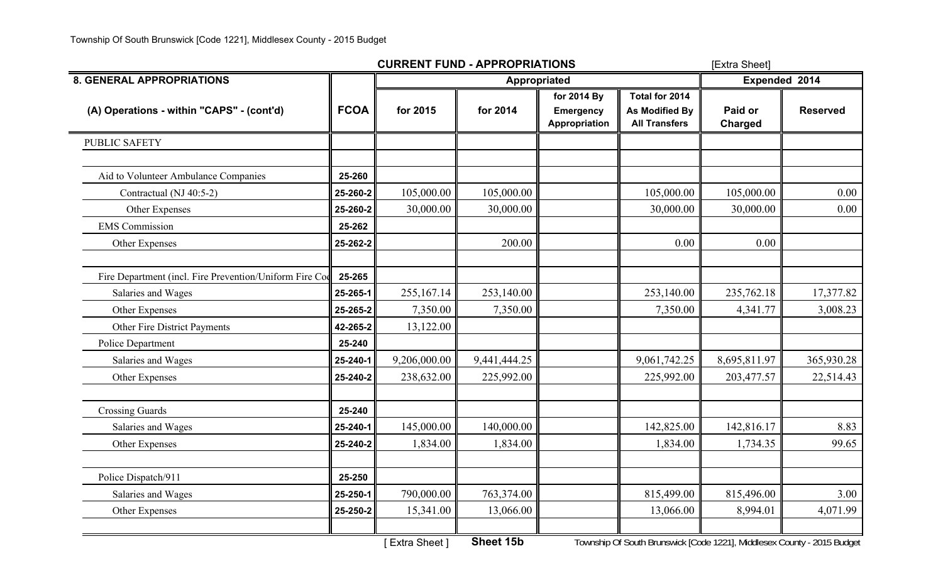|                                                         |             | <b>CURRENT FUND - APPROPRIATIONS</b>                          |                | [Extra Sheet]                             |                                                                 |                    |                        |
|---------------------------------------------------------|-------------|---------------------------------------------------------------|----------------|-------------------------------------------|-----------------------------------------------------------------|--------------------|------------------------|
| <b>8. GENERAL APPROPRIATIONS</b>                        |             |                                                               | Appropriated   | Expended 2014                             |                                                                 |                    |                        |
| (A) Operations - within "CAPS" - (cont'd)               | <b>FCOA</b> | for 2015                                                      | for 2014       | for 2014 By<br>Emergency<br>Appropriation | Total for 2014<br><b>As Modified By</b><br><b>All Transfers</b> | Paid or<br>Charged | <b>Reserved</b>        |
| <b>PUBLIC SAFETY</b>                                    |             |                                                               |                |                                           |                                                                 |                    |                        |
|                                                         |             |                                                               |                |                                           |                                                                 |                    |                        |
| Aid to Volunteer Ambulance Companies                    | 25-260      |                                                               |                |                                           |                                                                 |                    |                        |
| Contractual (NJ 40:5-2)                                 | 25-260-2    | 105,000.00                                                    | 105,000.00     |                                           | 105,000.00                                                      | 105,000.00         | 0.00                   |
| Other Expenses                                          | 25-260-2    | 30,000.00                                                     | 30,000.00      |                                           | 30,000.00                                                       | 30,000.00          | 0.00                   |
| <b>EMS</b> Commission                                   | 25-262      |                                                               |                |                                           |                                                                 |                    |                        |
| Other Expenses                                          | 25-262-2    |                                                               | 200.00         |                                           | 0.00                                                            | 0.00               |                        |
|                                                         |             |                                                               |                |                                           |                                                                 |                    |                        |
| Fire Department (incl. Fire Prevention/Uniform Fire Cod | 25-265      |                                                               |                |                                           |                                                                 |                    |                        |
| Salaries and Wages                                      | 25-265-1    | 255,167.14                                                    | 253,140.00     |                                           | 253,140.00                                                      | 235,762.18         | 17,377.82              |
| Other Expenses                                          | 25-265-2    | 7,350.00                                                      | 7,350.00       |                                           | 7,350.00                                                        | 4,341.77           | 3,008.23               |
| Other Fire District Payments                            | 42-265-2    | 13,122.00                                                     |                |                                           |                                                                 |                    |                        |
| Police Department                                       | 25-240      |                                                               |                |                                           |                                                                 |                    |                        |
| Salaries and Wages                                      | 25-240-1    | 9,206,000.00                                                  | 9,441,444.25   |                                           | 9,061,742.25                                                    | 8,695,811.97       | 365,930.28             |
| Other Expenses                                          | 25-240-2    | 238,632.00                                                    | 225,992.00     |                                           | 225,992.00                                                      | 203,477.57         | 22,514.43              |
| <b>Crossing Guards</b>                                  | 25-240      |                                                               |                |                                           |                                                                 |                    |                        |
| Salaries and Wages                                      | 25-240-1    | 145,000.00                                                    | 140,000.00     |                                           | 142,825.00                                                      | 142,816.17         | 8.83                   |
| Other Expenses                                          | 25-240-2    | 1,834.00                                                      | 1,834.00       |                                           | 1,834.00                                                        | 1,734.35           | 99.65                  |
|                                                         |             |                                                               |                |                                           |                                                                 |                    |                        |
| Police Dispatch/911                                     | 25-250      |                                                               |                |                                           |                                                                 |                    |                        |
| Salaries and Wages                                      | 25-250-1    | 790,000.00                                                    | 763,374.00     |                                           | 815,499.00                                                      | 815,496.00         | 3.00                   |
| Other Expenses                                          | 25-250-2    | 15,341.00                                                     | 13,066.00      |                                           | 13,066.00                                                       | 8,994.01           | 4,071.99               |
|                                                         |             | $\mathbf{r} = \mathbf{r} \times \mathbf{r} \times \mathbf{r}$ | $O2 + 4$ delay |                                           | $T = 1!$ $O(C + R)$                                             |                    | $0.255$ $\overline{0}$ |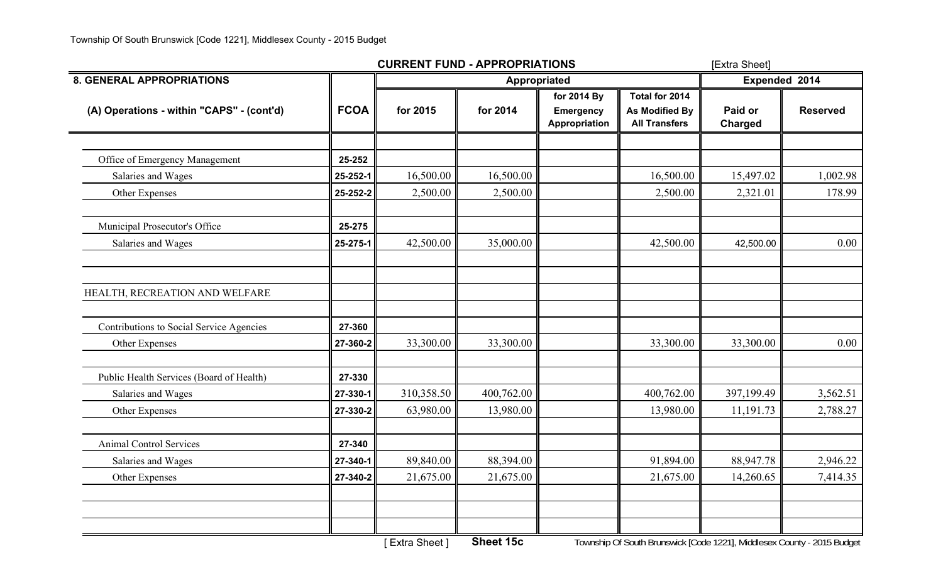|                                           |             |            | <b>CURRENT FUND - APPROPRIATIONS</b> | [Extra Sheet]                                    |                                                                 |                           |                 |
|-------------------------------------------|-------------|------------|--------------------------------------|--------------------------------------------------|-----------------------------------------------------------------|---------------------------|-----------------|
| <b>8. GENERAL APPROPRIATIONS</b>          |             |            | Appropriated                         | Expended 2014                                    |                                                                 |                           |                 |
| (A) Operations - within "CAPS" - (cont'd) | <b>FCOA</b> | for 2015   | for 2014                             | for 2014 By<br><b>Emergency</b><br>Appropriation | Total for 2014<br><b>As Modified By</b><br><b>All Transfers</b> | Paid or<br><b>Charged</b> | <b>Reserved</b> |
|                                           | 25-252      |            |                                      |                                                  |                                                                 |                           |                 |
| Office of Emergency Management            |             |            |                                      |                                                  |                                                                 |                           |                 |
| Salaries and Wages                        | 25-252-1    | 16,500.00  | 16,500.00                            |                                                  | 16,500.00                                                       | 15,497.02                 | 1,002.98        |
| Other Expenses                            | 25-252-2    | 2,500.00   | 2,500.00                             |                                                  | 2,500.00                                                        | 2,321.01                  | 178.99          |
| Municipal Prosecutor's Office             | 25-275      |            |                                      |                                                  |                                                                 |                           |                 |
| Salaries and Wages                        | 25-275-1    | 42,500.00  | 35,000.00                            |                                                  | 42,500.00                                                       | 42,500.00                 | 0.00            |
| HEALTH, RECREATION AND WELFARE            |             |            |                                      |                                                  |                                                                 |                           |                 |
| Contributions to Social Service Agencies  | 27-360      |            |                                      |                                                  |                                                                 |                           |                 |
| Other Expenses                            | 27-360-2    | 33,300.00  | 33,300.00                            |                                                  | 33,300.00                                                       | 33,300.00                 | 0.00            |
| Public Health Services (Board of Health)  | 27-330      |            |                                      |                                                  |                                                                 |                           |                 |
| Salaries and Wages                        | 27-330-1    | 310,358.50 | 400,762.00                           |                                                  | 400,762.00                                                      | 397,199.49                | 3,562.51        |
| Other Expenses                            | 27-330-2    | 63,980.00  | 13,980.00                            |                                                  | 13,980.00                                                       | 11,191.73                 | 2,788.27        |
| <b>Animal Control Services</b>            | 27-340      |            |                                      |                                                  |                                                                 |                           |                 |
| Salaries and Wages                        | 27-340-1    | 89,840.00  | 88,394.00                            |                                                  | 91,894.00                                                       | 88,947.78                 | 2,946.22        |
| Other Expenses                            | 27-340-2    | 21,675.00  | 21,675.00                            |                                                  | 21,675.00                                                       | 14,260.65                 | 7,414.35        |
|                                           |             |            |                                      |                                                  |                                                                 |                           |                 |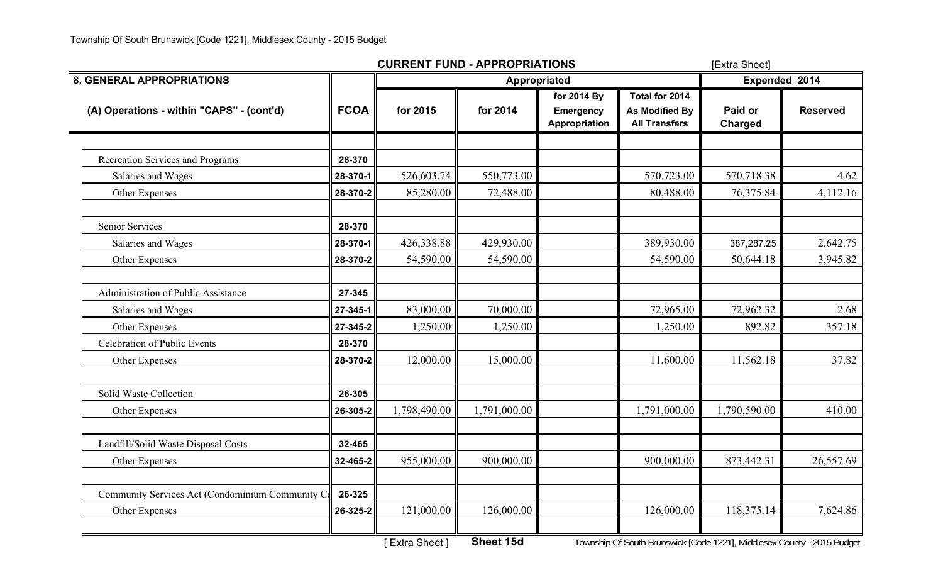|                                                 |             | <b>CURRENT FUND - APPROPRIATIONS</b> | [Extra Sheet] |                                                  |                                                          |                           |                 |
|-------------------------------------------------|-------------|--------------------------------------|---------------|--------------------------------------------------|----------------------------------------------------------|---------------------------|-----------------|
| <b>8. GENERAL APPROPRIATIONS</b>                |             |                                      | Appropriated  | Expended 2014                                    |                                                          |                           |                 |
| (A) Operations - within "CAPS" - (cont'd)       | <b>FCOA</b> | for 2015                             | for 2014      | for 2014 By<br><b>Emergency</b><br>Appropriation | Total for 2014<br>As Modified By<br><b>All Transfers</b> | Paid or<br><b>Charged</b> | <b>Reserved</b> |
|                                                 |             |                                      |               |                                                  |                                                          |                           |                 |
| Recreation Services and Programs                | 28-370      |                                      |               |                                                  |                                                          |                           |                 |
| Salaries and Wages                              | 28-370-1    | 526,603.74                           | 550,773.00    |                                                  | 570,723.00                                               | 570,718.38                | 4.62            |
| Other Expenses                                  | 28-370-2    | 85,280.00                            | 72,488.00     |                                                  | 80,488.00                                                | 76,375.84                 | 4,112.16        |
| Senior Services                                 | 28-370      |                                      |               |                                                  |                                                          |                           |                 |
| Salaries and Wages                              | 28-370-1    | 426,338.88                           | 429,930.00    |                                                  | 389,930.00                                               | 387,287.25                | 2,642.75        |
| Other Expenses                                  | 28-370-2    | 54,590.00                            | 54,590.00     |                                                  | 54,590.00                                                | 50,644.18                 | 3,945.82        |
| Administration of Public Assistance             | 27-345      |                                      |               |                                                  |                                                          |                           |                 |
| Salaries and Wages                              | 27-345-1    | 83,000.00                            | 70,000.00     |                                                  | 72,965.00                                                | 72,962.32                 | 2.68            |
| Other Expenses                                  | 27-345-2    | 1,250.00                             | 1,250.00      |                                                  | 1,250.00                                                 | 892.82                    | 357.18          |
| Celebration of Public Events                    | 28-370      |                                      |               |                                                  |                                                          |                           |                 |
| Other Expenses                                  | 28-370-2    | 12,000.00                            | 15,000.00     |                                                  | 11,600.00                                                | 11,562.18                 | 37.82           |
| Solid Waste Collection                          | 26-305      |                                      |               |                                                  |                                                          |                           |                 |
| Other Expenses                                  | 26-305-2    | 1,798,490.00                         | 1,791,000.00  |                                                  | 1,791,000.00                                             | 1,790,590.00              | 410.00          |
| Landfill/Solid Waste Disposal Costs             | 32-465      |                                      |               |                                                  |                                                          |                           |                 |
| Other Expenses                                  | 32-465-2    | 955,000.00                           | 900,000.00    |                                                  | 900,000.00                                               | 873,442.31                | 26,557.69       |
|                                                 |             |                                      |               |                                                  |                                                          |                           |                 |
| Community Services Act (Condominium Community C | 26-325      |                                      |               |                                                  |                                                          |                           |                 |
| Other Expenses                                  | 26-325-2    | 121,000.00                           | 126,000.00    |                                                  | 126,000.00                                               | 118,375.14                | 7,624.86        |
|                                                 |             |                                      |               |                                                  |                                                          |                           |                 |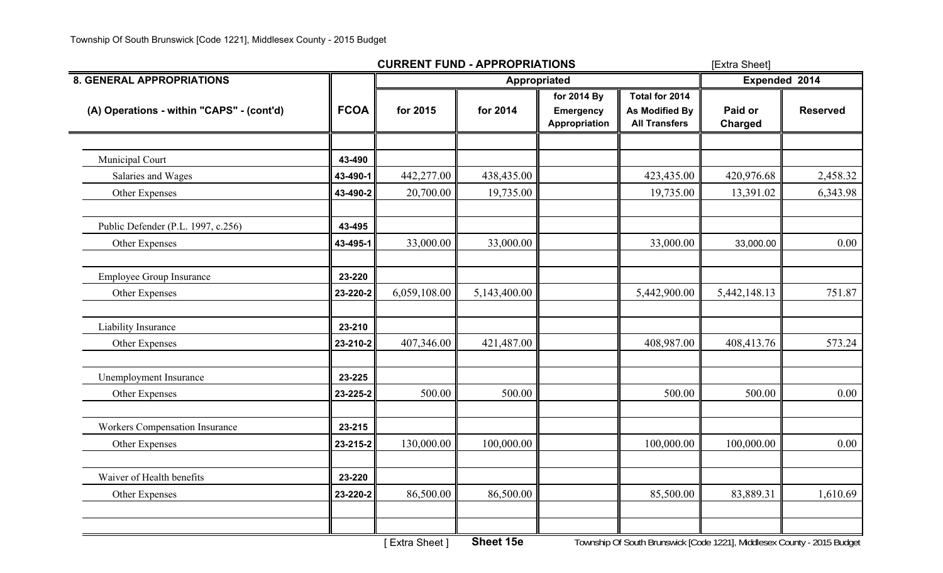|                                           | <b>CURRENT FUND - APPROPRIATIONS</b> |                                             | [Extra Sheet]       |                                                  |                                                                                                         |                                                                                                                                                                                    |                        |
|-------------------------------------------|--------------------------------------|---------------------------------------------|---------------------|--------------------------------------------------|---------------------------------------------------------------------------------------------------------|------------------------------------------------------------------------------------------------------------------------------------------------------------------------------------|------------------------|
| <b>8. GENERAL APPROPRIATIONS</b>          |                                      |                                             | <b>Appropriated</b> | Expended 2014                                    |                                                                                                         |                                                                                                                                                                                    |                        |
| (A) Operations - within "CAPS" - (cont'd) | <b>FCOA</b>                          | for 2015                                    | for 2014            | for 2014 By<br><b>Emergency</b><br>Appropriation | Total for 2014<br>As Modified By<br><b>All Transfers</b>                                                | Paid or<br><b>Charged</b>                                                                                                                                                          | <b>Reserved</b>        |
| Municipal Court                           | 43-490                               |                                             |                     |                                                  |                                                                                                         |                                                                                                                                                                                    |                        |
| Salaries and Wages                        | 43-490-1                             | 442,277.00                                  | 438,435.00          |                                                  | 423,435.00                                                                                              | 420,976.68                                                                                                                                                                         | 2,458.32               |
| Other Expenses                            | 43-490-2                             | 20,700.00                                   | 19,735.00           |                                                  | 19,735.00                                                                                               | 13,391.02                                                                                                                                                                          | 6,343.98               |
| Public Defender (P.L. 1997, c.256)        | 43-495                               |                                             |                     |                                                  |                                                                                                         |                                                                                                                                                                                    |                        |
| Other Expenses                            | 43-495-1                             | 33,000.00                                   | 33,000.00           |                                                  | 33,000.00                                                                                               | 33,000.00                                                                                                                                                                          | 0.00                   |
| <b>Employee Group Insurance</b>           | 23-220                               |                                             |                     |                                                  |                                                                                                         |                                                                                                                                                                                    |                        |
| Other Expenses                            | 23-220-2                             | 6,059,108.00                                | 5,143,400.00        |                                                  | 5,442,900.00                                                                                            | 5,442,148.13                                                                                                                                                                       | 751.87                 |
| Liability Insurance                       | 23-210                               |                                             |                     |                                                  |                                                                                                         |                                                                                                                                                                                    |                        |
| Other Expenses                            | 23-210-2                             | 407,346.00                                  | 421,487.00          |                                                  | 408,987.00                                                                                              | 408,413.76                                                                                                                                                                         | 573.24                 |
| Unemployment Insurance                    | 23-225                               |                                             |                     |                                                  |                                                                                                         |                                                                                                                                                                                    |                        |
| Other Expenses                            | 23-225-2                             | 500.00                                      | 500.00              |                                                  | 500.00                                                                                                  | 500.00                                                                                                                                                                             | 0.00                   |
| <b>Workers Compensation Insurance</b>     | 23-215                               |                                             |                     |                                                  |                                                                                                         |                                                                                                                                                                                    |                        |
| Other Expenses                            | 23-215-2                             | 130,000.00                                  | 100,000.00          |                                                  | 100,000.00                                                                                              | 100,000.00                                                                                                                                                                         | 0.00                   |
| Waiver of Health benefits                 | 23-220                               |                                             |                     |                                                  |                                                                                                         |                                                                                                                                                                                    |                        |
| Other Expenses                            | 23-220-2                             | 86,500.00                                   | 86,500.00           |                                                  | 85,500.00                                                                                               | 83,889.31                                                                                                                                                                          | 1,610.69               |
|                                           |                                      | $\mathbf{r} = \mathbf{r} \times \mathbf{r}$ | $O2 + 4E2$          | $\mathbf{r}$                                     | $\mathbf{1}$ $\mathbf{1}$ $\mathbf{1}$ $\mathbf{1}$ $\mathbf{1}$ $\mathbf{1}$ $\mathbf{1}$ $\mathbf{1}$ | $\mathbf{1}$ $\mathbf{1}$ $\mathbf{1}$ $\mathbf{0}$ $\mathbf{1}$ $\mathbf{0}$ $\mathbf{0}$ $\mathbf{0}$ $\mathbf{1}$ $\mathbf{1}$ $\mathbf{1}$ $\mathbf{1}$ $\mathbf{1}$<br>$\sim$ | $0.255$ $\overline{0}$ |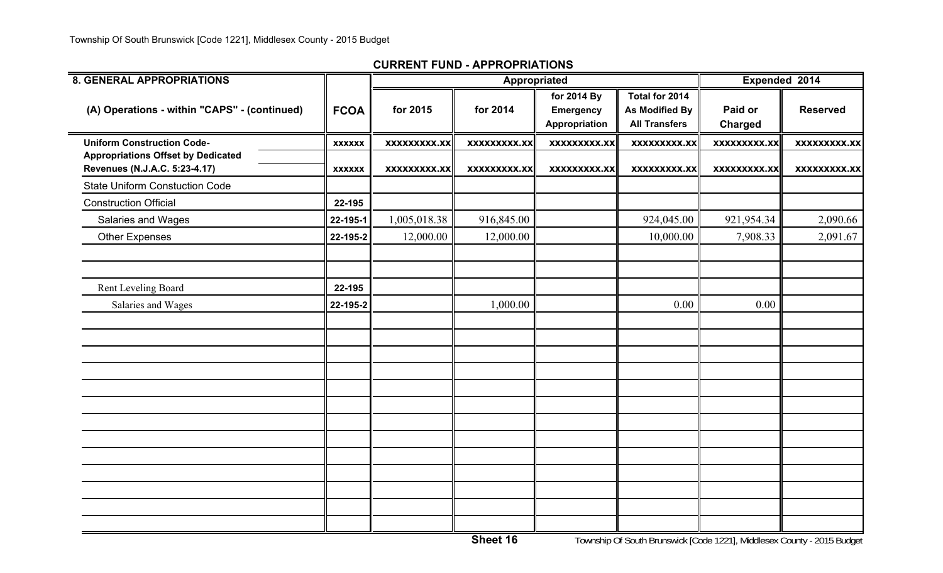| <b>8. GENERAL APPROPRIATIONS</b>                                           |               |                     |                     | Appropriated                                     |                                                                 | Expended 2014             |                     |
|----------------------------------------------------------------------------|---------------|---------------------|---------------------|--------------------------------------------------|-----------------------------------------------------------------|---------------------------|---------------------|
| (A) Operations - within "CAPS" - (continued)                               | <b>FCOA</b>   | for 2015            | for 2014            | for 2014 By<br><b>Emergency</b><br>Appropriation | Total for 2014<br><b>As Modified By</b><br><b>All Transfers</b> | Paid or<br><b>Charged</b> | <b>Reserved</b>     |
| <b>Uniform Construction Code-</b>                                          | <b>XXXXXX</b> | <b>XXXXXXXXX.XX</b> | <b>XXXXXXXXX.XX</b> | <b>XXXXXXXXX.XX</b>                              | <b>XXXXXXXXX.XX</b>                                             | <b>XXXXXXXXX.XX</b>       | <b>XXXXXXXXX.XX</b> |
| <b>Appropriations Offset by Dedicated</b><br>Revenues (N.J.A.C. 5:23-4.17) | <b>XXXXXX</b> | <b>XXXXXXXXX.XX</b> | <b>XXXXXXXXX.XX</b> | <b>XXXXXXXXX.XX</b>                              | <b>XXXXXXXXX.XX</b>                                             | <b>XXXXXXXXX.XX</b>       | <b>XXXXXXXXX.XX</b> |
| <b>State Uniform Constuction Code</b>                                      |               |                     |                     |                                                  |                                                                 |                           |                     |
| <b>Construction Official</b>                                               | 22-195        |                     |                     |                                                  |                                                                 |                           |                     |
| Salaries and Wages                                                         | 22-195-1      | 1,005,018.38        | 916,845.00          |                                                  | 924,045.00                                                      | 921,954.34                | 2,090.66            |
| <b>Other Expenses</b>                                                      | 22-195-2      | 12,000.00           | 12,000.00           |                                                  | 10,000.00                                                       | 7,908.33                  | 2,091.67            |
|                                                                            |               |                     |                     |                                                  |                                                                 |                           |                     |
| Rent Leveling Board                                                        | 22-195        |                     |                     |                                                  |                                                                 |                           |                     |
| Salaries and Wages                                                         | 22-195-2      |                     | 1,000.00            |                                                  | 0.00                                                            | 0.00                      |                     |
|                                                                            |               |                     |                     |                                                  |                                                                 |                           |                     |
|                                                                            |               |                     |                     |                                                  |                                                                 |                           |                     |
|                                                                            |               |                     |                     |                                                  |                                                                 |                           |                     |
|                                                                            |               |                     |                     |                                                  |                                                                 |                           |                     |
|                                                                            |               |                     |                     |                                                  |                                                                 |                           |                     |
|                                                                            |               |                     |                     |                                                  |                                                                 |                           |                     |
|                                                                            |               |                     |                     |                                                  |                                                                 |                           |                     |
|                                                                            |               |                     |                     |                                                  |                                                                 |                           |                     |
|                                                                            |               |                     |                     |                                                  |                                                                 |                           |                     |
|                                                                            |               |                     |                     |                                                  |                                                                 |                           |                     |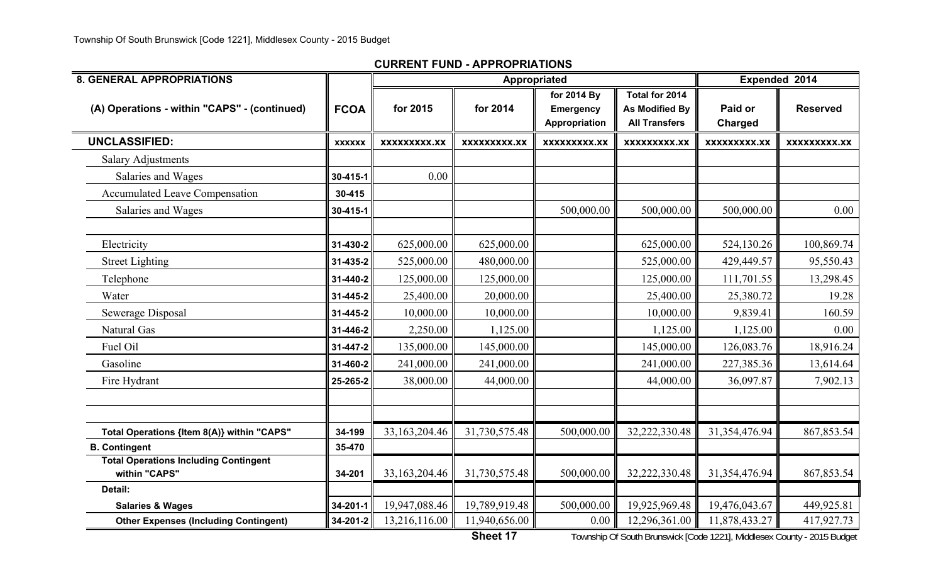| <b>8. GENERAL APPROPRIATIONS</b>                              |               |                     |                     | Appropriated                                     |                                                                 | Expended 2014       |                     |  |
|---------------------------------------------------------------|---------------|---------------------|---------------------|--------------------------------------------------|-----------------------------------------------------------------|---------------------|---------------------|--|
| (A) Operations - within "CAPS" - (continued)                  | <b>FCOA</b>   | for 2015            | for 2014            | for 2014 By<br><b>Emergency</b><br>Appropriation | Total for 2014<br><b>As Modified By</b><br><b>All Transfers</b> | Paid or<br>Charged  | <b>Reserved</b>     |  |
| <b>UNCLASSIFIED:</b>                                          | <b>XXXXXX</b> | <b>XXXXXXXXX.XX</b> | <b>XXXXXXXXX.XX</b> | <b>XXXXXXXXX.XX</b>                              | <b>XXXXXXXXX.XX</b>                                             | <b>XXXXXXXXX.XX</b> | <b>XXXXXXXXX.XX</b> |  |
| <b>Salary Adjustments</b>                                     |               |                     |                     |                                                  |                                                                 |                     |                     |  |
| Salaries and Wages                                            | 30-415-1      | 0.00                |                     |                                                  |                                                                 |                     |                     |  |
| <b>Accumulated Leave Compensation</b>                         | 30-415        |                     |                     |                                                  |                                                                 |                     |                     |  |
| Salaries and Wages                                            | 30-415-1      |                     |                     | 500,000.00                                       | 500,000.00                                                      | 500,000.00          | 0.00                |  |
| Electricity                                                   | 31-430-2      | 625,000.00          | 625,000.00          |                                                  | 625,000.00                                                      | 524,130.26          | 100,869.74          |  |
| <b>Street Lighting</b>                                        | 31-435-2      | 525,000.00          | 480,000.00          |                                                  | 525,000.00                                                      | 429,449.57          | 95,550.43           |  |
| Telephone                                                     | 31-440-2      | 125,000.00          | 125,000.00          |                                                  | 125,000.00                                                      | 111,701.55          | 13,298.45           |  |
| Water                                                         | 31-445-2      | 25,400.00           | 20,000.00           |                                                  | 25,400.00                                                       | 25,380.72           | 19.28               |  |
| Sewerage Disposal                                             | 31-445-2      | 10,000.00           | 10,000.00           |                                                  | 10,000.00                                                       | 9,839.41            | 160.59              |  |
| <b>Natural Gas</b>                                            | 31-446-2      | 2,250.00            | 1,125.00            |                                                  | 1,125.00                                                        | 1,125.00            | 0.00                |  |
| Fuel Oil                                                      | 31-447-2      | 135,000.00          | 145,000.00          |                                                  | 145,000.00                                                      | 126,083.76          | 18,916.24           |  |
| Gasoline                                                      | 31-460-2      | 241,000.00          | 241,000.00          |                                                  | 241,000.00                                                      | 227,385.36          | 13,614.64           |  |
| Fire Hydrant                                                  | 25-265-2      | 38,000.00           | 44,000.00           |                                                  | 44,000.00                                                       | 36,097.87           | 7,902.13            |  |
|                                                               |               |                     |                     |                                                  |                                                                 |                     |                     |  |
| Total Operations {Item 8(A)} within "CAPS"                    | 34-199        | 33,163,204.46       | 31,730,575.48       | 500,000.00                                       | 32,222,330.48                                                   | 31,354,476.94       | 867, 853.54         |  |
| <b>B. Contingent</b>                                          | 35-470        |                     |                     |                                                  |                                                                 |                     |                     |  |
| <b>Total Operations Including Contingent</b><br>within "CAPS" | 34-201        | 33,163,204.46       | 31,730,575.48       | 500,000.00                                       | 32,222,330.48                                                   | 31,354,476.94       | 867, 853.54         |  |
| Detail:                                                       |               |                     |                     |                                                  |                                                                 |                     |                     |  |
| <b>Salaries &amp; Wages</b>                                   | 34-201-1      | 19,947,088.46       | 19,789,919.48       | 500,000.00                                       | 19,925,969.48                                                   | 19,476,043.67       | 449,925.81          |  |
| <b>Other Expenses (Including Contingent)</b>                  | 34-201-2      | 13,216,116.00       | 11,940,656.00       | 0.00                                             | 12,296,361.00                                                   | 11,878,433.27       | 417,927.73          |  |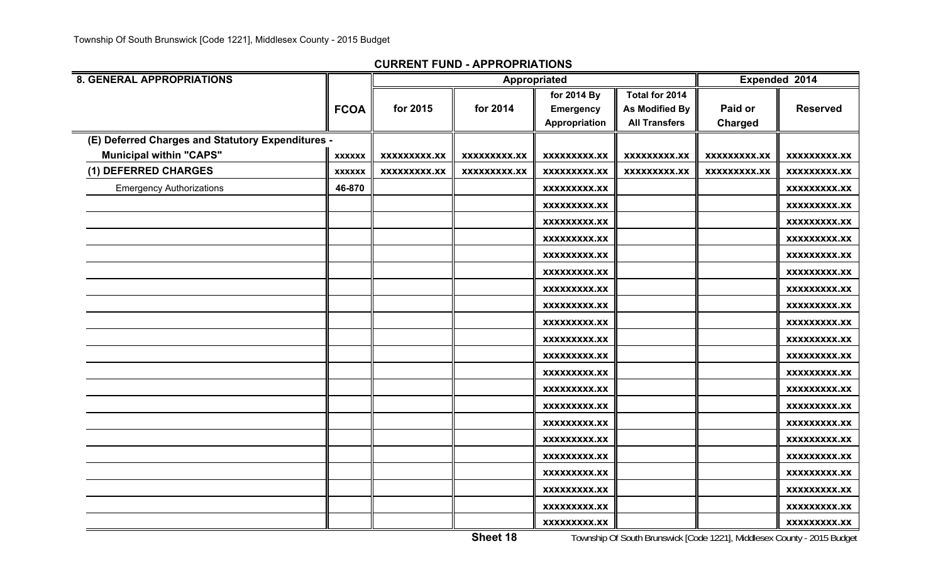| <b>8. GENERAL APPROPRIATIONS</b>                  |               |                     | Appropriated |                                                  |                                                                 | Expended 2014             |                     |
|---------------------------------------------------|---------------|---------------------|--------------|--------------------------------------------------|-----------------------------------------------------------------|---------------------------|---------------------|
|                                                   | <b>FCOA</b>   | for 2015            | for 2014     | for 2014 By<br><b>Emergency</b><br>Appropriation | Total for 2014<br><b>As Modified By</b><br><b>All Transfers</b> | Paid or<br><b>Charged</b> | <b>Reserved</b>     |
| (E) Deferred Charges and Statutory Expenditures - |               |                     |              |                                                  |                                                                 |                           |                     |
| <b>Municipal within "CAPS"</b>                    | <b>XXXXXX</b> | <b>XXXXXXXXX.XX</b> | XXXXXXXXX.XX | <b>XXXXXXXXX.XX</b>                              | <b>XXXXXXXXX.XX</b>                                             | XXXXXXXXX.XX              | XXXXXXXXX.XX        |
| (1) DEFERRED CHARGES                              | <b>XXXXXX</b> | XXXXXXXXX.XX        | XXXXXXXXX.XX | XXXXXXXXX.XX                                     | XXXXXXXXX.XX                                                    | XXXXXXXXX.XX              | XXXXXXXXX.XX        |
| <b>Emergency Authorizations</b>                   | 46-870        |                     |              | XXXXXXXXX.XX                                     |                                                                 |                           | XXXXXXXXX.XX        |
|                                                   |               |                     |              | <b>XXXXXXXXX.XX</b>                              |                                                                 |                           | <b>XXXXXXXXX.XX</b> |
|                                                   |               |                     |              | XXXXXXXXX.XX                                     |                                                                 |                           | XXXXXXXXX.XX        |
|                                                   |               |                     |              | <b>XXXXXXXXX.XX</b>                              |                                                                 |                           | XXXXXXXX.XX         |
|                                                   |               |                     |              | <b>XXXXXXXXX.XX</b>                              |                                                                 |                           | XXXXXXXXX.XX        |
|                                                   |               |                     |              | XXXXXXXXX.XX                                     |                                                                 |                           | <b>XXXXXXXXX.XX</b> |
|                                                   |               |                     |              | XXXXXXXXX.XX                                     |                                                                 |                           | XXXXXXXXX.XX        |
|                                                   |               |                     |              | XXXXXXXXX.XX                                     |                                                                 |                           | <b>XXXXXXXXX.XX</b> |
|                                                   |               |                     |              | XXXXXXXXX.XX                                     |                                                                 |                           | XXXXXXXXX.XX        |
|                                                   |               |                     |              | XXXXXXXXX.XX                                     |                                                                 |                           | <b>XXXXXXXXX.XX</b> |
|                                                   |               |                     |              | XXXXXXXXX.XX                                     |                                                                 |                           | XXXXXXXXX.XX        |
|                                                   |               |                     |              | <b>XXXXXXXXX.XX</b>                              |                                                                 |                           | <b>XXXXXXXXX.XX</b> |
|                                                   |               |                     |              | <b>XXXXXXXXX.XX</b>                              |                                                                 |                           | <b>XXXXXXXXX.XX</b> |
|                                                   |               |                     |              | <b>XXXXXXXXX.XX</b>                              |                                                                 |                           | <b>XXXXXXXXX.XX</b> |
|                                                   |               |                     |              | <b>XXXXXXXXX.XX</b>                              |                                                                 |                           | <b>XXXXXXXXX.XX</b> |
|                                                   |               |                     |              | XXXXXXXXX.XX                                     |                                                                 |                           | XXXXXXXXX.XX        |
|                                                   |               |                     |              | <b>XXXXXXXXX.XX</b>                              |                                                                 |                           | XXXXXXXXX.XX        |
|                                                   |               |                     |              | <b>XXXXXXXXX.XX</b>                              |                                                                 |                           | XXXXXXXXX.XX        |
|                                                   |               |                     |              | <b>XXXXXXXXX.XX</b>                              |                                                                 |                           | XXXXXXXXX.XX        |
|                                                   |               |                     |              | XXXXXXXXX.XX                                     |                                                                 |                           | XXXXXXXXX.XX        |
|                                                   |               |                     |              | <b>XXXXXXXXX.XX</b>                              |                                                                 |                           | XXXXXXXXX.XX        |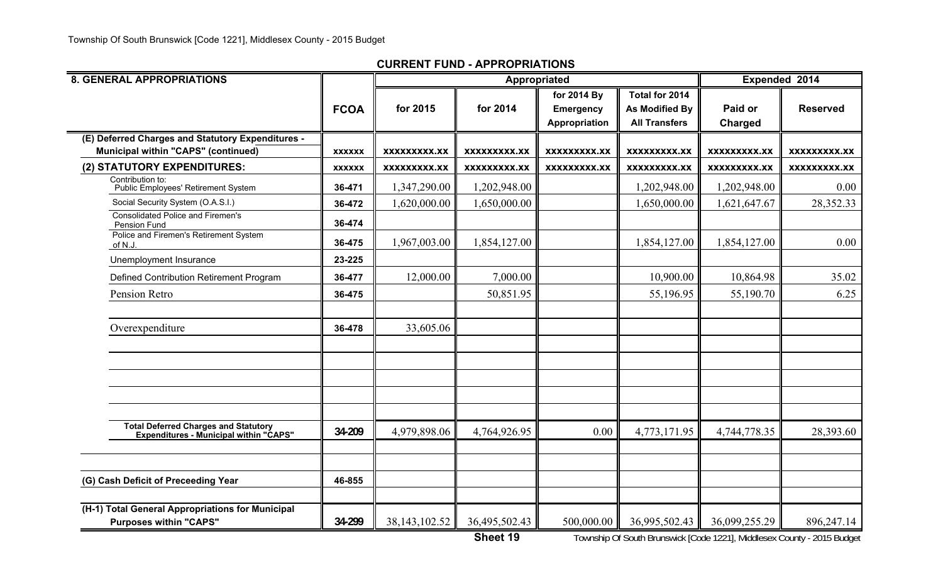| <b>8. GENERAL APPROPRIATIONS</b>                                                         |               |                     |                     | Appropriated                                     |                                                                 | Expended 2014      |                    |
|------------------------------------------------------------------------------------------|---------------|---------------------|---------------------|--------------------------------------------------|-----------------------------------------------------------------|--------------------|--------------------|
|                                                                                          | <b>FCOA</b>   | for 2015            | for 2014            | for 2014 By<br><b>Emergency</b><br>Appropriation | Total for 2014<br><b>As Modified By</b><br><b>All Transfers</b> | Paid or<br>Charged | <b>Reserved</b>    |
| (E) Deferred Charges and Statutory Expenditures -<br>Municipal within "CAPS" (continued) | <b>XXXXXX</b> | XXXXXXXXX.XX        | XXXXXXXXX.XX        | <b>XXXXXXXXX.XX</b>                              | <b>XXXXXXXXX.XX</b>                                             | XXXXXXXXX.XX       | XXXXXXXXX.XX       |
| (2) STATUTORY EXPENDITURES:                                                              | <b>XXXXXX</b> | <b>XXXXXXXXX.XX</b> | <b>XXXXXXXXX.XX</b> | <b>XXXXXXXXX.XX</b>                              | XXXXXXXXX.XX                                                    | XXXXXXXXX.XX       | <b>XXXXXXXX.XX</b> |
| Contribution to:<br>Public Employees' Retirement System                                  | 36-471        | 1,347,290.00        | 1,202,948.00        |                                                  | 1,202,948.00                                                    | 1,202,948.00       | 0.00               |
| Social Security System (O.A.S.I.)                                                        | 36-472        | 1,620,000.00        | 1,650,000.00        |                                                  | 1,650,000.00                                                    | 1,621,647.67       | 28,352.33          |
| <b>Consolidated Police and Firemen's</b><br>Pension Fund                                 | 36-474        |                     |                     |                                                  |                                                                 |                    |                    |
| Police and Firemen's Retirement System<br>of N.J.                                        | 36-475        | 1,967,003.00        | 1,854,127.00        |                                                  | 1,854,127.00                                                    | 1,854,127.00       | 0.00               |
| Unemployment Insurance                                                                   | 23-225        |                     |                     |                                                  |                                                                 |                    |                    |
| Defined Contribution Retirement Program                                                  | 36-477        | 12,000.00           | 7,000.00            |                                                  | 10,900.00                                                       | 10,864.98          | 35.02              |
| Pension Retro                                                                            | 36-475        |                     | 50,851.95           |                                                  | 55,196.95                                                       | 55,190.70          | 6.25               |
| Overexpenditure                                                                          | 36-478        | 33,605.06           |                     |                                                  |                                                                 |                    |                    |
|                                                                                          |               |                     |                     |                                                  |                                                                 |                    |                    |
| Total Deferred Charges and Statutory<br>Expenditures - Municipal within "CAPS"           | 34-209        | 4,979,898.06        | 4,764,926.95        | 0.00                                             | 4,773,171.95                                                    | 4,744,778.35       | 28,393.60          |
| (G) Cash Deficit of Preceeding Year                                                      | 46-855        |                     |                     |                                                  |                                                                 |                    |                    |
| (H-1) Total General Appropriations for Municipal<br><b>Purposes within "CAPS"</b>        | 34-299        | 38, 143, 102.52     | 36,495,502.43       | 500,000.00                                       | 36,995,502.43                                                   | 36,099,255.29      | 896,247.14         |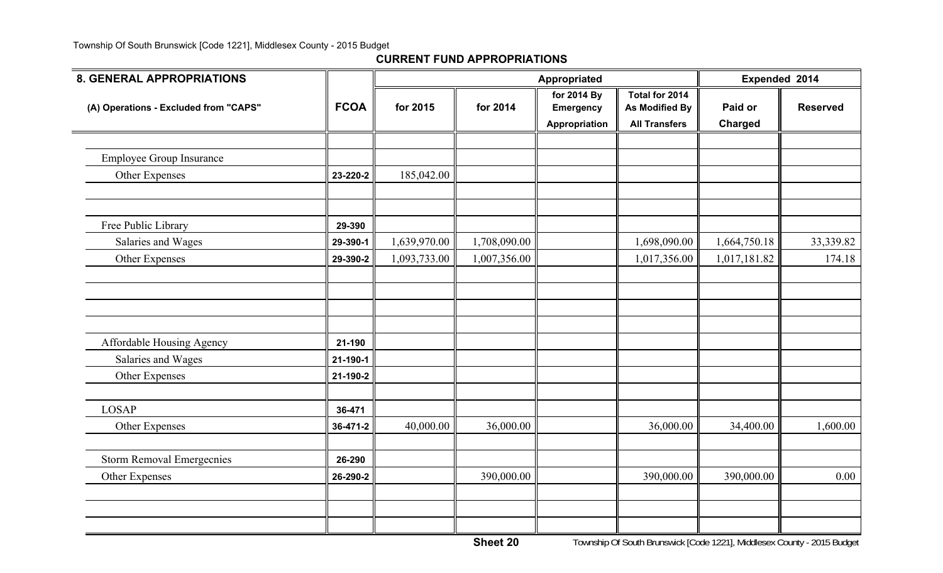#### Township Of South Brunswick [Code 1221], Middlesex County - 2015 Budget

| <b>8. GENERAL APPROPRIATIONS</b>      |                |              |              | <b>Appropriated</b>                                     |                                                                 | Expended 2014      |                 |
|---------------------------------------|----------------|--------------|--------------|---------------------------------------------------------|-----------------------------------------------------------------|--------------------|-----------------|
| (A) Operations - Excluded from "CAPS" | <b>FCOA</b>    | for 2015     | for 2014     | for 2014 By<br><b>Emergency</b><br><b>Appropriation</b> | Total for 2014<br><b>As Modified By</b><br><b>All Transfers</b> | Paid or<br>Charged | <b>Reserved</b> |
|                                       |                |              |              |                                                         |                                                                 |                    |                 |
| <b>Employee Group Insurance</b>       |                |              |              |                                                         |                                                                 |                    |                 |
| Other Expenses                        | 23-220-2       | 185,042.00   |              |                                                         |                                                                 |                    |                 |
| Free Public Library                   | 29-390         |              |              |                                                         |                                                                 |                    |                 |
| Salaries and Wages                    | 29-390-1       | 1,639,970.00 | 1,708,090.00 |                                                         | 1,698,090.00                                                    | 1,664,750.18       | 33,339.82       |
| Other Expenses                        | 29-390-2       | 1,093,733.00 | 1,007,356.00 |                                                         | 1,017,356.00                                                    | 1,017,181.82       | 174.18          |
|                                       |                |              |              |                                                         |                                                                 |                    |                 |
| Affordable Housing Agency             | 21-190         |              |              |                                                         |                                                                 |                    |                 |
| Salaries and Wages                    | 21-190-1       |              |              |                                                         |                                                                 |                    |                 |
| Other Expenses                        | 21-190-2       |              |              |                                                         |                                                                 |                    |                 |
| <b>LOSAP</b>                          | 36-471         |              |              |                                                         |                                                                 |                    |                 |
| Other Expenses                        | $36 - 471 - 2$ | 40,000.00    | 36,000.00    |                                                         | 36,000.00                                                       | 34,400.00          | 1,600.00        |
| <b>Storm Removal Emergecnies</b>      | 26-290         |              |              |                                                         |                                                                 |                    |                 |
| Other Expenses                        | 26-290-2       |              | 390,000.00   |                                                         | 390,000.00                                                      | 390,000.00         | 0.00            |
|                                       |                |              |              |                                                         |                                                                 |                    |                 |
|                                       |                |              |              |                                                         |                                                                 |                    |                 |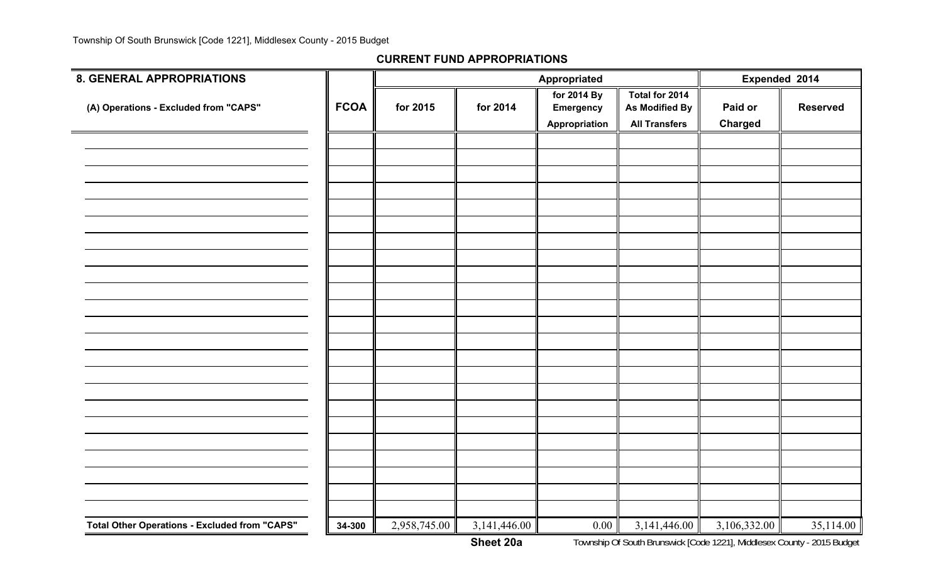| <b>8. GENERAL APPROPRIATIONS</b>              |             |              |                | Appropriated     |                      | Expended 2014  |                 |  |
|-----------------------------------------------|-------------|--------------|----------------|------------------|----------------------|----------------|-----------------|--|
|                                               |             |              |                | for 2014 By      | Total for 2014       |                |                 |  |
| (A) Operations - Excluded from "CAPS"         | <b>FCOA</b> | for 2015     | for 2014       | <b>Emergency</b> | As Modified By       | Paid or        | <b>Reserved</b> |  |
|                                               |             |              |                | Appropriation    | <b>All Transfers</b> | <b>Charged</b> |                 |  |
|                                               |             |              |                |                  |                      |                |                 |  |
|                                               |             |              |                |                  |                      |                |                 |  |
|                                               |             |              |                |                  |                      |                |                 |  |
|                                               |             |              |                |                  |                      |                |                 |  |
|                                               |             |              |                |                  |                      |                |                 |  |
|                                               |             |              |                |                  |                      |                |                 |  |
|                                               |             |              |                |                  |                      |                |                 |  |
|                                               |             |              |                |                  |                      |                |                 |  |
|                                               |             |              |                |                  |                      |                |                 |  |
|                                               |             |              |                |                  |                      |                |                 |  |
|                                               |             |              |                |                  |                      |                |                 |  |
|                                               |             |              |                |                  |                      |                |                 |  |
|                                               |             |              |                |                  |                      |                |                 |  |
|                                               |             |              |                |                  |                      |                |                 |  |
|                                               |             |              |                |                  |                      |                |                 |  |
|                                               |             |              |                |                  |                      |                |                 |  |
|                                               |             |              |                |                  |                      |                |                 |  |
|                                               |             |              |                |                  |                      |                |                 |  |
|                                               |             |              |                |                  |                      |                |                 |  |
|                                               |             |              |                |                  |                      |                |                 |  |
|                                               |             |              |                |                  |                      |                |                 |  |
|                                               |             |              |                |                  |                      |                |                 |  |
|                                               |             |              |                |                  |                      |                |                 |  |
| Total Other Operations - Excluded from "CAPS" | 34-300      | 2,958,745.00 | 3, 141, 446.00 | 0.00             | 3,141,446.00         | 3,106,332.00   | 35,114.00       |  |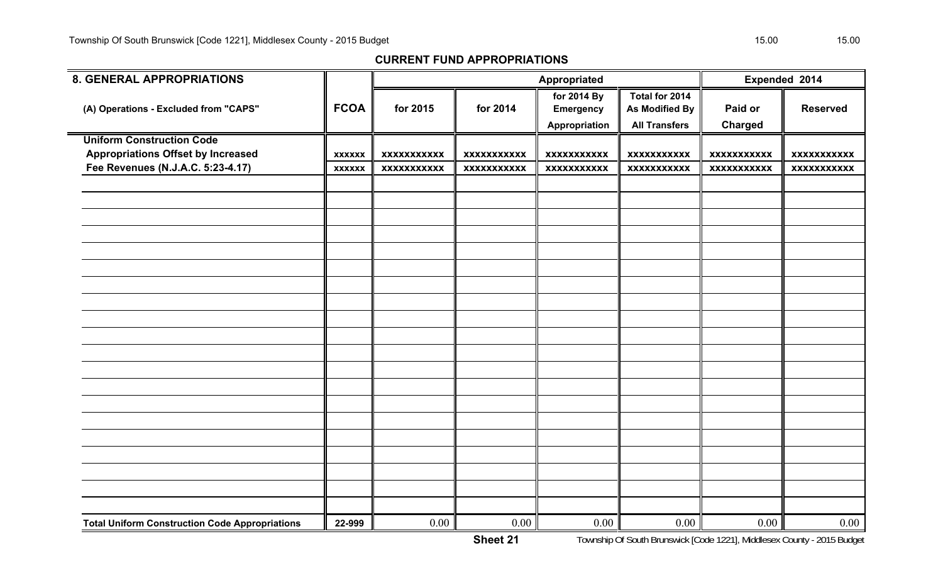| <b>8. GENERAL APPROPRIATIONS</b>                      |               |                    |                    | Appropriated       |                       |                    | Expended 2014      |
|-------------------------------------------------------|---------------|--------------------|--------------------|--------------------|-----------------------|--------------------|--------------------|
|                                                       |               |                    |                    | for 2014 By        | Total for 2014        |                    |                    |
| (A) Operations - Excluded from "CAPS"                 | <b>FCOA</b>   | for 2015           | for 2014           | <b>Emergency</b>   | <b>As Modified By</b> | Paid or            | <b>Reserved</b>    |
|                                                       |               |                    |                    | Appropriation      | <b>All Transfers</b>  | <b>Charged</b>     |                    |
| <b>Uniform Construction Code</b>                      |               |                    |                    |                    |                       |                    |                    |
| <b>Appropriations Offset by Increased</b>             | <b>XXXXXX</b> | <b>XXXXXXXXXXX</b> | <b>XXXXXXXXXXX</b> | <b>XXXXXXXXXXX</b> | <b>XXXXXXXXXXX</b>    | <b>XXXXXXXXXXX</b> | <b>XXXXXXXXXXX</b> |
| Fee Revenues (N.J.A.C. 5:23-4.17)                     | <b>XXXXXX</b> | <b>XXXXXXXXXXX</b> | <b>XXXXXXXXXXX</b> | <b>XXXXXXXXXXX</b> | <b>XXXXXXXXXXX</b>    | <b>XXXXXXXXXXX</b> | <b>XXXXXXXXXXX</b> |
|                                                       |               |                    |                    |                    |                       |                    |                    |
|                                                       |               |                    |                    |                    |                       |                    |                    |
|                                                       |               |                    |                    |                    |                       |                    |                    |
|                                                       |               |                    |                    |                    |                       |                    |                    |
|                                                       |               |                    |                    |                    |                       |                    |                    |
|                                                       |               |                    |                    |                    |                       |                    |                    |
|                                                       |               |                    |                    |                    |                       |                    |                    |
|                                                       |               |                    |                    |                    |                       |                    |                    |
|                                                       |               |                    |                    |                    |                       |                    |                    |
|                                                       |               |                    |                    |                    |                       |                    |                    |
|                                                       |               |                    |                    |                    |                       |                    |                    |
|                                                       |               |                    |                    |                    |                       |                    |                    |
|                                                       |               |                    |                    |                    |                       |                    |                    |
|                                                       |               |                    |                    |                    |                       |                    |                    |
|                                                       |               |                    |                    |                    |                       |                    |                    |
|                                                       |               |                    |                    |                    |                       |                    |                    |
|                                                       |               |                    |                    |                    |                       |                    |                    |
|                                                       |               |                    |                    |                    |                       |                    |                    |
|                                                       |               |                    |                    |                    |                       |                    |                    |
|                                                       |               |                    |                    |                    |                       |                    |                    |
|                                                       |               |                    |                    |                    |                       |                    |                    |
| <b>Total Uniform Construction Code Appropriations</b> | 22-999        | 0.00               | 0.00               | 0.00               | 0.00                  | 0.00               | 0.00               |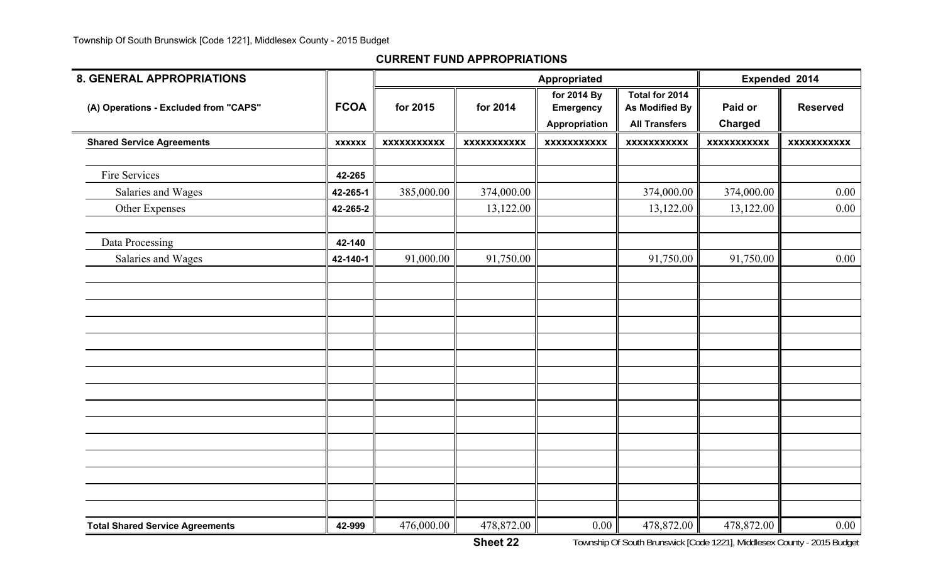| <b>8. GENERAL APPROPRIATIONS</b>       |               |                    |                    | Appropriated                                     |                                                                 |                    | Expended 2014      |
|----------------------------------------|---------------|--------------------|--------------------|--------------------------------------------------|-----------------------------------------------------------------|--------------------|--------------------|
| (A) Operations - Excluded from "CAPS"  | <b>FCOA</b>   | for 2015           | for 2014           | for 2014 By<br><b>Emergency</b><br>Appropriation | Total for 2014<br><b>As Modified By</b><br><b>All Transfers</b> | Paid or<br>Charged | <b>Reserved</b>    |
| <b>Shared Service Agreements</b>       | <b>XXXXXX</b> | <b>XXXXXXXXXXX</b> | <b>XXXXXXXXXXX</b> | <b>XXXXXXXXXXX</b>                               | <b>XXXXXXXXXXX</b>                                              | <b>XXXXXXXXXXX</b> | <b>XXXXXXXXXXX</b> |
|                                        |               |                    |                    |                                                  |                                                                 |                    |                    |
| Fire Services                          | 42-265        |                    |                    |                                                  |                                                                 |                    |                    |
| Salaries and Wages                     | 42-265-1      | 385,000.00         | 374,000.00         |                                                  | 374,000.00                                                      | 374,000.00         | 0.00               |
| Other Expenses                         | 42-265-2      |                    | 13,122.00          |                                                  | 13,122.00                                                       | 13,122.00          | 0.00               |
|                                        |               |                    |                    |                                                  |                                                                 |                    |                    |
| Data Processing                        | 42-140        |                    |                    |                                                  |                                                                 |                    |                    |
| Salaries and Wages                     | 42-140-1      | 91,000.00          | 91,750.00          |                                                  | 91,750.00                                                       | 91,750.00          | 0.00               |
|                                        |               |                    |                    |                                                  |                                                                 |                    |                    |
|                                        |               |                    |                    |                                                  |                                                                 |                    |                    |
|                                        |               |                    |                    |                                                  |                                                                 |                    |                    |
|                                        |               |                    |                    |                                                  |                                                                 |                    |                    |
|                                        |               |                    |                    |                                                  |                                                                 |                    |                    |
|                                        |               |                    |                    |                                                  |                                                                 |                    |                    |
|                                        |               |                    |                    |                                                  |                                                                 |                    |                    |
|                                        |               |                    |                    |                                                  |                                                                 |                    |                    |
|                                        |               |                    |                    |                                                  |                                                                 |                    |                    |
|                                        |               |                    |                    |                                                  |                                                                 |                    |                    |
|                                        |               |                    |                    |                                                  |                                                                 |                    |                    |
|                                        |               |                    |                    |                                                  |                                                                 |                    |                    |
|                                        |               |                    |                    |                                                  |                                                                 |                    |                    |
|                                        |               |                    |                    |                                                  |                                                                 |                    |                    |
|                                        |               |                    |                    |                                                  |                                                                 |                    |                    |
| <b>Total Shared Service Agreements</b> | 42-999        | 476,000.00         | 478,872.00         | 0.00                                             | 478,872.00                                                      | 478,872.00         | 0.00               |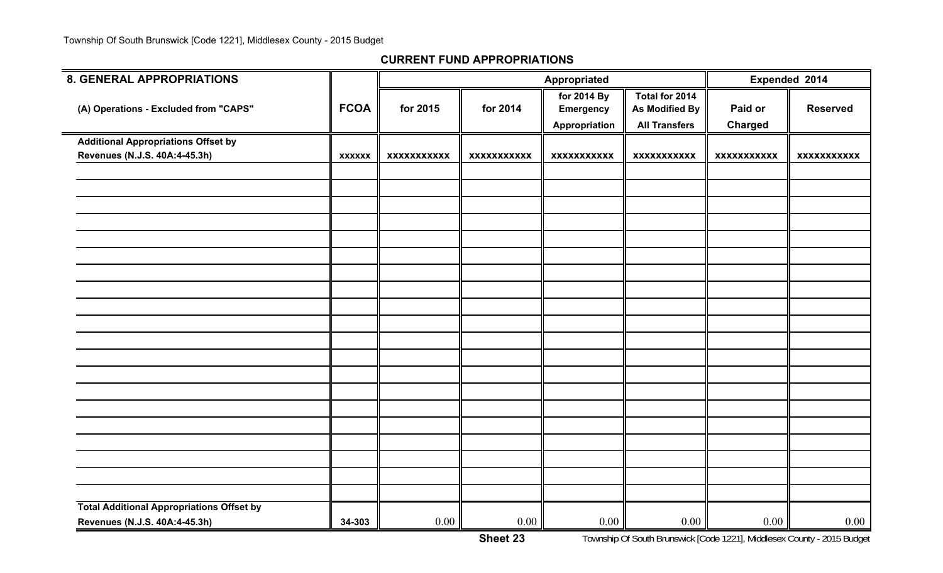| <b>8. GENERAL APPROPRIATIONS</b>                 |               |                    |                    | Appropriated       |                       |                    | Expended 2014      |
|--------------------------------------------------|---------------|--------------------|--------------------|--------------------|-----------------------|--------------------|--------------------|
|                                                  |               |                    |                    | for 2014 By        | Total for 2014        |                    |                    |
| (A) Operations - Excluded from "CAPS"            | <b>FCOA</b>   | for 2015           | for 2014           | <b>Emergency</b>   | <b>As Modified By</b> | Paid or            | <b>Reserved</b>    |
|                                                  |               |                    |                    | Appropriation      | <b>All Transfers</b>  | <b>Charged</b>     |                    |
| <b>Additional Appropriations Offset by</b>       |               |                    |                    |                    |                       |                    |                    |
| Revenues (N.J.S. 40A:4-45.3h)                    | <b>XXXXXX</b> | <b>XXXXXXXXXXX</b> | <b>XXXXXXXXXXX</b> | <b>XXXXXXXXXXX</b> | <b>XXXXXXXXXXX</b>    | <b>XXXXXXXXXXX</b> | <b>XXXXXXXXXXX</b> |
|                                                  |               |                    |                    |                    |                       |                    |                    |
|                                                  |               |                    |                    |                    |                       |                    |                    |
|                                                  |               |                    |                    |                    |                       |                    |                    |
|                                                  |               |                    |                    |                    |                       |                    |                    |
|                                                  |               |                    |                    |                    |                       |                    |                    |
|                                                  |               |                    |                    |                    |                       |                    |                    |
|                                                  |               |                    |                    |                    |                       |                    |                    |
|                                                  |               |                    |                    |                    |                       |                    |                    |
|                                                  |               |                    |                    |                    |                       |                    |                    |
|                                                  |               |                    |                    |                    |                       |                    |                    |
|                                                  |               |                    |                    |                    |                       |                    |                    |
|                                                  |               |                    |                    |                    |                       |                    |                    |
|                                                  |               |                    |                    |                    |                       |                    |                    |
|                                                  |               |                    |                    |                    |                       |                    |                    |
|                                                  |               |                    |                    |                    |                       |                    |                    |
|                                                  |               |                    |                    |                    |                       |                    |                    |
|                                                  |               |                    |                    |                    |                       |                    |                    |
|                                                  |               |                    |                    |                    |                       |                    |                    |
|                                                  |               |                    |                    |                    |                       |                    |                    |
|                                                  |               |                    |                    |                    |                       |                    |                    |
| <b>Total Additional Appropriations Offset by</b> |               |                    |                    |                    |                       |                    |                    |
| Revenues (N.J.S. 40A:4-45.3h)                    | 34-303        | 0.00               | 0.00               | 0.00               | 0.00                  | 0.00               | 0.00               |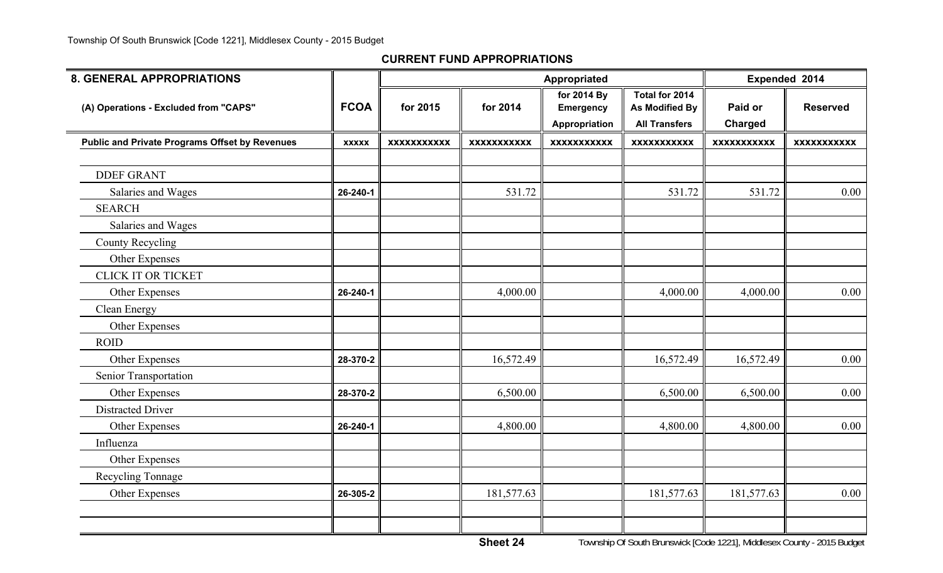| <b>8. GENERAL APPROPRIATIONS</b>                      |              |                    |                    | Appropriated                              |                                                                 |                    | Expended 2014      |
|-------------------------------------------------------|--------------|--------------------|--------------------|-------------------------------------------|-----------------------------------------------------------------|--------------------|--------------------|
| (A) Operations - Excluded from "CAPS"                 | <b>FCOA</b>  | for 2015           | for 2014           | for 2014 By<br>Emergency<br>Appropriation | Total for 2014<br><b>As Modified By</b><br><b>All Transfers</b> | Paid or<br>Charged | <b>Reserved</b>    |
| <b>Public and Private Programs Offset by Revenues</b> | <b>XXXXX</b> | <b>XXXXXXXXXXX</b> | <b>XXXXXXXXXXX</b> | <b>XXXXXXXXXXX</b>                        | <b>XXXXXXXXXXX</b>                                              | <b>XXXXXXXXXXX</b> | <b>XXXXXXXXXXX</b> |
|                                                       |              |                    |                    |                                           |                                                                 |                    |                    |
| <b>DDEF GRANT</b>                                     |              |                    |                    |                                           |                                                                 |                    |                    |
| Salaries and Wages                                    | 26-240-1     |                    | 531.72             |                                           | 531.72                                                          | 531.72             | 0.00               |
| <b>SEARCH</b>                                         |              |                    |                    |                                           |                                                                 |                    |                    |
| Salaries and Wages                                    |              |                    |                    |                                           |                                                                 |                    |                    |
| <b>County Recycling</b>                               |              |                    |                    |                                           |                                                                 |                    |                    |
| Other Expenses                                        |              |                    |                    |                                           |                                                                 |                    |                    |
| <b>CLICK IT OR TICKET</b>                             |              |                    |                    |                                           |                                                                 |                    |                    |
| Other Expenses                                        | 26-240-1     |                    | 4,000.00           |                                           | 4,000.00                                                        | 4,000.00           | 0.00               |
| Clean Energy                                          |              |                    |                    |                                           |                                                                 |                    |                    |
| Other Expenses                                        |              |                    |                    |                                           |                                                                 |                    |                    |
| <b>ROID</b>                                           |              |                    |                    |                                           |                                                                 |                    |                    |
| Other Expenses                                        | 28-370-2     |                    | 16,572.49          |                                           | 16,572.49                                                       | 16,572.49          | 0.00               |
| Senior Transportation                                 |              |                    |                    |                                           |                                                                 |                    |                    |
| Other Expenses                                        | 28-370-2     |                    | 6,500.00           |                                           | 6,500.00                                                        | 6,500.00           | 0.00               |
| <b>Distracted Driver</b>                              |              |                    |                    |                                           |                                                                 |                    |                    |
| Other Expenses                                        | 26-240-1     |                    | 4,800.00           |                                           | 4,800.00                                                        | 4,800.00           | 0.00               |
| Influenza                                             |              |                    |                    |                                           |                                                                 |                    |                    |
| Other Expenses                                        |              |                    |                    |                                           |                                                                 |                    |                    |
| Recycling Tonnage                                     |              |                    |                    |                                           |                                                                 |                    |                    |
| Other Expenses                                        | 26-305-2     |                    | 181,577.63         |                                           | 181,577.63                                                      | 181,577.63         | 0.00               |
|                                                       |              |                    |                    |                                           |                                                                 |                    |                    |
|                                                       |              |                    |                    |                                           |                                                                 |                    |                    |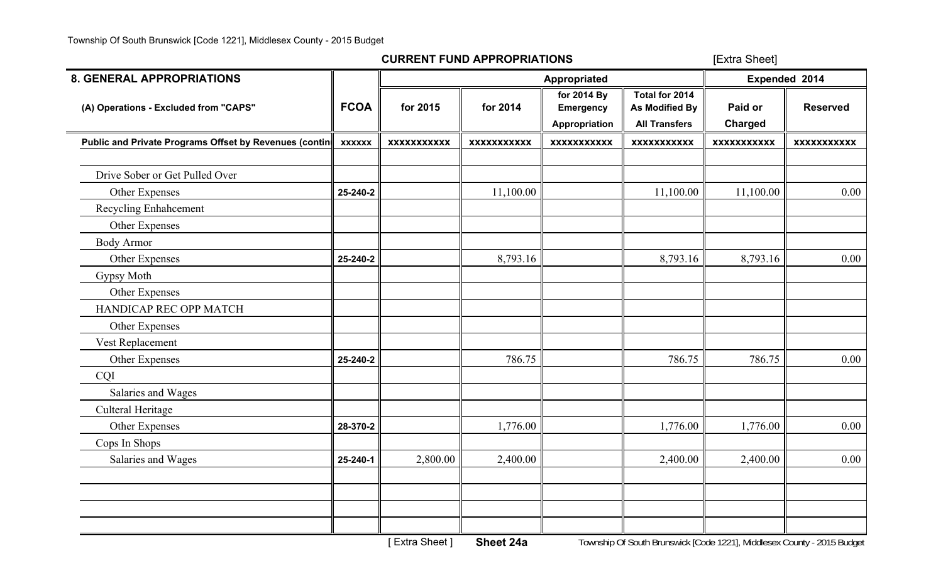[Extra Sheet]

| <b>8. GENERAL APPROPRIATIONS</b>                       |               |                    |                    | Appropriated                                     |                                                                 |                           | Expended 2014      |
|--------------------------------------------------------|---------------|--------------------|--------------------|--------------------------------------------------|-----------------------------------------------------------------|---------------------------|--------------------|
| (A) Operations - Excluded from "CAPS"                  | <b>FCOA</b>   | for 2015           | for 2014           | for 2014 By<br><b>Emergency</b><br>Appropriation | Total for 2014<br><b>As Modified By</b><br><b>All Transfers</b> | Paid or<br><b>Charged</b> | <b>Reserved</b>    |
| Public and Private Programs Offset by Revenues (contin | <b>XXXXXX</b> | <b>XXXXXXXXXXX</b> | <b>XXXXXXXXXXX</b> | <b>XXXXXXXXXXX</b>                               | <b>XXXXXXXXXXX</b>                                              | <b>XXXXXXXXXXX</b>        | <b>XXXXXXXXXXX</b> |
| Drive Sober or Get Pulled Over                         |               |                    |                    |                                                  |                                                                 |                           |                    |
| Other Expenses                                         | 25-240-2      |                    | 11,100.00          |                                                  | 11,100.00                                                       | 11,100.00                 | 0.00               |
| Recycling Enhahcement                                  |               |                    |                    |                                                  |                                                                 |                           |                    |
| Other Expenses                                         |               |                    |                    |                                                  |                                                                 |                           |                    |
| <b>Body Armor</b>                                      |               |                    |                    |                                                  |                                                                 |                           |                    |
| Other Expenses                                         | 25-240-2      |                    | 8,793.16           |                                                  | 8,793.16                                                        | 8,793.16                  | 0.00               |
| Gypsy Moth                                             |               |                    |                    |                                                  |                                                                 |                           |                    |
| Other Expenses                                         |               |                    |                    |                                                  |                                                                 |                           |                    |
| HANDICAP REC OPP MATCH                                 |               |                    |                    |                                                  |                                                                 |                           |                    |
| Other Expenses                                         |               |                    |                    |                                                  |                                                                 |                           |                    |
| Vest Replacement                                       |               |                    |                    |                                                  |                                                                 |                           |                    |
| Other Expenses                                         | 25-240-2      |                    | 786.75             |                                                  | 786.75                                                          | 786.75                    | 0.00               |
| <b>COI</b>                                             |               |                    |                    |                                                  |                                                                 |                           |                    |
| Salaries and Wages                                     |               |                    |                    |                                                  |                                                                 |                           |                    |
| Culteral Heritage                                      |               |                    |                    |                                                  |                                                                 |                           |                    |
| Other Expenses                                         | 28-370-2      |                    | 1,776.00           |                                                  | 1,776.00                                                        | 1,776.00                  | 0.00               |
| Cops In Shops                                          |               |                    |                    |                                                  |                                                                 |                           |                    |
| Salaries and Wages                                     | 25-240-1      | 2,800.00           | 2,400.00           |                                                  | 2,400.00                                                        | 2,400.00                  | 0.00               |
|                                                        |               |                    |                    |                                                  |                                                                 |                           |                    |
|                                                        |               |                    |                    |                                                  |                                                                 |                           |                    |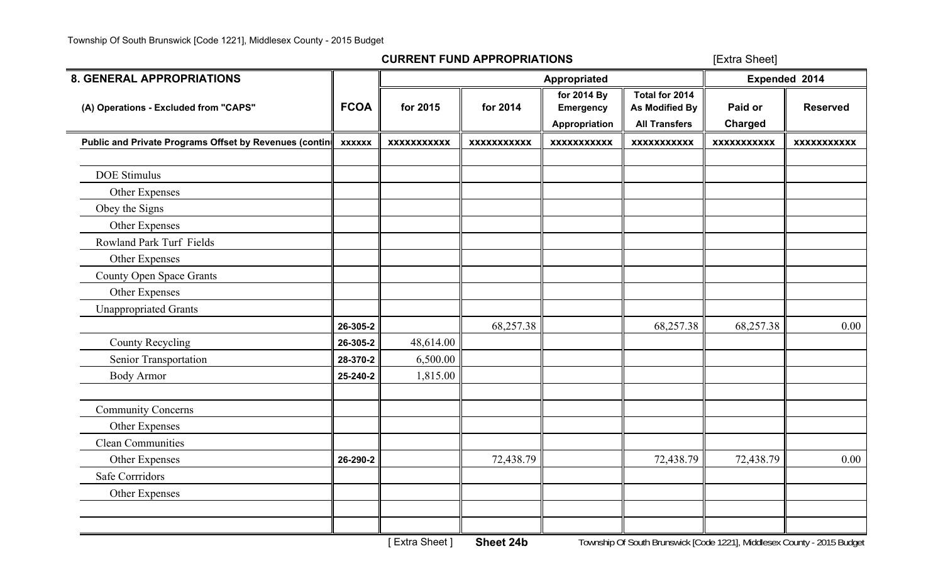[Extra Sheet]

| <b>8. GENERAL APPROPRIATIONS</b>                       |               |                    | Appropriated       |                                                  |                                                                 | Expended 2014             |                    |
|--------------------------------------------------------|---------------|--------------------|--------------------|--------------------------------------------------|-----------------------------------------------------------------|---------------------------|--------------------|
| (A) Operations - Excluded from "CAPS"                  | <b>FCOA</b>   | for 2015           | for 2014           | for 2014 By<br><b>Emergency</b><br>Appropriation | Total for 2014<br><b>As Modified By</b><br><b>All Transfers</b> | Paid or<br><b>Charged</b> | <b>Reserved</b>    |
| Public and Private Programs Offset by Revenues (contin | <b>XXXXXX</b> | <b>XXXXXXXXXXX</b> | <b>XXXXXXXXXXX</b> | <b>XXXXXXXXXXX</b>                               | <b>XXXXXXXXXXX</b>                                              | <b>XXXXXXXXXXX</b>        | <b>XXXXXXXXXXX</b> |
| <b>DOE Stimulus</b>                                    |               |                    |                    |                                                  |                                                                 |                           |                    |
| Other Expenses                                         |               |                    |                    |                                                  |                                                                 |                           |                    |
| Obey the Signs                                         |               |                    |                    |                                                  |                                                                 |                           |                    |
| Other Expenses                                         |               |                    |                    |                                                  |                                                                 |                           |                    |
| Rowland Park Turf Fields                               |               |                    |                    |                                                  |                                                                 |                           |                    |
| Other Expenses                                         |               |                    |                    |                                                  |                                                                 |                           |                    |
| <b>County Open Space Grants</b>                        |               |                    |                    |                                                  |                                                                 |                           |                    |
| Other Expenses                                         |               |                    |                    |                                                  |                                                                 |                           |                    |
| <b>Unappropriated Grants</b>                           |               |                    |                    |                                                  |                                                                 |                           |                    |
|                                                        | 26-305-2      |                    | 68,257.38          |                                                  | 68,257.38                                                       | 68,257.38                 | 0.00               |
| <b>County Recycling</b>                                | 26-305-2      | 48,614.00          |                    |                                                  |                                                                 |                           |                    |
| Senior Transportation                                  | 28-370-2      | 6,500.00           |                    |                                                  |                                                                 |                           |                    |
| <b>Body Armor</b>                                      | 25-240-2      | 1,815.00           |                    |                                                  |                                                                 |                           |                    |
| <b>Community Concerns</b>                              |               |                    |                    |                                                  |                                                                 |                           |                    |
| Other Expenses                                         |               |                    |                    |                                                  |                                                                 |                           |                    |
| <b>Clean Communities</b>                               |               |                    |                    |                                                  |                                                                 |                           |                    |
| Other Expenses                                         | 26-290-2      |                    | 72,438.79          |                                                  | 72,438.79                                                       | 72,438.79                 | 0.00               |
| <b>Safe Corrridors</b>                                 |               |                    |                    |                                                  |                                                                 |                           |                    |
| Other Expenses                                         |               |                    |                    |                                                  |                                                                 |                           |                    |
|                                                        |               |                    |                    |                                                  |                                                                 |                           |                    |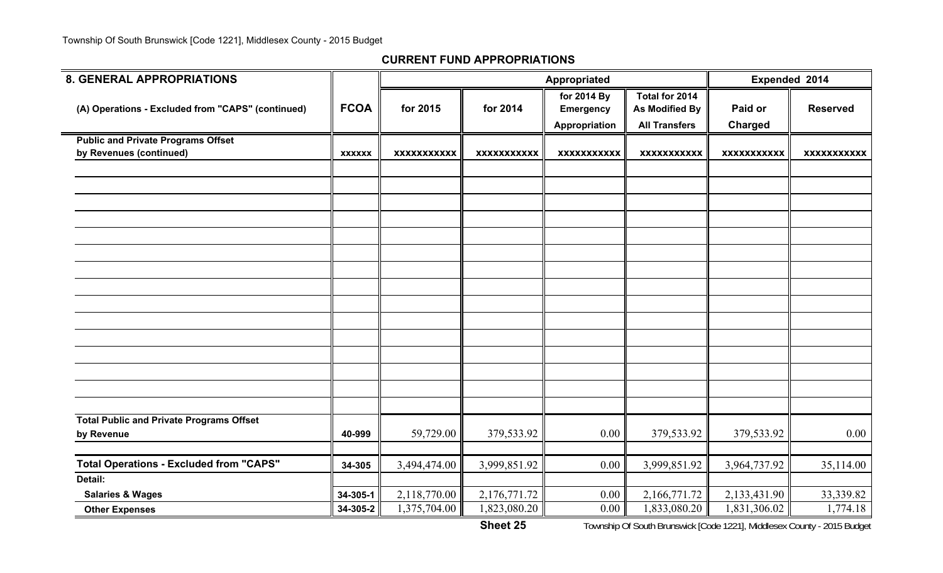| <b>8. GENERAL APPROPRIATIONS</b>                  |               |                    |                    | Appropriated                                     |                                                                 |                           | Expended 2014      |
|---------------------------------------------------|---------------|--------------------|--------------------|--------------------------------------------------|-----------------------------------------------------------------|---------------------------|--------------------|
| (A) Operations - Excluded from "CAPS" (continued) | <b>FCOA</b>   | for 2015           | for 2014           | for 2014 By<br><b>Emergency</b><br>Appropriation | Total for 2014<br><b>As Modified By</b><br><b>All Transfers</b> | Paid or<br><b>Charged</b> | <b>Reserved</b>    |
| <b>Public and Private Programs Offset</b>         |               |                    |                    |                                                  |                                                                 |                           |                    |
| by Revenues (continued)                           | <b>XXXXXX</b> | <b>XXXXXXXXXXX</b> | <b>XXXXXXXXXXX</b> | <b>XXXXXXXXXXX</b>                               | <b>XXXXXXXXXXX</b>                                              | <b>XXXXXXXXXXX</b>        | <b>XXXXXXXXXXX</b> |
|                                                   |               |                    |                    |                                                  |                                                                 |                           |                    |
|                                                   |               |                    |                    |                                                  |                                                                 |                           |                    |
|                                                   |               |                    |                    |                                                  |                                                                 |                           |                    |
|                                                   |               |                    |                    |                                                  |                                                                 |                           |                    |
|                                                   |               |                    |                    |                                                  |                                                                 |                           |                    |
|                                                   |               |                    |                    |                                                  |                                                                 |                           |                    |
|                                                   |               |                    |                    |                                                  |                                                                 |                           |                    |
|                                                   |               |                    |                    |                                                  |                                                                 |                           |                    |
|                                                   |               |                    |                    |                                                  |                                                                 |                           |                    |
|                                                   |               |                    |                    |                                                  |                                                                 |                           |                    |
|                                                   |               |                    |                    |                                                  |                                                                 |                           |                    |
|                                                   |               |                    |                    |                                                  |                                                                 |                           |                    |
|                                                   |               |                    |                    |                                                  |                                                                 |                           |                    |
|                                                   |               |                    |                    |                                                  |                                                                 |                           |                    |
|                                                   |               |                    |                    |                                                  |                                                                 |                           |                    |
| <b>Total Public and Private Programs Offset</b>   |               |                    |                    |                                                  |                                                                 |                           |                    |
| by Revenue                                        | 40-999        | 59,729.00          | 379,533.92         | 0.00                                             | 379,533.92                                                      | 379,533.92                | 0.00               |
|                                                   |               |                    |                    |                                                  |                                                                 |                           |                    |
| <b>Total Operations - Excluded from "CAPS"</b>    | 34-305        | 3,494,474.00       | 3,999,851.92       | 0.00                                             | 3,999,851.92                                                    | 3,964,737.92              | 35,114.00          |
| Detail:                                           |               |                    |                    |                                                  |                                                                 |                           |                    |
| <b>Salaries &amp; Wages</b>                       | 34-305-1      | 2,118,770.00       | 2,176,771.72       | 0.00                                             | 2,166,771.72                                                    | 2,133,431.90              | 33,339.82          |
| <b>Other Expenses</b>                             | 34-305-2      | 1,375,704.00       | 1,823,080.20       | 0.00                                             | 1,833,080.20                                                    | 1,831,306.02              | 1,774.18           |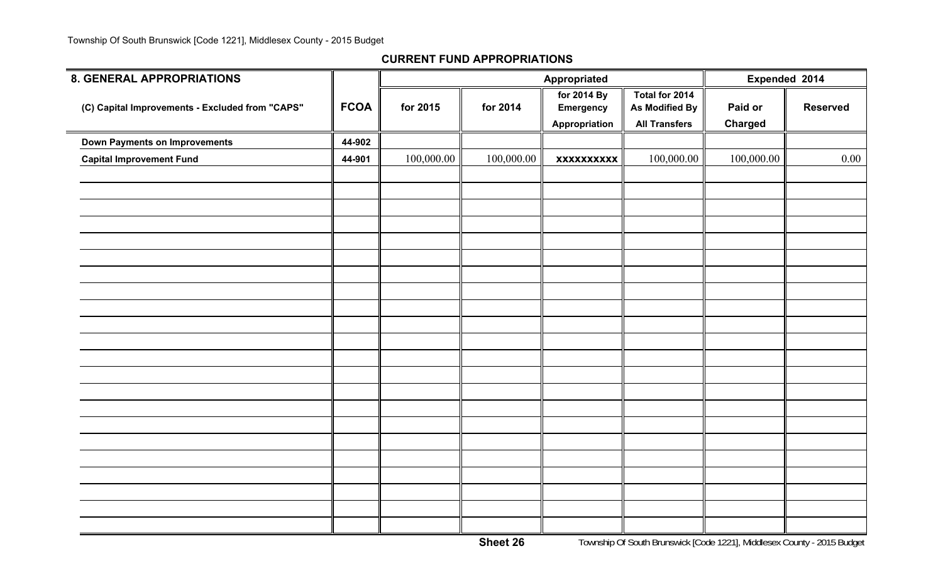Township Of South Brunswick [Code 1221], Middlesex County - 2015 Budget

| <b>8. GENERAL APPROPRIATIONS</b>                |             |            |            | Appropriated                                     |                                                          |                           | Expended 2014   |
|-------------------------------------------------|-------------|------------|------------|--------------------------------------------------|----------------------------------------------------------|---------------------------|-----------------|
| (C) Capital Improvements - Excluded from "CAPS" | <b>FCOA</b> | for 2015   | for 2014   | for 2014 By<br><b>Emergency</b><br>Appropriation | Total for 2014<br>As Modified By<br><b>All Transfers</b> | Paid or<br><b>Charged</b> | <b>Reserved</b> |
| <b>Down Payments on Improvements</b>            | 44-902      |            |            |                                                  |                                                          |                           |                 |
| <b>Capital Improvement Fund</b>                 | 44-901      | 100,000.00 | 100,000.00 | <b>XXXXXXXXXX</b>                                | 100,000.00                                               | 100,000.00                | 0.00            |
|                                                 |             |            |            |                                                  |                                                          |                           |                 |
|                                                 |             |            |            |                                                  |                                                          |                           |                 |
|                                                 |             |            |            |                                                  |                                                          |                           |                 |
|                                                 |             |            |            |                                                  |                                                          |                           |                 |
|                                                 |             |            |            |                                                  |                                                          |                           |                 |
|                                                 |             |            |            |                                                  |                                                          |                           |                 |
|                                                 |             |            |            |                                                  |                                                          |                           |                 |
|                                                 |             |            |            |                                                  |                                                          |                           |                 |
|                                                 |             |            |            |                                                  |                                                          |                           |                 |
|                                                 |             |            |            |                                                  |                                                          |                           |                 |
|                                                 |             |            |            |                                                  |                                                          |                           |                 |
|                                                 |             |            |            |                                                  |                                                          |                           |                 |
|                                                 |             |            |            |                                                  |                                                          |                           |                 |
|                                                 |             |            |            |                                                  |                                                          |                           |                 |
|                                                 |             |            |            |                                                  |                                                          |                           |                 |
|                                                 |             |            |            |                                                  |                                                          |                           |                 |
|                                                 |             |            |            |                                                  |                                                          |                           |                 |
|                                                 |             |            |            |                                                  |                                                          |                           |                 |
|                                                 |             |            |            |                                                  |                                                          |                           |                 |
|                                                 |             |            |            |                                                  |                                                          |                           |                 |
|                                                 |             |            |            |                                                  |                                                          |                           |                 |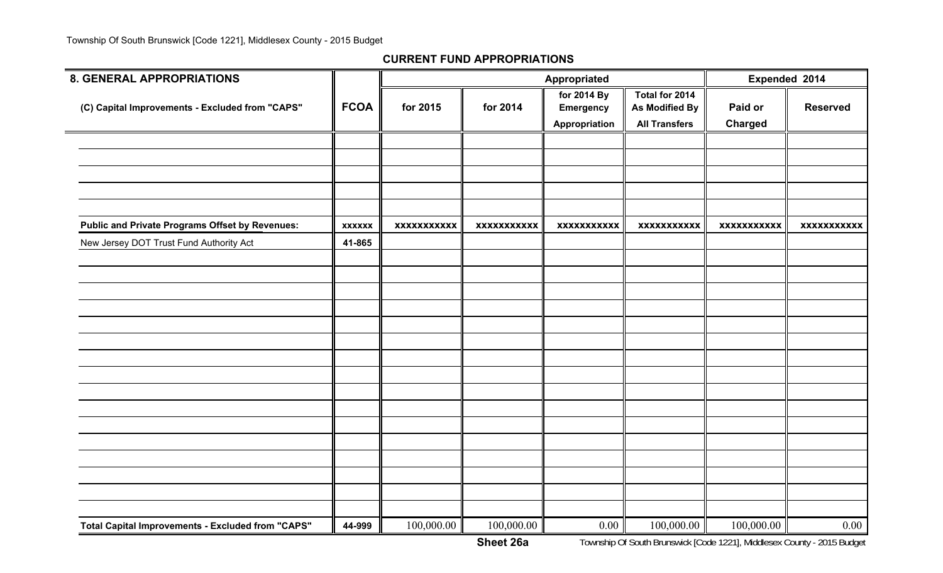| <b>8. GENERAL APPROPRIATIONS</b>                         |               |                    |                    | Appropriated                                     |                                                          | Expended 2014             |                    |
|----------------------------------------------------------|---------------|--------------------|--------------------|--------------------------------------------------|----------------------------------------------------------|---------------------------|--------------------|
| (C) Capital Improvements - Excluded from "CAPS"          | <b>FCOA</b>   | for 2015           | for 2014           | for 2014 By<br><b>Emergency</b><br>Appropriation | Total for 2014<br>As Modified By<br><b>All Transfers</b> | Paid or<br><b>Charged</b> | <b>Reserved</b>    |
|                                                          |               |                    |                    |                                                  |                                                          |                           |                    |
|                                                          |               |                    |                    |                                                  |                                                          |                           |                    |
|                                                          |               |                    |                    |                                                  |                                                          |                           |                    |
|                                                          |               |                    |                    |                                                  |                                                          |                           |                    |
| <b>Public and Private Programs Offset by Revenues:</b>   | <b>XXXXXX</b> | <b>XXXXXXXXXXX</b> | <b>XXXXXXXXXXX</b> | <b>XXXXXXXXXXX</b>                               | <b>XXXXXXXXXXX</b>                                       | <b>XXXXXXXXXXX</b>        | <b>XXXXXXXXXXX</b> |
| New Jersey DOT Trust Fund Authority Act                  | 41-865        |                    |                    |                                                  |                                                          |                           |                    |
|                                                          |               |                    |                    |                                                  |                                                          |                           |                    |
|                                                          |               |                    |                    |                                                  |                                                          |                           |                    |
|                                                          |               |                    |                    |                                                  |                                                          |                           |                    |
|                                                          |               |                    |                    |                                                  |                                                          |                           |                    |
|                                                          |               |                    |                    |                                                  |                                                          |                           |                    |
|                                                          |               |                    |                    |                                                  |                                                          |                           |                    |
|                                                          |               |                    |                    |                                                  |                                                          |                           |                    |
|                                                          |               |                    |                    |                                                  |                                                          |                           |                    |
|                                                          |               |                    |                    |                                                  |                                                          |                           |                    |
|                                                          |               |                    |                    |                                                  |                                                          |                           |                    |
|                                                          |               |                    |                    |                                                  |                                                          |                           |                    |
|                                                          |               |                    |                    |                                                  |                                                          |                           |                    |
|                                                          |               |                    |                    |                                                  |                                                          |                           |                    |
|                                                          |               |                    |                    |                                                  |                                                          |                           |                    |
|                                                          |               |                    |                    |                                                  |                                                          |                           |                    |
| <b>Total Capital Improvements - Excluded from "CAPS"</b> | 44-999        | 100,000.00         | 100,000.00         | 0.00                                             | 100,000.00                                               | 100,000.00                | 0.00               |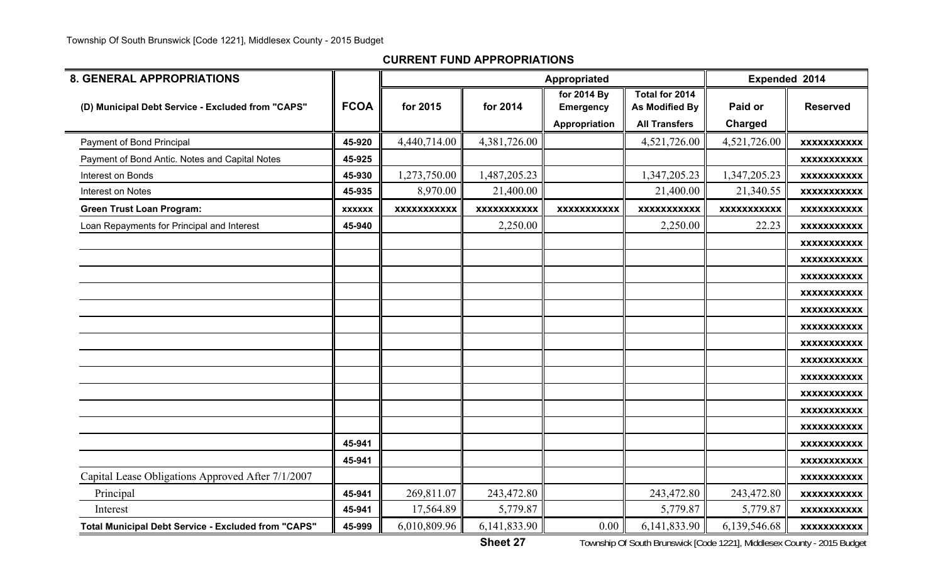| <b>8. GENERAL APPROPRIATIONS</b>                           |               |                    |                    | Appropriated                                       |                                                                 | Expended 2014             |                    |
|------------------------------------------------------------|---------------|--------------------|--------------------|----------------------------------------------------|-----------------------------------------------------------------|---------------------------|--------------------|
| (D) Municipal Debt Service - Excluded from "CAPS"          | <b>FCOA</b>   | for 2015           | for 2014           | for $2014$ By<br><b>Emergency</b><br>Appropriation | Total for 2014<br><b>As Modified By</b><br><b>All Transfers</b> | Paid or<br><b>Charged</b> | <b>Reserved</b>    |
| Payment of Bond Principal                                  | 45-920        | 4,440,714.00       | 4,381,726.00       |                                                    | 4,521,726.00                                                    | 4,521,726.00              | <b>XXXXXXXXXXX</b> |
| Payment of Bond Antic. Notes and Capital Notes             | 45-925        |                    |                    |                                                    |                                                                 |                           | <b>XXXXXXXXXXX</b> |
| Interest on Bonds                                          | 45-930        | 1,273,750.00       | 1,487,205.23       |                                                    | 1,347,205.23                                                    | 1,347,205.23              | <b>XXXXXXXXXXX</b> |
| Interest on Notes                                          | 45-935        | 8,970.00           | 21,400.00          |                                                    | 21,400.00                                                       | 21,340.55                 | <b>XXXXXXXXXXX</b> |
| <b>Green Trust Loan Program:</b>                           | <b>XXXXXX</b> | <b>XXXXXXXXXXX</b> | <b>XXXXXXXXXXX</b> | <b>XXXXXXXXXXX</b>                                 | <b>XXXXXXXXXXX</b>                                              | <b>XXXXXXXXXXX</b>        | <b>XXXXXXXXXXX</b> |
| Loan Repayments for Principal and Interest                 | 45-940        |                    | 2,250.00           |                                                    | 2,250.00                                                        | 22.23                     | <b>XXXXXXXXXXX</b> |
|                                                            |               |                    |                    |                                                    |                                                                 |                           | <b>XXXXXXXXXXX</b> |
|                                                            |               |                    |                    |                                                    |                                                                 |                           | <b>XXXXXXXXXXX</b> |
|                                                            |               |                    |                    |                                                    |                                                                 |                           | <b>XXXXXXXXXXX</b> |
|                                                            |               |                    |                    |                                                    |                                                                 |                           | <b>XXXXXXXXXXX</b> |
|                                                            |               |                    |                    |                                                    |                                                                 |                           | <b>XXXXXXXXXXX</b> |
|                                                            |               |                    |                    |                                                    |                                                                 |                           | <b>XXXXXXXXXXX</b> |
|                                                            |               |                    |                    |                                                    |                                                                 |                           | <b>XXXXXXXXXXX</b> |
|                                                            |               |                    |                    |                                                    |                                                                 |                           | <b>XXXXXXXXXXX</b> |
|                                                            |               |                    |                    |                                                    |                                                                 |                           | <b>XXXXXXXXXXX</b> |
|                                                            |               |                    |                    |                                                    |                                                                 |                           | <b>XXXXXXXXXXX</b> |
|                                                            |               |                    |                    |                                                    |                                                                 |                           | <b>XXXXXXXXXXX</b> |
|                                                            |               |                    |                    |                                                    |                                                                 |                           | <b>XXXXXXXXXXX</b> |
|                                                            | 45-941        |                    |                    |                                                    |                                                                 |                           | <b>XXXXXXXXXXX</b> |
|                                                            | 45-941        |                    |                    |                                                    |                                                                 |                           | <b>XXXXXXXXXXX</b> |
| Capital Lease Obligations Approved After 7/1/2007          |               |                    |                    |                                                    |                                                                 |                           | <b>XXXXXXXXXXX</b> |
| Principal                                                  | 45-941        | 269,811.07         | 243,472.80         |                                                    | 243,472.80                                                      | 243,472.80                | <b>XXXXXXXXXXX</b> |
| Interest                                                   | 45-941        | 17,564.89          | 5,779.87           |                                                    | 5,779.87                                                        | 5,779.87                  | <b>XXXXXXXXXXX</b> |
| <b>Total Municipal Debt Service - Excluded from "CAPS"</b> | 45-999        | 6,010,809.96       | 6,141,833.90       | 0.00                                               | 6,141,833.90                                                    | 6,139,546.68              | <b>XXXXXXXXXXX</b> |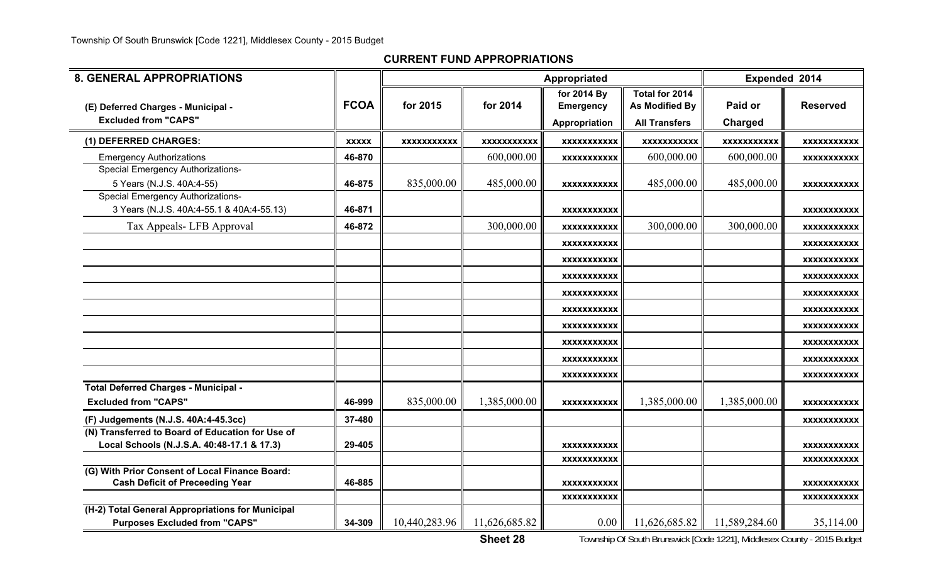Township Of South Brunswick [Code 1221], Middlesex County - 2015 Budget

**CURRENT FUND APPROPRIATIONS**

| <b>8. GENERAL APPROPRIATIONS</b>                                  |              |               |                    | Appropriated                                     |                                                                 | Expended 2014             |                    |
|-------------------------------------------------------------------|--------------|---------------|--------------------|--------------------------------------------------|-----------------------------------------------------------------|---------------------------|--------------------|
| (E) Deferred Charges - Municipal -<br><b>Excluded from "CAPS"</b> | <b>FCOA</b>  | for 2015      | for 2014           | for 2014 By<br><b>Emergency</b><br>Appropriation | Total for 2014<br><b>As Modified By</b><br><b>All Transfers</b> | Paid or<br><b>Charged</b> | <b>Reserved</b>    |
| (1) DEFERRED CHARGES:                                             | <b>XXXXX</b> | XXXXXXXXXXX   | <b>XXXXXXXXXXX</b> | <b>XXXXXXXXXXX</b>                               | xxxxxxxxxxx                                                     | <b>XXXXXXXXXXX</b>        | <b>XXXXXXXXXXX</b> |
| <b>Emergency Authorizations</b>                                   | 46-870       |               | 600,000.00         | XXXXXXXXXXX                                      | 600,000.00                                                      | 600,000.00                | XXXXXXXXXXX        |
| <b>Special Emergency Authorizations-</b>                          |              |               |                    |                                                  |                                                                 |                           |                    |
| 5 Years (N.J.S. 40A:4-55)                                         | 46-875       | 835,000.00    | 485,000.00         | XXXXXXXXXXX                                      | 485,000.00                                                      | 485,000.00                | <b>XXXXXXXXXXX</b> |
| <b>Special Emergency Authorizations-</b>                          |              |               |                    |                                                  |                                                                 |                           |                    |
| 3 Years (N.J.S. 40A:4-55.1 & 40A:4-55.13)                         | 46-871       |               |                    | <b>XXXXXXXXXXX</b>                               |                                                                 |                           | <b>XXXXXXXXXXX</b> |
| Tax Appeals- LFB Approval                                         | 46-872       |               | 300,000.00         | XXXXXXXXXXX                                      | 300,000.00                                                      | 300,000.00                | <b>XXXXXXXXXXX</b> |
|                                                                   |              |               |                    | <b>XXXXXXXXXXX</b>                               |                                                                 |                           | <b>XXXXXXXXXXX</b> |
|                                                                   |              |               |                    | <b>XXXXXXXXXXX</b>                               |                                                                 |                           | <b>XXXXXXXXXXX</b> |
|                                                                   |              |               |                    | <b>XXXXXXXXXXX</b>                               |                                                                 |                           | XXXXXXXXXXX        |
|                                                                   |              |               |                    | <b>XXXXXXXXXXX</b>                               |                                                                 |                           | XXXXXXXXXXX        |
|                                                                   |              |               |                    | <b>XXXXXXXXXXX</b>                               |                                                                 |                           | <b>XXXXXXXXXXX</b> |
|                                                                   |              |               |                    | <b>XXXXXXXXXXX</b>                               |                                                                 |                           | <b>XXXXXXXXXXX</b> |
|                                                                   |              |               |                    | <b>XXXXXXXXXXX</b>                               |                                                                 |                           | <b>XXXXXXXXXXX</b> |
|                                                                   |              |               |                    | <b>XXXXXXXXXXX</b>                               |                                                                 |                           | <b>XXXXXXXXXXX</b> |
|                                                                   |              |               |                    | <b>XXXXXXXXXXX</b>                               |                                                                 |                           | XXXXXXXXXXX        |
| Total Deferred Charges - Municipal -                              |              |               |                    |                                                  |                                                                 |                           |                    |
| <b>Excluded from "CAPS"</b>                                       | 46-999       | 835,000.00    | 1,385,000.00       | <b>XXXXXXXXXXX</b>                               | 1,385,000.00                                                    | 1,385,000.00              | <b>XXXXXXXXXXX</b> |
| (F) Judgements (N.J.S. 40A:4-45.3cc)                              | 37-480       |               |                    |                                                  |                                                                 |                           | <b>XXXXXXXXXXX</b> |
| (N) Transferred to Board of Education for Use of                  |              |               |                    |                                                  |                                                                 |                           |                    |
| Local Schools (N.J.S.A. 40:48-17.1 & 17.3)                        | 29-405       |               |                    | <b>XXXXXXXXXXX</b>                               |                                                                 |                           | <b>XXXXXXXXXXX</b> |
| (G) With Prior Consent of Local Finance Board:                    |              |               |                    | XXXXXXXXXXX                                      |                                                                 |                           | <b>XXXXXXXXXXX</b> |
| <b>Cash Deficit of Preceeding Year</b>                            | 46-885       |               |                    | XXXXXXXXXXX                                      |                                                                 |                           | <b>XXXXXXXXXXX</b> |
|                                                                   |              |               |                    | XXXXXXXXXX                                       |                                                                 |                           | XXXXXXXXXXX        |
| (H-2) Total General Appropriations for Municipal                  |              |               |                    |                                                  |                                                                 |                           |                    |
| <b>Purposes Excluded from "CAPS"</b>                              | 34-309       | 10,440,283.96 | 11,626,685.82      | 0.00 <sub>l</sub>                                | 11,626,685.82                                                   | 11,589,284.60             | 35,114.00          |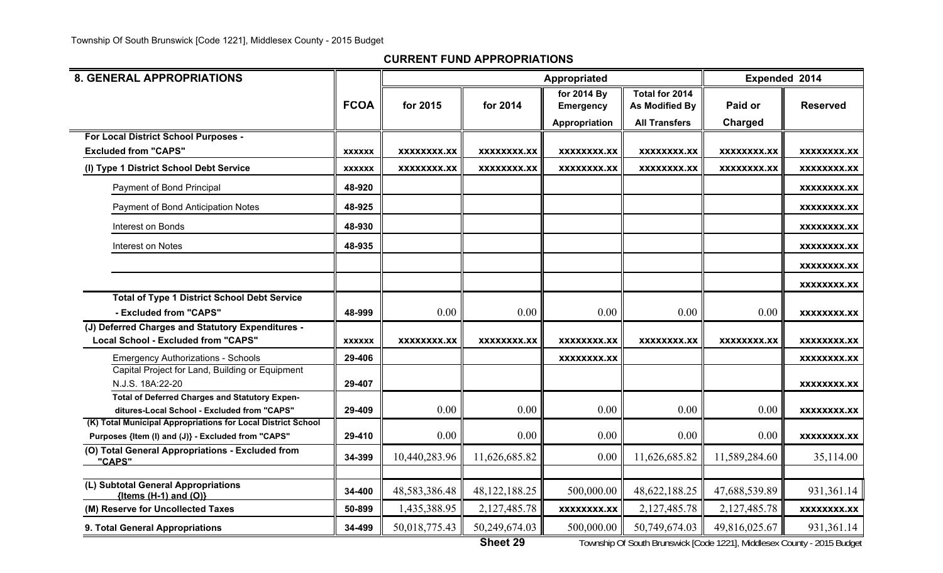| <b>8. GENERAL APPROPRIATIONS</b>                                    |               |               |                    | Expended 2014      |                       |                    |                    |
|---------------------------------------------------------------------|---------------|---------------|--------------------|--------------------|-----------------------|--------------------|--------------------|
|                                                                     |               |               |                    | for 2014 By        | Total for 2014        |                    |                    |
|                                                                     | <b>FCOA</b>   | for 2015      | for 2014           | <b>Emergency</b>   | <b>As Modified By</b> | Paid or            | <b>Reserved</b>    |
|                                                                     |               |               |                    | Appropriation      | <b>All Transfers</b>  | <b>Charged</b>     |                    |
| For Local District School Purposes -                                |               |               |                    |                    |                       |                    |                    |
| <b>Excluded from "CAPS"</b>                                         | <b>XXXXXX</b> | XXXXXXXX.XX   | XXXXXXXX.XX        | XXXXXXXX.XX        | XXXXXXXX.XX           | XXXXXXXX.XX        | XXXXXXXX.XX        |
| (I) Type 1 District School Debt Service                             | <b>XXXXXX</b> | XXXXXXXX.XX   | XXXXXXXX.XX        | <b>XXXXXXXX.XX</b> | XXXXXXXX.XX           | XXXXXXXX.XX        | <b>XXXXXXXX.XX</b> |
| Payment of Bond Principal                                           | 48-920        |               |                    |                    |                       |                    | XXXXXXXX.XX        |
| Payment of Bond Anticipation Notes                                  | 48-925        |               |                    |                    |                       |                    | <b>XXXXXXXX.XX</b> |
| Interest on Bonds                                                   | 48-930        |               |                    |                    |                       |                    | <b>XXXXXXXX.XX</b> |
| Interest on Notes                                                   | 48-935        |               |                    |                    |                       |                    | XXXXXXXX.XX        |
|                                                                     |               |               |                    |                    |                       |                    | XXXXXXXX.XX        |
|                                                                     |               |               |                    |                    |                       |                    | <b>XXXXXXXX.XX</b> |
| <b>Total of Type 1 District School Debt Service</b>                 |               |               |                    |                    |                       |                    |                    |
| - Excluded from "CAPS"                                              | 48-999        | 0.00          | 0.00               | 0.00               | 0.00                  | 0.00               | <b>XXXXXXXX.XX</b> |
| (J) Deferred Charges and Statutory Expenditures -                   |               |               |                    |                    |                       |                    |                    |
| <b>Local School - Excluded from "CAPS"</b>                          | <b>XXXXXX</b> | XXXXXXXX.XX   | <b>XXXXXXXX.XX</b> | XXXXXXXX.XX        | XXXXXXXX.XX           | <b>XXXXXXXX.XX</b> | XXXXXXXX.XX        |
| <b>Emergency Authorizations - Schools</b>                           | 29-406        |               |                    | XXXXXXXX.XX        |                       |                    | <b>XXXXXXXX.XX</b> |
| Capital Project for Land, Building or Equipment<br>N.J.S. 18A:22-20 | 29-407        |               |                    |                    |                       |                    | XXXXXXXX.XX        |
| <b>Total of Deferred Charges and Statutory Expen-</b>               |               |               |                    |                    |                       |                    |                    |
| ditures-Local School - Excluded from "CAPS"                         | 29-409        | 0.00          | 0.00               | 0.00               | 0.00                  | 0.00               | <b>XXXXXXXX.XX</b> |
| (K) Total Municipal Appropriations for Local District School        |               |               |                    |                    |                       |                    |                    |
| Purposes {Item (I) and (J)} - Excluded from "CAPS"                  | 29-410        | 0.00          | 0.00               | 0.00               | 0.00                  | 0.00               | <b>XXXXXXXX.XX</b> |
| (O) Total General Appropriations - Excluded from<br>"CAPS"          | 34-399        | 10,440,283.96 | 11,626,685.82      | 0.00               | 11,626,685.82         | 11,589,284.60      | 35,114.00          |
|                                                                     |               |               |                    |                    |                       |                    |                    |
| (L) Subtotal General Appropriations<br>${Items (H-1) and (O)}$      | 34-400        | 48,583,386.48 | 48, 122, 188. 25   | 500,000.00         | 48,622,188.25         | 47,688,539.89      | 931,361.14         |
| (M) Reserve for Uncollected Taxes                                   | 50-899        | 1,435,388.95  | 2,127,485.78       | <b>XXXXXXXX.XX</b> | 2,127,485.78          | 2,127,485.78       | <b>XXXXXXXX.XX</b> |
| 9. Total General Appropriations                                     | 34-499        | 50,018,775.43 | 50,249,674.03      | 500,000.00         | 50,749,674.03         | 49,816,025.67      | 931,361.14         |

**Sheet 29**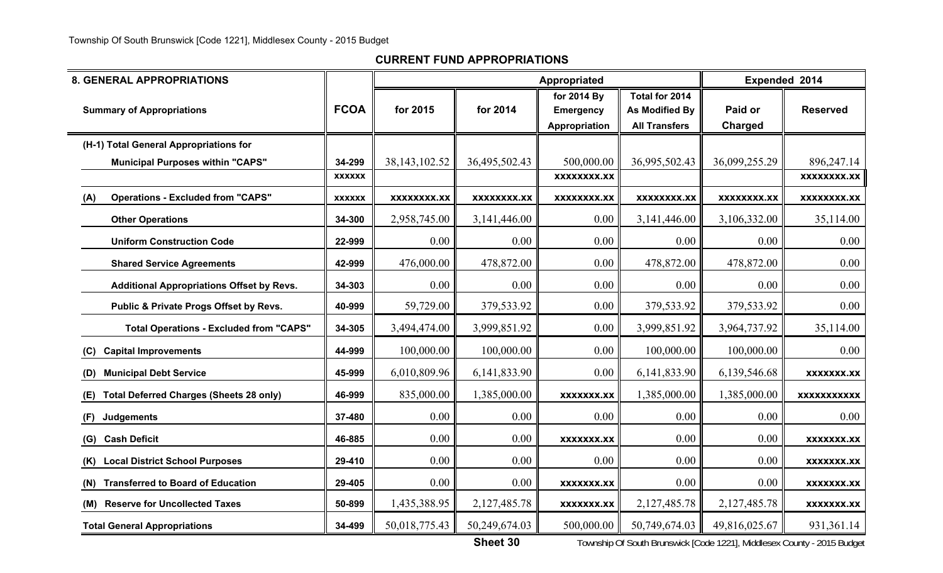| <b>8. GENERAL APPROPRIATIONS</b>                      |               |                 |               | Appropriated                                     |                                                          | Expended 2014             |                    |
|-------------------------------------------------------|---------------|-----------------|---------------|--------------------------------------------------|----------------------------------------------------------|---------------------------|--------------------|
| <b>Summary of Appropriations</b>                      | <b>FCOA</b>   | for 2015        | for 2014      | for 2014 By<br><b>Emergency</b><br>Appropriation | Total for 2014<br>As Modified By<br><b>All Transfers</b> | Paid or<br><b>Charged</b> | <b>Reserved</b>    |
| (H-1) Total General Appropriations for                |               |                 |               |                                                  |                                                          |                           |                    |
| <b>Municipal Purposes within "CAPS"</b>               | 34-299        | 38, 143, 102.52 | 36,495,502.43 | 500,000.00                                       | 36,995,502.43                                            | 36,099,255.29             | 896,247.14         |
|                                                       | <b>XXXXXX</b> |                 |               | <b>XXXXXXXX.XX</b>                               |                                                          |                           | XXXXXXXX.XX        |
| <b>Operations - Excluded from "CAPS"</b><br>(A)       | <b>XXXXXX</b> | XXXXXXXX.XX     | XXXXXXXX.XX   | XXXXXXXX.XX                                      | <b>XXXXXXXX.XX</b>                                       | <b>XXXXXXXX.XX</b>        | <b>XXXXXXXX.XX</b> |
| <b>Other Operations</b>                               | 34-300        | 2,958,745.00    | 3,141,446.00  | 0.00                                             | 3, 141, 446.00                                           | 3,106,332.00              | 35,114.00          |
| <b>Uniform Construction Code</b>                      | 22-999        | 0.00            | 0.00          | 0.00                                             | 0.00                                                     | 0.00                      | 0.00               |
| <b>Shared Service Agreements</b>                      | 42-999        | 476,000.00      | 478,872.00    | 0.00                                             | 478,872.00                                               | 478,872.00                | 0.00               |
| <b>Additional Appropriations Offset by Revs.</b>      | 34-303        | 0.00            | 0.00          | 0.00                                             | 0.00                                                     | 0.00                      | 0.00               |
| Public & Private Progs Offset by Revs.                | 40-999        | 59,729.00       | 379,533.92    | 0.00                                             | 379,533.92                                               | 379,533.92                | 0.00               |
| <b>Total Operations - Excluded from "CAPS"</b>        | 34-305        | 3,494,474.00    | 3,999,851.92  | 0.00                                             | 3,999,851.92                                             | 3,964,737.92              | 35,114.00          |
| <b>Capital Improvements</b><br>(C)                    | 44-999        | 100,000.00      | 100,000.00    | 0.00                                             | 100,000.00                                               | 100,000.00                | 0.00               |
| <b>Municipal Debt Service</b><br>(D)                  | 45-999        | 6,010,809.96    | 6,141,833.90  | 0.00                                             | 6,141,833.90                                             | 6,139,546.68              | <b>XXXXXXX.XX</b>  |
| <b>Total Deferred Charges (Sheets 28 only)</b><br>(E) | 46-999        | 835,000.00      | 1,385,000.00  | <b>XXXXXXX.XX</b>                                | 1,385,000.00                                             | 1,385,000.00              | <b>XXXXXXXXXXX</b> |
| (F)<br><b>Judgements</b>                              | 37-480        | 0.00            | 0.00          | 0.00                                             | 0.00                                                     | 0.00                      | 0.00               |
| <b>Cash Deficit</b><br>(G)                            | 46-885        | 0.00            | 0.00          | <b>XXXXXXX.XX</b>                                | 0.00                                                     | 0.00                      | <b>XXXXXXX.XX</b>  |
| <b>Local District School Purposes</b><br>(K)          | 29-410        | 0.00            | 0.00          | 0.00                                             | 0.00                                                     | 0.00                      | <b>XXXXXXX.XX</b>  |
| <b>Transferred to Board of Education</b><br>(N)       | 29-405        | 0.00            | 0.00          | XXXXXXX.XX                                       | 0.00                                                     | 0.00                      | <b>XXXXXXX.XX</b>  |
| <b>Reserve for Uncollected Taxes</b><br>(M)           | 50-899        | 1,435,388.95    | 2,127,485.78  | <b>XXXXXXX.XX</b>                                | 2,127,485.78                                             | 2,127,485.78              | <b>XXXXXXX.XX</b>  |
| <b>Total General Appropriations</b>                   | 34-499        | 50,018,775.43   | 50,249,674.03 | 500,000.00                                       | 50,749,674.03                                            | 49,816,025.67             | 931, 361. 14       |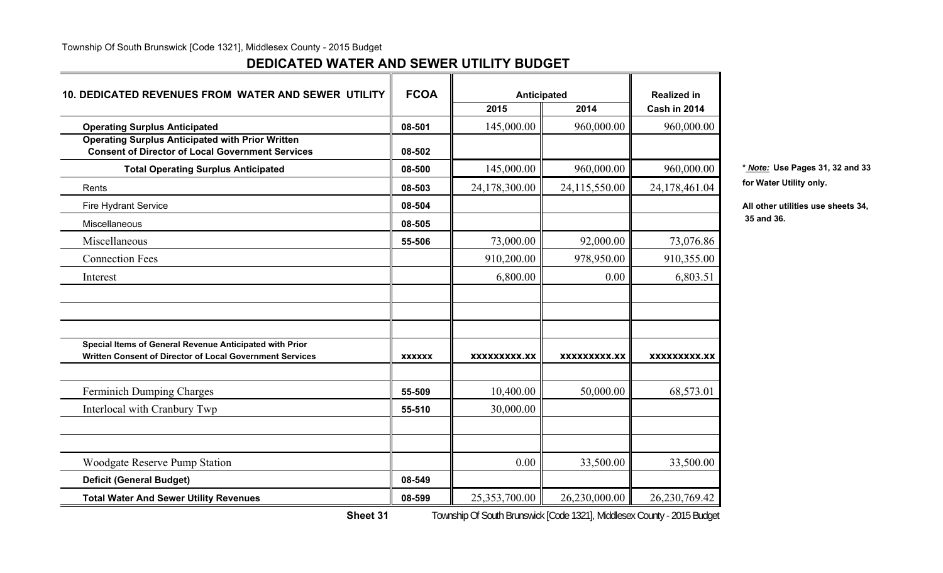#### Township Of South Brunswick [Code 1321], Middlesex County - 2015 Budget

## **DEDICATED WATER AND SEWER UTILITY BUDGET**

| <b>10. DEDICATED REVENUES FROM WATER AND SEWER UTILITY</b>                                                          | <b>FCOA</b>   | <b>Anticipated</b> |                     | <b>Realized in</b>  |             |
|---------------------------------------------------------------------------------------------------------------------|---------------|--------------------|---------------------|---------------------|-------------|
|                                                                                                                     |               | 2015               | 2014                | Cash in 2014        |             |
| <b>Operating Surplus Anticipated</b>                                                                                | 08-501        | 145,000.00         | 960,000.00          | 960,000.00          |             |
| <b>Operating Surplus Anticipated with Prior Written</b><br><b>Consent of Director of Local Government Services</b>  | 08-502        |                    |                     |                     |             |
| <b>Total Operating Surplus Anticipated</b>                                                                          | 08-500        | 145,000.00         | 960,000.00          | 960,000.00          | * Note: Us  |
| Rents                                                                                                               | 08-503        | 24,178,300.00      | 24,115,550.00       | 24,178,461.04       | for Water I |
| <b>Fire Hydrant Service</b>                                                                                         | 08-504        |                    |                     |                     | All other u |
| Miscellaneous                                                                                                       | 08-505        |                    |                     |                     | 35 and 36.  |
| Miscellaneous                                                                                                       | 55-506        | 73,000.00          | 92,000.00           | 73,076.86           |             |
| <b>Connection Fees</b>                                                                                              |               | 910,200.00         | 978,950.00          | 910,355.00          |             |
| Interest                                                                                                            |               | 6,800.00           | 0.00                | 6,803.51            |             |
|                                                                                                                     |               |                    |                     |                     |             |
| Special Items of General Revenue Anticipated with Prior<br>Written Consent of Director of Local Government Services | <b>XXXXXX</b> | XXXXXXXXX.XX       | <b>XXXXXXXXX.XX</b> | <b>XXXXXXXXX.XX</b> |             |
| Ferminich Dumping Charges                                                                                           | 55-509        | 10,400.00          | 50,000.00           | 68,573.01           |             |
| Interlocal with Cranbury Twp                                                                                        | 55-510        | 30,000.00          |                     |                     |             |
|                                                                                                                     |               |                    |                     |                     |             |
| <b>Woodgate Reserve Pump Station</b>                                                                                |               | 0.00               | 33,500.00           | 33,500.00           |             |
| <b>Deficit (General Budget)</b>                                                                                     | 08-549        |                    |                     |                     |             |
| <b>Total Water And Sewer Utility Revenues</b>                                                                       | 08-599        | 25,353,700.00      | 26,230,000.00       | 26,230,769.42       |             |

**Total Operating Surplus Anticipated 08-500** 145,000.00 960,000.00 960,000.00 **\*** *Note:* **Use Pages 31, 32 and 33** for Water Utility only.

All other utilities use sheets 34,

**Sheet 31**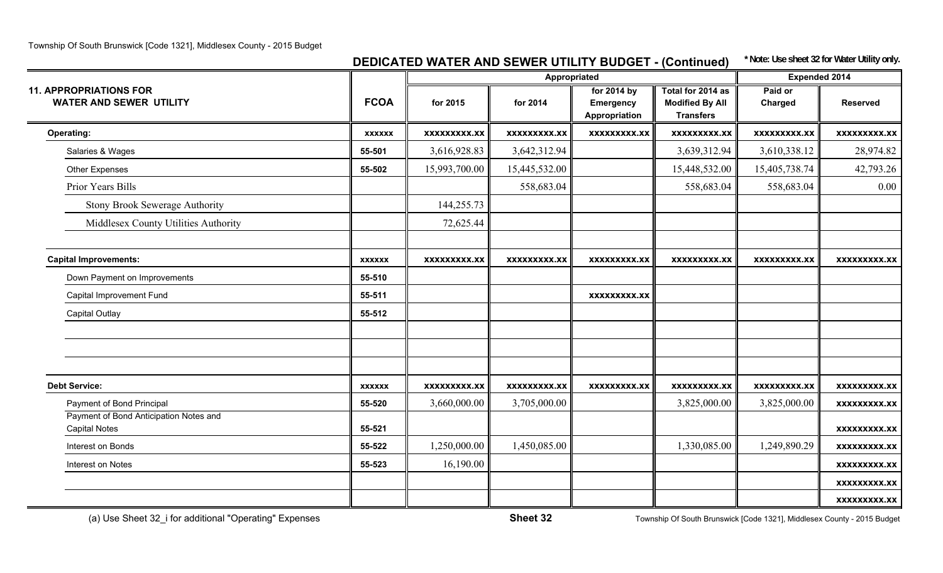# **DEDICATED WATER AND SEWER UTILITY BUDGET - (Continued) \* Note: Use sheet 32 for Water Utility only.**

|                                                                 |               | Appropriated        |                     |                                                  |                                                                 |                     | <b>Expended 2014</b> |  |  |
|-----------------------------------------------------------------|---------------|---------------------|---------------------|--------------------------------------------------|-----------------------------------------------------------------|---------------------|----------------------|--|--|
| <b>11. APPROPRIATIONS FOR</b><br><b>WATER AND SEWER UTILITY</b> | <b>FCOA</b>   | for 2015            | for 2014            | for 2014 by<br><b>Emergency</b><br>Appropriation | Total for 2014 as<br><b>Modified By All</b><br><b>Transfers</b> | Paid or<br>Charged  | <b>Reserved</b>      |  |  |
| <b>Operating:</b>                                               | <b>XXXXXX</b> | <b>XXXXXXXXX.XX</b> | <b>XXXXXXXXX.XX</b> | <b>XXXXXXXXX.XX</b>                              | <b>XXXXXXXXX.XX</b>                                             | <b>XXXXXXXXX.XX</b> | <b>XXXXXXXXX.XX</b>  |  |  |
| Salaries & Wages                                                | 55-501        | 3,616,928.83        | 3,642,312.94        |                                                  | 3,639,312.94                                                    | 3,610,338.12        | 28,974.82            |  |  |
| <b>Other Expenses</b>                                           | 55-502        | 15,993,700.00       | 15,445,532.00       |                                                  | 15,448,532.00                                                   | 15,405,738.74       | 42,793.26            |  |  |
| Prior Years Bills                                               |               |                     | 558,683.04          |                                                  | 558,683.04                                                      | 558,683.04          | 0.00                 |  |  |
| <b>Stony Brook Sewerage Authority</b>                           |               | 144,255.73          |                     |                                                  |                                                                 |                     |                      |  |  |
| Middlesex County Utilities Authority                            |               | 72,625.44           |                     |                                                  |                                                                 |                     |                      |  |  |
| <b>Capital Improvements:</b>                                    | <b>XXXXXX</b> | <b>XXXXXXXXX.XX</b> | XXXXXXXXX.XX        | <b>XXXXXXXXX.XX</b>                              | <b>XXXXXXXXX.XX</b>                                             | <b>XXXXXXXXX.XX</b> | <b>XXXXXXXXX.XX</b>  |  |  |
| Down Payment on Improvements                                    | 55-510        |                     |                     |                                                  |                                                                 |                     |                      |  |  |
| Capital Improvement Fund                                        | 55-511        |                     |                     | <b>XXXXXXXXX.XX</b>                              |                                                                 |                     |                      |  |  |
| <b>Capital Outlay</b>                                           | 55-512        |                     |                     |                                                  |                                                                 |                     |                      |  |  |
|                                                                 |               |                     |                     |                                                  |                                                                 |                     |                      |  |  |
|                                                                 |               |                     |                     |                                                  |                                                                 |                     |                      |  |  |
| <b>Debt Service:</b>                                            | <b>XXXXXX</b> | XXXXXXXXX.XX        | <b>XXXXXXXXX.XX</b> | <b>XXXXXXXXX.XX</b>                              | <b>XXXXXXXXX.XX</b>                                             | <b>XXXXXXXXX.XX</b> | <b>XXXXXXXXX.XX</b>  |  |  |
| Payment of Bond Principal                                       | 55-520        | 3,660,000.00        | 3,705,000.00        |                                                  | 3,825,000.00                                                    | 3,825,000.00        | <b>XXXXXXXXX.XX</b>  |  |  |
| Payment of Bond Anticipation Notes and<br><b>Capital Notes</b>  | 55-521        |                     |                     |                                                  |                                                                 |                     | <b>XXXXXXXXX.XX</b>  |  |  |
| Interest on Bonds                                               | 55-522        | 1,250,000.00        | 1,450,085.00        |                                                  | 1,330,085.00                                                    | 1,249,890.29        | <b>XXXXXXXXX.XX</b>  |  |  |
| Interest on Notes                                               | 55-523        | 16,190.00           |                     |                                                  |                                                                 |                     | <b>XXXXXXXXX.XX</b>  |  |  |
|                                                                 |               |                     |                     |                                                  |                                                                 |                     | <b>XXXXXXXXX.XX</b>  |  |  |
|                                                                 |               |                     |                     |                                                  |                                                                 |                     | <b>XXXXXXXXX.XX</b>  |  |  |

(a) Use Sheet 32\_i for additional "Operating" Expenses **Sheet 32** Township Of South Brunswick [Code 1321], Middlesex County - 2015 Budget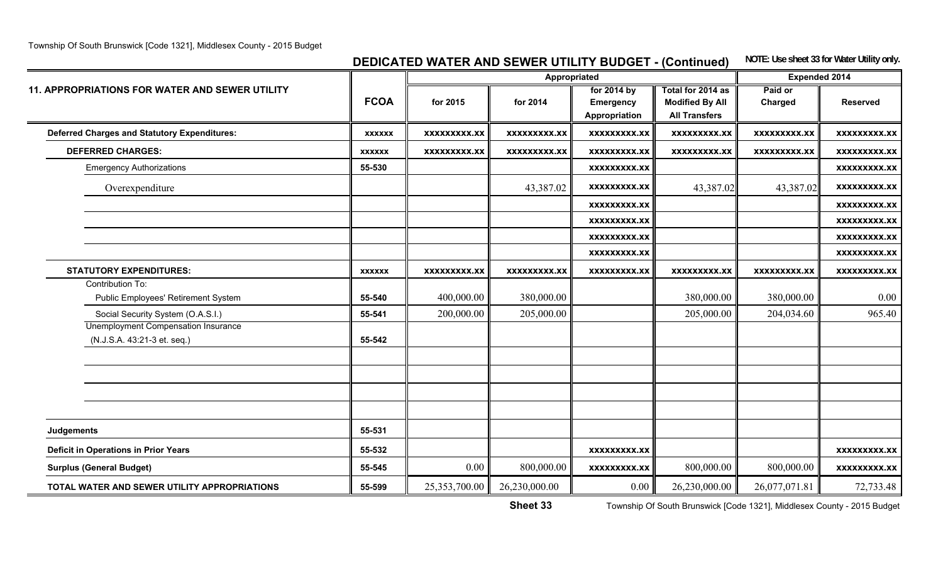Township Of South Brunswick [Code 1321], Middlesex County - 2015 Budget

# **DEDICATED WATER AND SEWER UTILITY BUDGET - (Continued)** NOTE: Use sheet 33 for Water Utility only.

|                                                                           |               |                     | Appropriated        |                                                  |                                                                     | <b>Expended 2014</b> |                     |
|---------------------------------------------------------------------------|---------------|---------------------|---------------------|--------------------------------------------------|---------------------------------------------------------------------|----------------------|---------------------|
| <b>11. APPROPRIATIONS FOR WATER AND SEWER UTILITY</b>                     | <b>FCOA</b>   | for 2015            | for 2014            | for 2014 by<br><b>Emergency</b><br>Appropriation | Total for 2014 as<br><b>Modified By All</b><br><b>All Transfers</b> | Paid or<br>Charged   | <b>Reserved</b>     |
| <b>Deferred Charges and Statutory Expenditures:</b>                       | <b>XXXXXX</b> | <b>XXXXXXXXX.XX</b> | XXXXXXXXX.XX        | <b>XXXXXXXXX.XX</b>                              | <b>XXXXXXXXX.XX</b>                                                 | <b>XXXXXXXXX.XX</b>  | <b>XXXXXXXXX.XX</b> |
| <b>DEFERRED CHARGES:</b>                                                  | <b>XXXXXX</b> | XXXXXXXXX.XX        | <b>XXXXXXXXX.XX</b> | XXXXXXXXX.XX                                     | <b>XXXXXXXXX.XX</b>                                                 | <b>XXXXXXXXX.XX</b>  | <b>XXXXXXXXX.XX</b> |
| <b>Emergency Authorizations</b>                                           | 55-530        |                     |                     | <b>XXXXXXXXX.XX</b>                              |                                                                     |                      | <b>XXXXXXXXX.XX</b> |
| Overexpenditure                                                           |               |                     | 43,387.02           | <b>XXXXXXXXX.XX</b>                              | 43,387.02                                                           | 43,387.02            | <b>XXXXXXXXX.XX</b> |
|                                                                           |               |                     |                     | XXXXXXXXX.XX                                     |                                                                     |                      | XXXXXXXXX.XX        |
|                                                                           |               |                     |                     | XXXXXXXXX.XX                                     |                                                                     |                      | XXXXXXXXX.XX        |
|                                                                           |               |                     |                     | <b>XXXXXXXXX.XX</b>                              |                                                                     |                      | <b>XXXXXXXXX.XX</b> |
|                                                                           |               |                     |                     | <b>XXXXXXXXX.XX</b>                              |                                                                     |                      | <b>XXXXXXXXX.XX</b> |
| <b>STATUTORY EXPENDITURES:</b>                                            | <b>XXXXXX</b> | XXXXXXXXX.XX        | XXXXXXXXX.XX        | XXXXXXXXX.XX                                     | <b>XXXXXXXXX.XX</b>                                                 | XXXXXXXXX.XX         | <b>XXXXXXXXX.XX</b> |
| Contribution To:<br>Public Employees' Retirement System                   | 55-540        | 400,000.00          | 380,000.00          |                                                  | 380,000.00                                                          | 380,000.00           | 0.00                |
| Social Security System (O.A.S.I.)                                         | 55-541        | 200,000.00          | 205,000.00          |                                                  | 205,000.00                                                          | 204,034.60           | 965.40              |
| <b>Unemployment Compensation Insurance</b><br>(N.J.S.A. 43:21-3 et. seq.) | 55-542        |                     |                     |                                                  |                                                                     |                      |                     |
|                                                                           |               |                     |                     |                                                  |                                                                     |                      |                     |
|                                                                           |               |                     |                     |                                                  |                                                                     |                      |                     |
| Judgements                                                                | 55-531        |                     |                     |                                                  |                                                                     |                      |                     |
| <b>Deficit in Operations in Prior Years</b>                               | 55-532        |                     |                     | XXXXXXXXX.XX                                     |                                                                     |                      | <b>XXXXXXXXX.XX</b> |
| <b>Surplus (General Budget)</b>                                           | 55-545        | 0.00                | 800,000.00          | <b>XXXXXXXXX.XX</b>                              | 800,000.00                                                          | 800,000.00           | <b>XXXXXXXXX.XX</b> |
| TOTAL WATER AND SEWER UTILITY APPROPRIATIONS                              | 55-599        | 25,353,700.00       | 26,230,000.00       | 0.00                                             | 26,230,000.00                                                       | 26,077,071.81        | 72,733.48           |

**Sheet 33**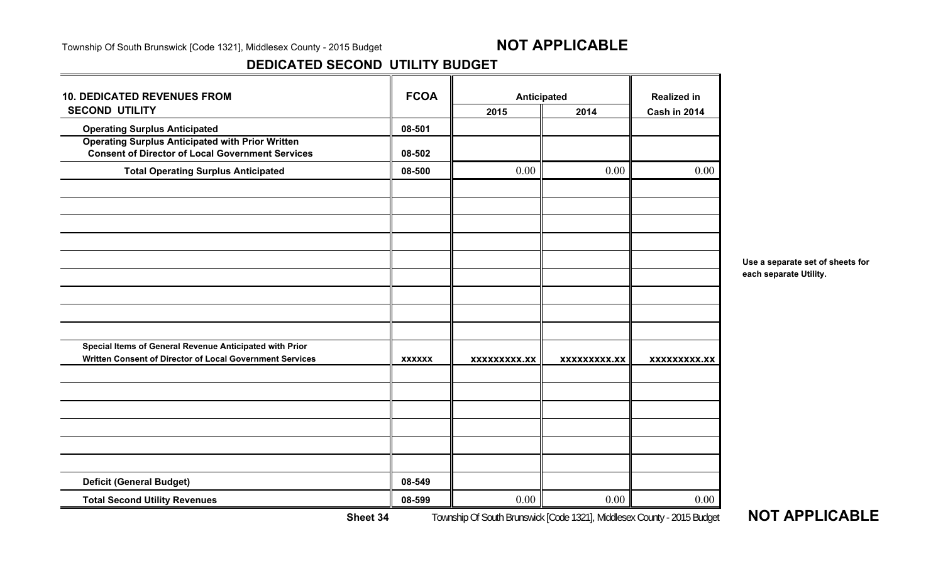### **DEDICATED SECOND UTILITY BUDGET**

| <b>10. DEDICATED REVENUES FROM</b>                                                                                 | <b>FCOA</b>   | Anticipated  |                     | <b>Realized in</b>  |
|--------------------------------------------------------------------------------------------------------------------|---------------|--------------|---------------------|---------------------|
| <b>SECOND UTILITY</b>                                                                                              |               | 2014<br>2015 |                     | Cash in 2014        |
| <b>Operating Surplus Anticipated</b>                                                                               | 08-501        |              |                     |                     |
| <b>Operating Surplus Anticipated with Prior Written</b><br><b>Consent of Director of Local Government Services</b> | 08-502        |              |                     |                     |
| <b>Total Operating Surplus Anticipated</b>                                                                         | 08-500        | 0.00         | 0.00                | 0.00                |
|                                                                                                                    |               |              |                     |                     |
|                                                                                                                    |               |              |                     |                     |
|                                                                                                                    |               |              |                     |                     |
|                                                                                                                    |               |              |                     |                     |
| Special Items of General Revenue Anticipated with Prior                                                            |               |              |                     |                     |
| Written Consent of Director of Local Government Services                                                           | <b>XXXXXX</b> | XXXXXXXXX.XX | <b>XXXXXXXXX.XX</b> | <b>XXXXXXXXX.XX</b> |
|                                                                                                                    |               |              |                     |                     |
|                                                                                                                    |               |              |                     |                     |
|                                                                                                                    |               |              |                     |                     |
| <b>Deficit (General Budget)</b>                                                                                    | 08-549        |              |                     |                     |
| <b>Total Second Utility Revenues</b>                                                                               | 08-599        | 0.00         | 0.00                | 0.00                |

**Use a separate set of sheets for each separate Utility.**

**Sheet 34**

Township Of South Brunswick [Code 1321], Middlesex County - 2015 Budget **NOT APPLICABLE**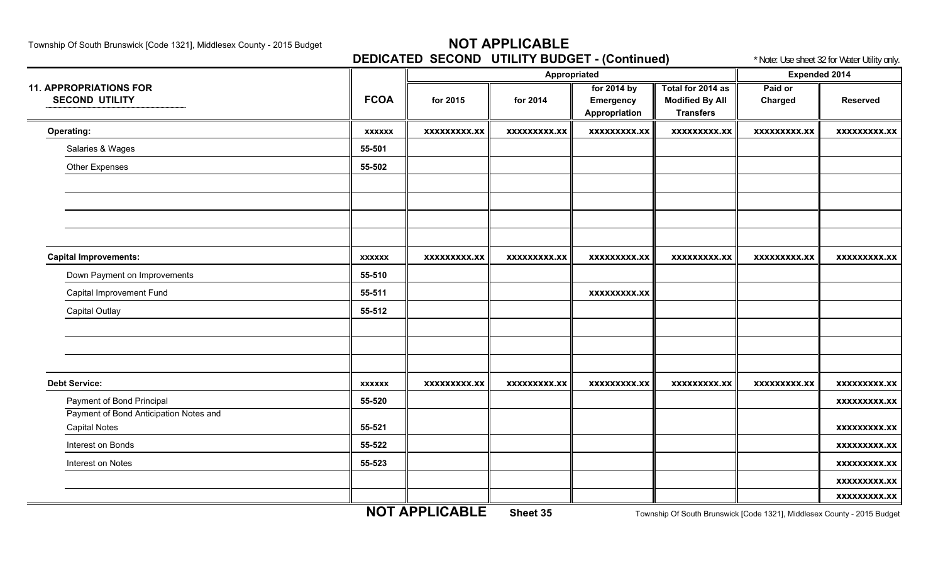Township Of South Brunswick [Code 1321], Middlesex County - 2015 Budget **NOT APPLICABLE** 

**DEDICATED SECOND UTILITY BUDGET - (Continued)** \* Note: Use sheet 32 for Water Utility only.

|                                                        |               |                     | Appropriated        |                                           | <b>Expended 2014</b>                                            |                           |                     |
|--------------------------------------------------------|---------------|---------------------|---------------------|-------------------------------------------|-----------------------------------------------------------------|---------------------------|---------------------|
| <b>11. APPROPRIATIONS FOR</b><br><b>SECOND UTILITY</b> | <b>FCOA</b>   | for 2015            | for 2014            | for 2014 by<br>Emergency<br>Appropriation | Total for 2014 as<br><b>Modified By All</b><br><b>Transfers</b> | Paid or<br><b>Charged</b> | <b>Reserved</b>     |
| Operating:                                             | <b>XXXXXX</b> | XXXXXXXXX.XX        | <b>XXXXXXXXX.XX</b> | <b>XXXXXXXXX.XX</b>                       | <b>XXXXXXXXX.XX</b>                                             | <b>XXXXXXXXX.XX</b>       | <b>XXXXXXXXX.XX</b> |
| Salaries & Wages                                       | 55-501        |                     |                     |                                           |                                                                 |                           |                     |
| <b>Other Expenses</b>                                  | 55-502        |                     |                     |                                           |                                                                 |                           |                     |
|                                                        |               |                     |                     |                                           |                                                                 |                           |                     |
|                                                        |               |                     |                     |                                           |                                                                 |                           |                     |
|                                                        |               |                     |                     |                                           |                                                                 |                           |                     |
|                                                        |               |                     |                     |                                           |                                                                 |                           |                     |
| <b>Capital Improvements:</b>                           | <b>XXXXXX</b> | XXXXXXXXX.XX        | XXXXXXXXX.XX        | <b>XXXXXXXXX.XX</b>                       | XXXXXXXXX.XX                                                    | XXXXXXXXX.XX              | <b>XXXXXXXXX.XX</b> |
| Down Payment on Improvements                           | 55-510        |                     |                     |                                           |                                                                 |                           |                     |
| Capital Improvement Fund                               | 55-511        |                     |                     | <b>XXXXXXXXX.XX</b>                       |                                                                 |                           |                     |
| <b>Capital Outlay</b>                                  | 55-512        |                     |                     |                                           |                                                                 |                           |                     |
|                                                        |               |                     |                     |                                           |                                                                 |                           |                     |
|                                                        |               |                     |                     |                                           |                                                                 |                           |                     |
|                                                        |               |                     |                     |                                           |                                                                 |                           |                     |
| <b>Debt Service:</b>                                   | <b>XXXXXX</b> | <b>XXXXXXXXX.XX</b> | XXXXXXXXX.XX        | <b>XXXXXXXXX.XX</b>                       | <b>XXXXXXXXX.XX</b>                                             | <b>XXXXXXXXX.XX</b>       | <b>XXXXXXXXX.XX</b> |
| Payment of Bond Principal                              | 55-520        |                     |                     |                                           |                                                                 |                           | <b>XXXXXXXXX.XX</b> |
| Payment of Bond Anticipation Notes and                 |               |                     |                     |                                           |                                                                 |                           |                     |
| <b>Capital Notes</b>                                   | 55-521        |                     |                     |                                           |                                                                 |                           | <b>XXXXXXXXX.XX</b> |
| Interest on Bonds                                      | 55-522        |                     |                     |                                           |                                                                 |                           | <b>XXXXXXXXX.XX</b> |
| Interest on Notes                                      | 55-523        |                     |                     |                                           |                                                                 |                           | <b>XXXXXXXXX.XX</b> |
|                                                        |               |                     |                     |                                           |                                                                 |                           | <b>XXXXXXXXX.XX</b> |
|                                                        |               | LIAT ARRI IAARLE    |                     |                                           |                                                                 |                           | <b>XXXXXXXXX.XX</b> |

**NOT APPLICABLE**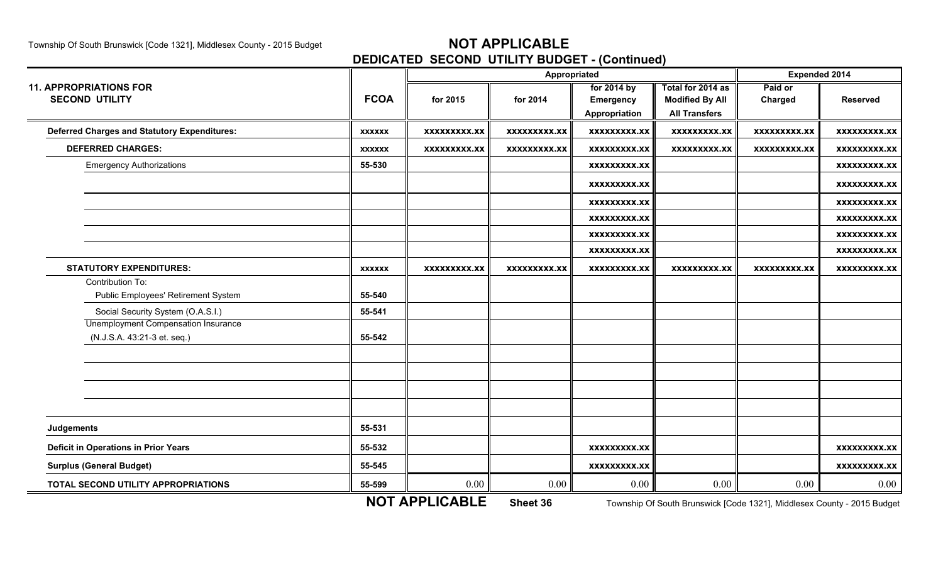# **DEDICATED SECOND UTILITY BUDGET - (Continued)**

|                                                     |               | Appropriated        |                     |                     |                                                                                                                      | <b>Expended 2014</b>                                                                       |                     |  |
|-----------------------------------------------------|---------------|---------------------|---------------------|---------------------|----------------------------------------------------------------------------------------------------------------------|--------------------------------------------------------------------------------------------|---------------------|--|
| <b>11. APPROPRIATIONS FOR</b>                       |               |                     |                     | for 2014 by         | Total for 2014 as                                                                                                    | Paid or                                                                                    |                     |  |
| <b>SECOND UTILITY</b>                               | <b>FCOA</b>   | for 2015            | for 2014            | <b>Emergency</b>    | <b>Modified By All</b>                                                                                               | Charged                                                                                    | <b>Reserved</b>     |  |
|                                                     |               |                     |                     | Appropriation       | <b>All Transfers</b>                                                                                                 |                                                                                            |                     |  |
| <b>Deferred Charges and Statutory Expenditures:</b> | <b>XXXXXX</b> | <b>XXXXXXXXX.XX</b> | <b>XXXXXXXXX.XX</b> | <b>XXXXXXXXX.XX</b> | <b>XXXXXXXXX.XX</b>                                                                                                  | XXXXXXXXX.XX                                                                               | <b>XXXXXXXXX.XX</b> |  |
| <b>DEFERRED CHARGES:</b>                            | <b>XXXXXX</b> | <b>XXXXXXXXX.XX</b> | <b>XXXXXXXXX.XX</b> | <b>XXXXXXXXX.XX</b> | <b>XXXXXXXXX.XX</b>                                                                                                  | <b>XXXXXXXXX.XX</b>                                                                        | <b>XXXXXXXXX.XX</b> |  |
| <b>Emergency Authorizations</b>                     | 55-530        |                     |                     | <b>XXXXXXXXX.XX</b> |                                                                                                                      |                                                                                            | <b>XXXXXXXXX.XX</b> |  |
|                                                     |               |                     |                     | <b>XXXXXXXXX.XX</b> |                                                                                                                      |                                                                                            | <b>XXXXXXXXX.XX</b> |  |
|                                                     |               |                     |                     | <b>XXXXXXXXX.XX</b> |                                                                                                                      |                                                                                            | <b>XXXXXXXXX.XX</b> |  |
|                                                     |               |                     |                     | <b>XXXXXXXXX.XX</b> |                                                                                                                      |                                                                                            | <b>XXXXXXXXX.XX</b> |  |
|                                                     |               |                     |                     | <b>XXXXXXXXX.XX</b> |                                                                                                                      |                                                                                            | <b>XXXXXXXXX.XX</b> |  |
|                                                     |               |                     |                     | XXXXXXXXX.XX        |                                                                                                                      |                                                                                            | <b>XXXXXXXXX.XX</b> |  |
| <b>STATUTORY EXPENDITURES:</b>                      | <b>XXXXXX</b> | XXXXXXXXX.XX        | XXXXXXXXX.XX        | XXXXXXXXX.XX        | XXXXXXXXX.XX                                                                                                         | <b>XXXXXXXXX.XX</b>                                                                        | XXXXXXXXX.XX        |  |
| Contribution To:                                    |               |                     |                     |                     |                                                                                                                      |                                                                                            |                     |  |
| Public Employees' Retirement System                 | 55-540        |                     |                     |                     |                                                                                                                      |                                                                                            |                     |  |
| Social Security System (O.A.S.I.)                   | 55-541        |                     |                     |                     |                                                                                                                      |                                                                                            |                     |  |
| <b>Unemployment Compensation Insurance</b>          |               |                     |                     |                     |                                                                                                                      |                                                                                            |                     |  |
| (N.J.S.A. 43:21-3 et. seq.)                         | 55-542        |                     |                     |                     |                                                                                                                      |                                                                                            |                     |  |
|                                                     |               |                     |                     |                     |                                                                                                                      |                                                                                            |                     |  |
|                                                     |               |                     |                     |                     |                                                                                                                      |                                                                                            |                     |  |
|                                                     |               |                     |                     |                     |                                                                                                                      |                                                                                            |                     |  |
|                                                     |               |                     |                     |                     |                                                                                                                      |                                                                                            |                     |  |
| Judgements                                          | 55-531        |                     |                     |                     |                                                                                                                      |                                                                                            |                     |  |
| <b>Deficit in Operations in Prior Years</b>         | 55-532        |                     |                     | <b>XXXXXXXXX.XX</b> |                                                                                                                      |                                                                                            | <b>XXXXXXXXX.XX</b> |  |
| <b>Surplus (General Budget)</b>                     | 55-545        |                     |                     | <b>XXXXXXXXX.XX</b> |                                                                                                                      |                                                                                            | <b>XXXXXXXXX.XX</b> |  |
| TOTAL SECOND UTILITY APPROPRIATIONS                 | 55-599        | 0.00                | 0.00                | 0.00                | 0.00                                                                                                                 | 0.00                                                                                       | 0.00                |  |
|                                                     |               | MOT ADDI ICADI E    | $Q1 + Q2$           |                     | $\mathbf{r}$ $\mathbf{r}$ $\mathbf{r}$ $\mathbf{r}$ $\mathbf{r}$ $\mathbf{r}$ $\mathbf{r}$ $\mathbf{r}$ $\mathbf{r}$ | $\mathbf{r}$ and $\mathbf{r}$ and $\mathbf{r}$ and $\mathbf{r}$ and $\mathbf{r}$<br>$\sim$ |                     |  |

**NOT APPLICABLE**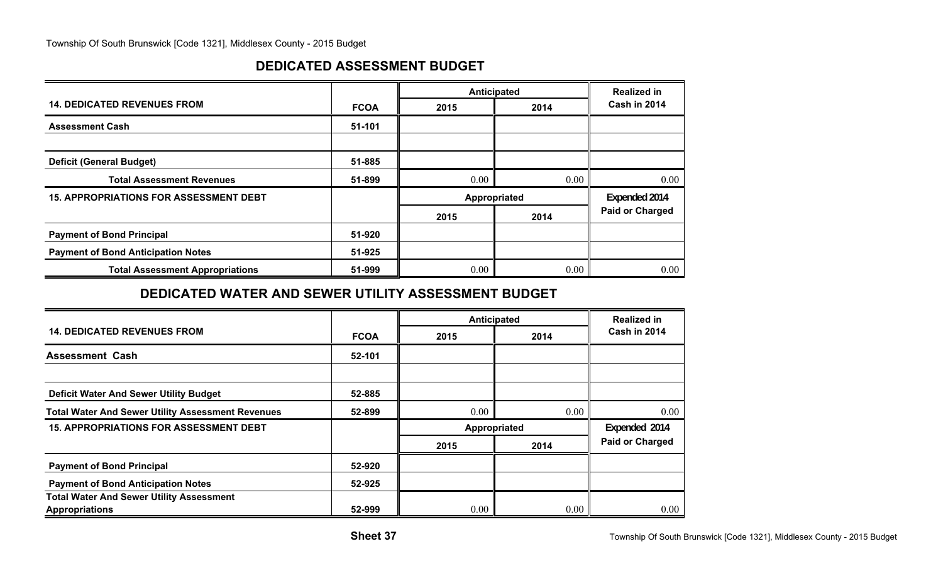# **DEDICATED ASSESSMENT BUDGET**

|                                               |             |               | Anticipated  | <b>Realized in</b>     |
|-----------------------------------------------|-------------|---------------|--------------|------------------------|
| <b>14. DEDICATED REVENUES FROM</b>            | <b>FCOA</b> | 2015          | 2014         | Cash in 2014           |
| <b>Assessment Cash</b>                        | 51-101      |               |              |                        |
|                                               |             |               |              |                        |
| <b>Deficit (General Budget)</b>               | 51-885      |               |              |                        |
| <b>Total Assessment Revenues</b>              | 51-899      | $0.00\degree$ | 0.00         | 0.00                   |
| <b>15. APPROPRIATIONS FOR ASSESSMENT DEBT</b> |             |               | Appropriated | Expended 2014          |
|                                               |             | 2015          | 2014         | <b>Paid or Charged</b> |
| <b>Payment of Bond Principal</b>              | 51-920      |               |              |                        |
| <b>Payment of Bond Anticipation Notes</b>     | 51-925      |               |              |                        |
| <b>Total Assessment Appropriations</b>        | 51-999      | $0.00\,$      | 0.00         | 0.00                   |

# **DEDICATED WATER AND SEWER UTILITY ASSESSMENT BUDGET**

|                                                                          |             | Anticipated  |      | <b>Realized in</b>     |
|--------------------------------------------------------------------------|-------------|--------------|------|------------------------|
| <b>14. DEDICATED REVENUES FROM</b>                                       | <b>FCOA</b> | 2015         | 2014 | Cash in 2014           |
| <b>Assessment Cash</b>                                                   | 52-101      |              |      |                        |
|                                                                          |             |              |      |                        |
| <b>Deficit Water And Sewer Utility Budget</b>                            | 52-885      |              |      |                        |
| <b>Total Water And Sewer Utility Assessment Revenues</b>                 | 52-899      | 0.00         | 0.00 | 0.00                   |
| <b>15. APPROPRIATIONS FOR ASSESSMENT DEBT</b>                            |             | Appropriated |      | Expended 2014          |
|                                                                          |             | 2015         | 2014 | <b>Paid or Charged</b> |
| <b>Payment of Bond Principal</b>                                         | 52-920      |              |      |                        |
| <b>Payment of Bond Anticipation Notes</b>                                | 52-925      |              |      |                        |
| <b>Total Water And Sewer Utility Assessment</b><br><b>Appropriations</b> | 52-999      | 0.00         | 0.00 | 0.00                   |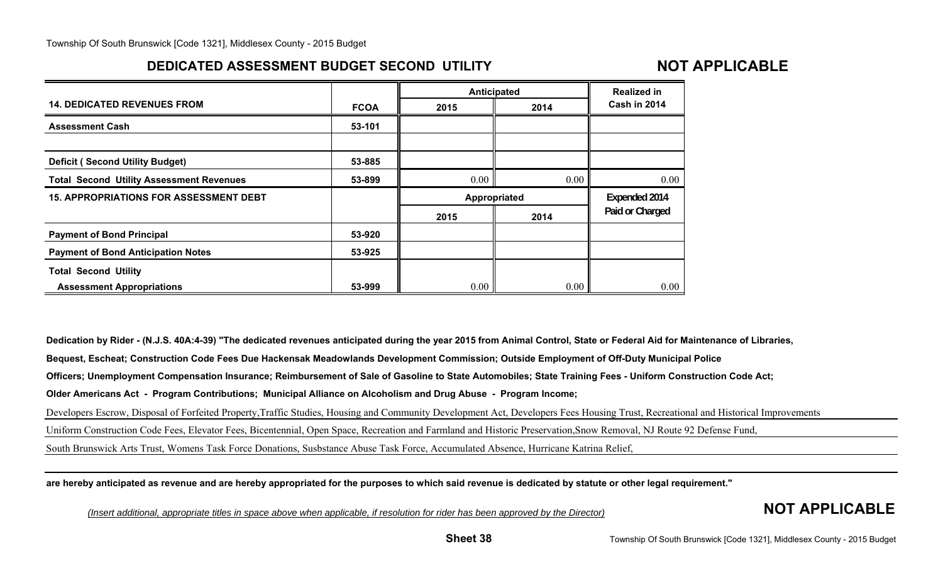# **DEDICATED ASSESSMENT BUDGET SECOND UTILITY**

# **NOT APPLICABLE**

|                                                 |             | Anticipated  | <b>Realized in</b> |                 |
|-------------------------------------------------|-------------|--------------|--------------------|-----------------|
| <b>14. DEDICATED REVENUES FROM</b>              | <b>FCOA</b> | 2015         | 2014               | Cash in 2014    |
| <b>Assessment Cash</b>                          | 53-101      |              |                    |                 |
|                                                 |             |              |                    |                 |
| <b>Deficit (Second Utility Budget)</b>          | 53-885      |              |                    |                 |
| <b>Total Second Utility Assessment Revenues</b> | 53-899      | 0.00         | 0.00               | $0.00\,$        |
| <b>15. APPROPRIATIONS FOR ASSESSMENT DEBT</b>   |             | Appropriated |                    | Expended 2014   |
|                                                 |             | 2015         | 2014               | Paid or Charged |
| <b>Payment of Bond Principal</b>                | 53-920      |              |                    |                 |
| <b>Payment of Bond Anticipation Notes</b>       | 53-925      |              |                    |                 |
| <b>Total Second Utility</b>                     |             |              |                    |                 |
| <b>Assessment Appropriations</b>                | 53-999      | 0.00         | 0.00               | 0.00            |

**Dedication by Rider - (N.J.S. 40A:4-39) "The dedicated revenues anticipated during the year 2015 from Animal Control, State or Federal Aid for Maintenance of Libraries,**

**Bequest, Escheat; Construction Code Fees Due Hackensak Meadowlands Development Commission; Outside Employment of Off-Duty Municipal Police**

**Officers; Unemployment Compensation Insurance; Reimbursement of Sale of Gasoline to State Automobiles; State Training Fees - Uniform Construction Code Act;**

**Older Americans Act - Program Contributions; Municipal Alliance on Alcoholism and Drug Abuse - Program Income;**

Developers Escrow, Disposal of Forfeited Property,Traffic Studies, Housing and Community Development Act, Developers Fees Housing Trust, Recreational and Historical Improvements

Uniform Construction Code Fees, Elevator Fees, Bicentennial, Open Space, Recreation and Farmland and Historic Preservation,Snow Removal, NJ Route 92 Defense Fund,

South Brunswick Arts Trust, Womens Task Force Donations, Susbstance Abuse Task Force, Accumulated Absence, Hurricane Katrina Relief,

**are hereby anticipated as revenue and are hereby appropriated for the purposes to which said revenue is dedicated by statute or other legal requirement."**

*(Insert additional, appropriate titles in space above when applicable, if resolution for rider has been approved by the Director)* **NOT APPLICABLE**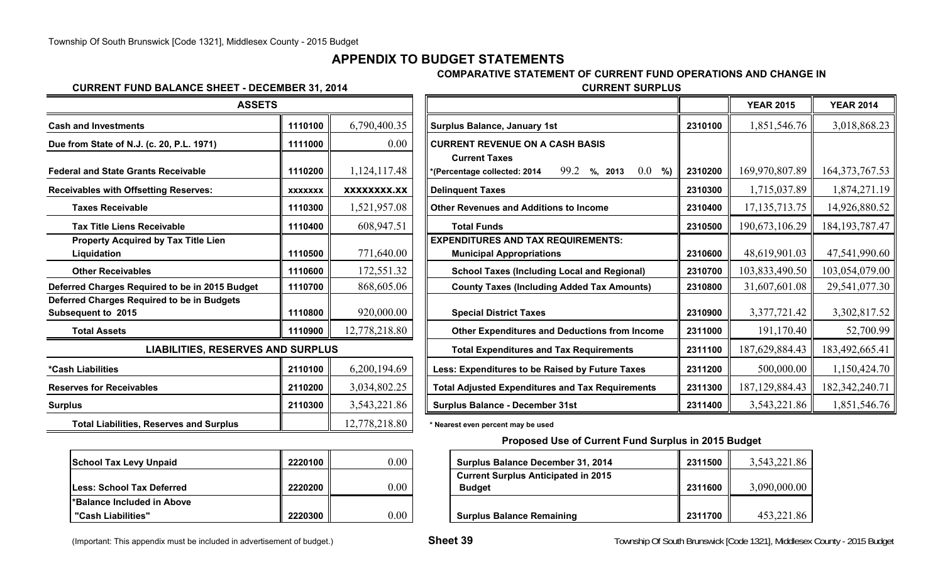# **APPENDIX TO BUDGET STATEMENTS**

#### **COMPARATIVE STATEMENT OF CURRENT FUND OPERATIONS AND CHANGE IN**

#### **CURRENT FUND BALANCE SHEET - DECEMBER 31, 2014**

| <b>ASSETS</b>                                                    |                |               |                                                                              |
|------------------------------------------------------------------|----------------|---------------|------------------------------------------------------------------------------|
| <b>Cash and Investments</b>                                      | 1110100        | 6,790,400.35  | <b>Surplus Balance, January 1st</b>                                          |
| Due from State of N.J. (c. 20, P.L. 1971)                        | 1111000        | 0.00          | <b>CURRENT REVENUE ON A CASH BASIS</b>                                       |
| <b>Federal and State Grants Receivable</b>                       | 1110200        | 1,124,117.48  | <b>Current Taxes</b><br>99.2<br>$%$ , 2013<br>*(Percentage collected: 2014   |
| <b>Receivables with Offsetting Reserves:</b>                     | <b>XXXXXXX</b> | XXXXXXXX.XX   | <b>Delinquent Taxes</b>                                                      |
| <b>Taxes Receivable</b>                                          | 1110300        | 1,521,957.08  | <b>Other Revenues and Additions to Income</b>                                |
| <b>Tax Title Liens Receivable</b>                                | 1110400        | 608,947.51    | <b>Total Funds</b>                                                           |
| <b>Property Acquired by Tax Title Lien</b><br>Liquidation        | 1110500        | 771,640.00    | <b>EXPENDITURES AND TAX REQUIREMENTS:</b><br><b>Municipal Appropriations</b> |
| <b>Other Receivables</b>                                         | 1110600        | 172,551.32    | <b>School Taxes (Including Local and Reg</b>                                 |
| Deferred Charges Required to be in 2015 Budget                   | 1110700        | 868,605.06    | <b>County Taxes (Including Added Tax Am</b>                                  |
| Deferred Charges Required to be in Budgets<br>Subsequent to 2015 | 1110800        | 920,000.00    | <b>Special District Taxes</b>                                                |
| <b>Total Assets</b>                                              | 1110900        | 12,778,218.80 | <b>Other Expenditures and Deductions fro</b>                                 |
| <b>LIABILITIES, RESERVES AND SURPLUS</b>                         |                |               | <b>Total Expenditures and Tax Requiremer</b>                                 |
| *Cash Liabilities                                                | 2110100        | 6,200,194.69  | Less: Expenditures to be Raised by Future                                    |
| <b>Reserves for Receivables</b>                                  | 2110200        | 3,034,802.25  | <b>Total Adjusted Expenditures and Tax Requi</b>                             |
| <b>Surplus</b>                                                   | 2110300        | 3,543,221.86  | <b>Surplus Balance - December 31st</b>                                       |
| <b>Total Liabilities, Reserves and Surplus</b>                   |                | 12,778,218.80 | * Nearest even percent may be used                                           |

| <b>School Tax Levy Unpaid</b>     | 2220100 |  |
|-----------------------------------|---------|--|
| <b>ILess: School Tax Deferred</b> | 2220200 |  |
| l*Balance Included in Above       |         |  |
| "Cash Liabilities"                | 2220300 |  |

|  | <b>CURRENT SURPLUS</b> |  |  |  |  |
|--|------------------------|--|--|--|--|

| <b>ASSETS</b>                                                           |                |                 |                                                               |         | <b>YEAR 2015</b>  | <b>YEAR 2014</b>  |
|-------------------------------------------------------------------------|----------------|-----------------|---------------------------------------------------------------|---------|-------------------|-------------------|
| <b>Cash and Investments</b>                                             | 1110100        | 6,790,400.35    | <b>Surplus Balance, January 1st</b>                           | 2310100 | 1,851,546.76      | 3,018,868.23      |
| Due from State of N.J. (c. 20, P.L. 1971)                               | 1111000        | 0.00            | <b>CURRENT REVENUE ON A CASH BASIS</b>                        |         |                   |                   |
|                                                                         |                |                 | <b>Current Taxes</b>                                          |         |                   |                   |
| <b>Federal and State Grants Receivable</b>                              | 1110200        | 1, 124, 117. 48 | 99.2 %, 2013<br>$0.0\,$<br>%)<br>*(Percentage collected: 2014 | 2310200 | 169,970,807.89    | 164, 373, 767. 53 |
| <b>Receivables with Offsetting Reserves:</b>                            | <b>XXXXXXX</b> | XXXXXXXX.XX     | <b>Delinquent Taxes</b>                                       | 2310300 | 1,715,037.89      | 1,874,271.19      |
| <b>Taxes Receivable</b>                                                 | 1110300        | 1,521,957.08    | <b>Other Revenues and Additions to Income</b>                 | 2310400 | 17, 135, 713.75   | 14,926,880.52     |
| <b>Tax Title Liens Receivable</b>                                       | 1110400        | 608,947.51      | <b>Total Funds</b>                                            | 2310500 | 190,673,106.29    | 184, 193, 787. 47 |
| Property Acquired by Tax Title Lien                                     |                |                 | <b>EXPENDITURES AND TAX REQUIREMENTS:</b>                     |         |                   |                   |
| Liquidation                                                             | 1110500        | 771,640.00      | <b>Municipal Appropriations</b>                               | 2310600 | 48,619,901.03     | 47,541,990.60     |
| <b>Other Receivables</b>                                                | 1110600        | 172,551.32      | <b>School Taxes (Including Local and Regional)</b>            | 2310700 | 103,833,490.50    | 103,054,079.00    |
| Deferred Charges Required to be in 2015 Budget                          | 1110700        | 868,605.06      | <b>County Taxes (Including Added Tax Amounts)</b>             | 2310800 | 31,607,601.08     | 29,541,077.30     |
| Deferred Charges Required to be in Budgets<br><b>Subsequent to 2015</b> | 1110800        | 920,000.00      | <b>Special District Taxes</b>                                 | 2310900 | 3,377,721.42      | 3,302,817.52      |
| <b>Total Assets</b>                                                     | 1110900        | 12,778,218.80   | <b>Other Expenditures and Deductions from Income</b>          | 2311000 | 191,170.40        | 52,700.99         |
| <b>LIABILITIES, RESERVES AND SURPLUS</b>                                |                |                 | <b>Total Expenditures and Tax Requirements</b>                | 2311100 | 187,629,884.43    | 183,492,665.41    |
| *Cash Liabilities                                                       | 2110100        | 6,200,194.69    | Less: Expenditures to be Raised by Future Taxes               | 2311200 | 500,000.00        | 1,150,424.70      |
| <b>Reserves for Receivables</b>                                         | 2110200        | 3,034,802.25    | <b>Total Adjusted Expenditures and Tax Requirements</b>       | 2311300 | 187, 129, 884. 43 | 182,342,240.71    |
| Surplus                                                                 | 2110300        | 3,543,221.86    | <b>Surplus Balance - December 31st</b>                        | 2311400 | 3,543,221.86      | 1,851,546.76      |

#### **Proposed Use of Current Fund Surplus in 2015 Budget**

| <b>School Tax Levy Unpaid</b> | 2220100 | $0.00\,$ | <b>Surplus Balance December 31, 2014</b>                    | 2311500 | 3,543,221.86 |
|-------------------------------|---------|----------|-------------------------------------------------------------|---------|--------------|
| Less: School Tax Deferred     | 2220200 | $0.00\,$ | <b>Current Surplus Anticipated in 2015</b><br><b>Budget</b> | 2311600 | 3,090,000.00 |
| *Balance Included in Above    |         |          |                                                             |         |              |
| "Cash Liabilities"            | 2220300 | $0.00\,$ | <b>Surplus Balance Remaining</b>                            | 2311700 | 453,221.86   |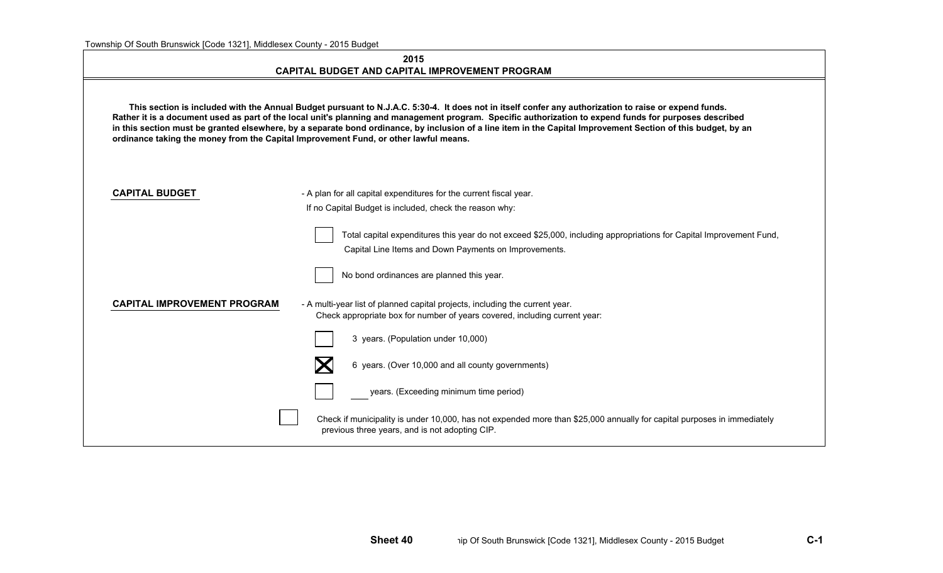| 2015<br><b>CAPITAL BUDGET AND CAPITAL IMPROVEMENT PROGRAM</b>                                                                                                                                                                                                                                                                                                                                                                                                                                                                                                             |                                                                                                                                                                                                                           |  |  |  |  |  |  |  |
|---------------------------------------------------------------------------------------------------------------------------------------------------------------------------------------------------------------------------------------------------------------------------------------------------------------------------------------------------------------------------------------------------------------------------------------------------------------------------------------------------------------------------------------------------------------------------|---------------------------------------------------------------------------------------------------------------------------------------------------------------------------------------------------------------------------|--|--|--|--|--|--|--|
| This section is included with the Annual Budget pursuant to N.J.A.C. 5:30-4. It does not in itself confer any authorization to raise or expend funds.<br>Rather it is a document used as part of the local unit's planning and management program. Specific authorization to expend funds for purposes described<br>in this section must be granted elsewhere, by a separate bond ordinance, by inclusion of a line item in the Capital Improvement Section of this budget, by an<br>ordinance taking the money from the Capital Improvement Fund, or other lawful means. |                                                                                                                                                                                                                           |  |  |  |  |  |  |  |
| <b>CAPITAL BUDGET</b>                                                                                                                                                                                                                                                                                                                                                                                                                                                                                                                                                     | - A plan for all capital expenditures for the current fiscal year.<br>If no Capital Budget is included, check the reason why:                                                                                             |  |  |  |  |  |  |  |
|                                                                                                                                                                                                                                                                                                                                                                                                                                                                                                                                                                           | Total capital expenditures this year do not exceed \$25,000, including appropriations for Capital Improvement Fund,<br>Capital Line Items and Down Payments on Improvements.<br>No bond ordinances are planned this year. |  |  |  |  |  |  |  |
| <b>CAPITAL IMPROVEMENT PROGRAM</b>                                                                                                                                                                                                                                                                                                                                                                                                                                                                                                                                        | - A multi-year list of planned capital projects, including the current year.<br>Check appropriate box for number of years covered, including current year:<br>3 years. (Population under 10,000)                          |  |  |  |  |  |  |  |
|                                                                                                                                                                                                                                                                                                                                                                                                                                                                                                                                                                           | 6 years. (Over 10,000 and all county governments)<br>years. (Exceeding minimum time period)                                                                                                                               |  |  |  |  |  |  |  |
|                                                                                                                                                                                                                                                                                                                                                                                                                                                                                                                                                                           | Check if municipality is under 10,000, has not expended more than \$25,000 annually for capital purposes in immediately<br>previous three years, and is not adopting CIP.                                                 |  |  |  |  |  |  |  |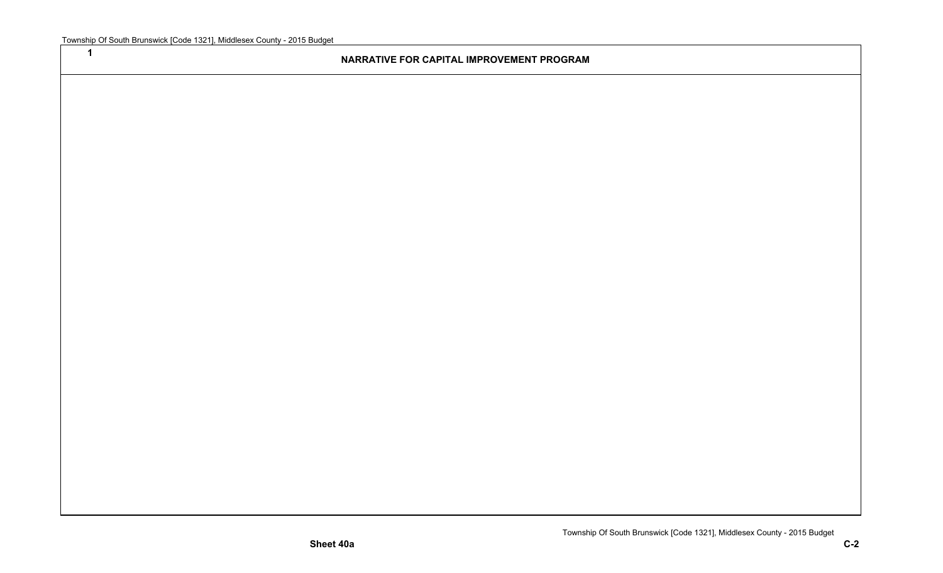**1**

#### **NARRATIVE FOR CAPITAL IMPROVEMENT PROGRAM**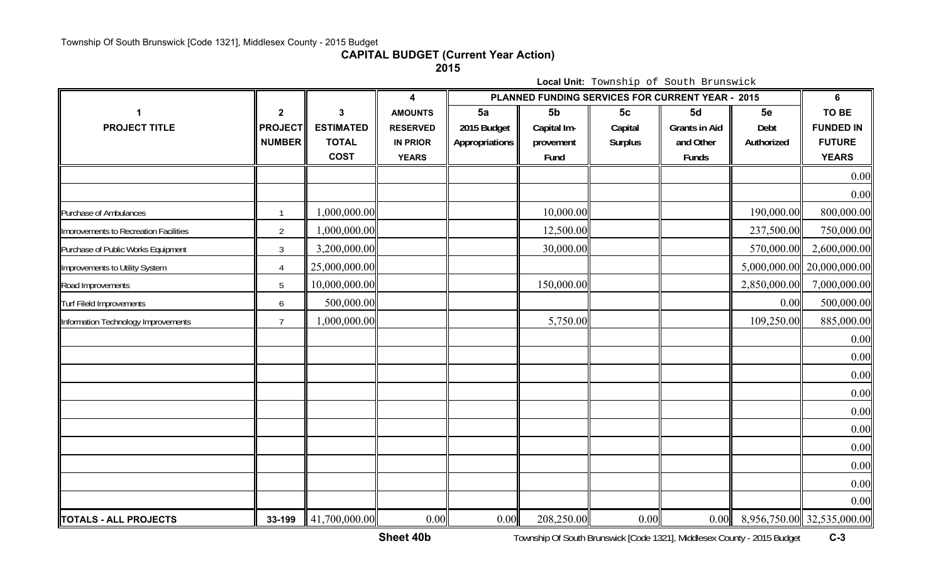#### Township Of South Brunswick [Code 1321], Middlesex County - 2015 Budget

## **CAPITAL BUDGET (Current Year Action)**

**2015**

**Local Unit:** Township of South Brunswick

|                                       |                |                  | $\overline{\mathbf{4}}$ | PLANNED FUNDING SERVICES FOR CURRENT YEAR - 2015 |                |                |                      |              | 6                            |
|---------------------------------------|----------------|------------------|-------------------------|--------------------------------------------------|----------------|----------------|----------------------|--------------|------------------------------|
| 1                                     | $\mathbf 2$    | 3                | <b>AMOUNTS</b>          | 5a                                               | 5 <sub>b</sub> | 5 <sub>c</sub> | 5d                   | 5e           | TO BE                        |
| <b>PROJECT TITLE</b>                  | <b>PROJECT</b> | <b>ESTIMATED</b> | <b>RESERVED</b>         | 2015 Budget                                      | Capital Im-    | Capital        | <b>Grants in Aid</b> | Debt         | <b>FUNDED IN</b>             |
|                                       | <b>NUMBER</b>  | <b>TOTAL</b>     | <b>IN PRIOR</b>         | Appropriations                                   | provement      | <b>Surplus</b> | and Other            | Authorized   | <b>FUTURE</b>                |
|                                       |                | <b>COST</b>      | <b>YEARS</b>            |                                                  | Fund           |                | Funds                |              | <b>YEARS</b>                 |
|                                       |                |                  |                         |                                                  |                |                |                      |              | 0.00                         |
|                                       |                |                  |                         |                                                  |                |                |                      |              | 0.00                         |
| Purchase of Ambulances                | $\overline{1}$ | 1,000,000.00     |                         |                                                  | 10,000.00      |                |                      | 190,000.00   | 800,000.00                   |
| Imorovements to Recreation Facilities | $\overline{2}$ | 1,000,000.00     |                         |                                                  | 12,500.00      |                |                      | 237,500.00   | 750,000.00                   |
| Purchase of Public Works Equipment    | $\mathfrak{Z}$ | 3,200,000.00     |                         |                                                  | 30,000.00      |                |                      | 570,000.00   | 2,600,000.00                 |
| Improvements to Utility System        | $\overline{4}$ | 25,000,000.00    |                         |                                                  |                |                |                      |              | $5,000,000.00$ 20,000,000.00 |
| Road Improvements                     | 5              | 10,000,000.00    |                         |                                                  | 150,000.00     |                |                      | 2,850,000.00 | 7,000,000.00                 |
| <b>Turf Fileld Improvements</b>       | 6              | 500,000.00       |                         |                                                  |                |                |                      | 0.00         | 500,000.00                   |
| Information Technology Improvements   | $\overline{7}$ | 1,000,000.00     |                         |                                                  | 5,750.00       |                |                      | 109,250.00   | 885,000.00                   |
|                                       |                |                  |                         |                                                  |                |                |                      |              | 0.00                         |
|                                       |                |                  |                         |                                                  |                |                |                      |              | 0.00                         |
|                                       |                |                  |                         |                                                  |                |                |                      |              | 0.00                         |
|                                       |                |                  |                         |                                                  |                |                |                      |              | 0.00                         |
|                                       |                |                  |                         |                                                  |                |                |                      |              | 0.00                         |
|                                       |                |                  |                         |                                                  |                |                |                      |              | 0.00                         |
|                                       |                |                  |                         |                                                  |                |                |                      |              | 0.00                         |
|                                       |                |                  |                         |                                                  |                |                |                      |              | 0.00                         |
|                                       |                |                  |                         |                                                  |                |                |                      |              | 0.00                         |
|                                       |                |                  |                         |                                                  |                |                |                      |              | 0.00                         |
| TOTALS - ALL PROJECTS                 | 33-199         | 41,700,000.00    | 0.00                    | 0.00                                             | 208,250.00     | 0.00           | 0.00                 |              | 8,956,750.00 32,535,000.00   |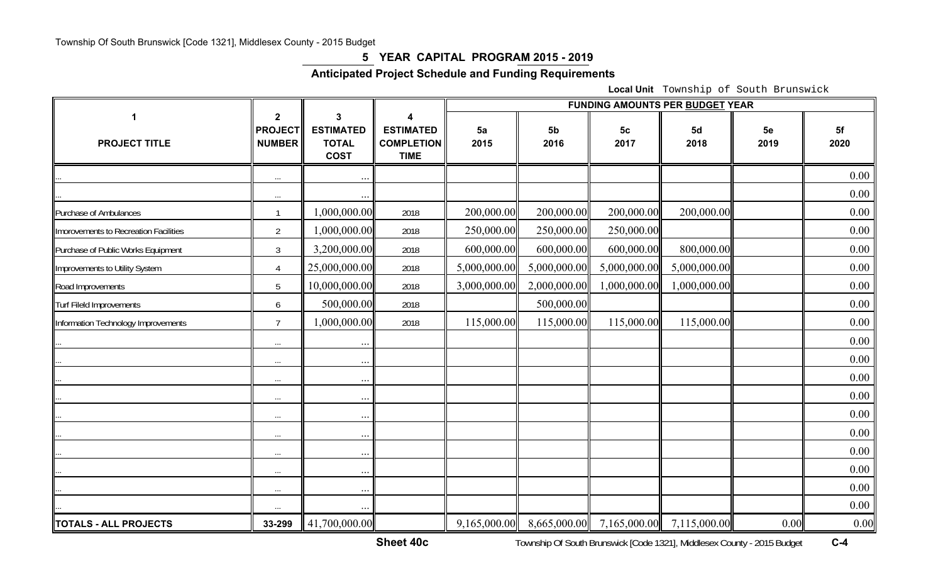### **5 YEAR CAPITAL PROGRAM 2015 - 2019**

# **Anticipated Project Schedule and Funding Requirements**

**Local Unit** Township of South Brunswick

|                                       |                                                 |                                                      |                                                           | <b>FUNDING AMOUNTS PER BUDGET YEAR</b> |                        |                        |                           |            |            |
|---------------------------------------|-------------------------------------------------|------------------------------------------------------|-----------------------------------------------------------|----------------------------------------|------------------------|------------------------|---------------------------|------------|------------|
| 1<br><b>PROJECT TITLE</b>             | $\mathbf{2}$<br><b>PROJECT</b><br><b>NUMBER</b> | 3<br><b>ESTIMATED</b><br><b>TOTAL</b><br><b>COST</b> | 4<br><b>ESTIMATED</b><br><b>COMPLETION</b><br><b>TIME</b> | 5a<br>2015                             | 5 <sub>b</sub><br>2016 | 5 <sub>c</sub><br>2017 | 5d<br>2018                | 5e<br>2019 | 5f<br>2020 |
|                                       | $\cdots$                                        | $\cdot$ .                                            |                                                           |                                        |                        |                        |                           |            | 0.00       |
|                                       | $\cdots$                                        | $\ddots$                                             |                                                           |                                        |                        |                        |                           |            | 0.00       |
| Purchase of Ambulances                |                                                 | 1,000,000.00                                         | 2018                                                      | 200,000.00                             | 200,000.00             | 200,000.00             | 200,000.00                |            | 0.00       |
| Imorovements to Recreation Facilities | $\overline{2}$                                  | 1,000,000.00                                         | 2018                                                      | 250,000.00                             | 250,000.00             | 250,000.00             |                           |            | 0.00       |
| Purchase of Public Works Equipment    | $\mathfrak{Z}$                                  | 3,200,000.00                                         | 2018                                                      | 600,000.00                             | 600,000.00             | 600,000.00             | 800,000.00                |            | 0.00       |
| Improvements to Utility System        | $\overline{4}$                                  | 25,000,000.00                                        | 2018                                                      | 5,000,000.00                           | 5,000,000.00           | 5,000,000.00           | 5,000,000.00              |            | 0.00       |
| Road Improvements                     | 5                                               | 10,000,000.00                                        | 2018                                                      | 3,000,000.00                           | 2,000,000.00           | ,000,000.00            | 1,000,000.00              |            | 0.00       |
| Turf Fileld Improvements              | 6                                               | 500,000.00                                           | 2018                                                      |                                        | 500,000.00             |                        |                           |            | 0.00       |
| Information Technology Improvements   | $\overline{7}$                                  | 1,000,000.00                                         | 2018                                                      | 115,000.00                             | 115,000.00             | 115,000.00             | 115,000.00                |            | 0.00       |
|                                       | $\cdots$                                        | $\cdots$                                             |                                                           |                                        |                        |                        |                           |            | 0.00       |
|                                       | $\ldots$                                        | $\cdots$                                             |                                                           |                                        |                        |                        |                           |            | 0.00       |
|                                       | $\cdots$                                        | $\ddots$                                             |                                                           |                                        |                        |                        |                           |            | 0.00       |
|                                       | $\cdots$                                        | $\ldots$                                             |                                                           |                                        |                        |                        |                           |            | 0.00       |
|                                       | $\ldots$                                        | $\ddots$                                             |                                                           |                                        |                        |                        |                           |            | 0.00       |
|                                       | $\cdots$                                        | $\cdots$                                             |                                                           |                                        |                        |                        |                           |            | 0.00       |
|                                       | $\cdots$                                        | $\cdots$                                             |                                                           |                                        |                        |                        |                           |            | 0.00       |
|                                       | $\cdots$                                        | $\cdot \cdot \cdot$                                  |                                                           |                                        |                        |                        |                           |            | 0.00       |
|                                       | $\cdots$                                        | $\ldots$                                             |                                                           |                                        |                        |                        |                           |            | 0.00       |
|                                       | $\cdots$                                        | $\ldots$                                             |                                                           |                                        |                        |                        |                           |            | 0.00       |
| TOTALS - ALL PROJECTS                 | 33-299                                          | 41,700,000.00                                        |                                                           | 9,165,000.00                           | 8,665,000.00           |                        | 7,165,000.00 7,115,000.00 | 0.00       | $0.00\,$   |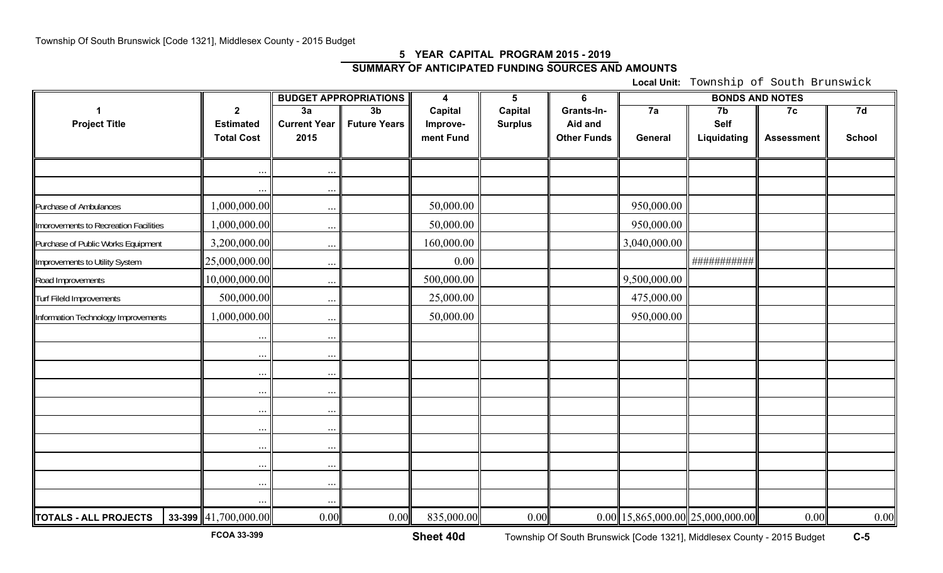## **5 YEAR CAPITAL PROGRAM 2015 - 2019 SUMMARY OF ANTICIPATED FUNDING SOURCES AND AMOUNTS**

**Local Unit:** Township of South Brunswick

|                                       |                            |                     | <b>BUDGET APPROPRIATIONS</b> | 4          | $5\phantom{1}$ | 6                  | <b>BONDS AND NOTES</b> |                                         |                   |               |
|---------------------------------------|----------------------------|---------------------|------------------------------|------------|----------------|--------------------|------------------------|-----------------------------------------|-------------------|---------------|
|                                       | $\mathbf{2}$               | 3a                  | $\overline{3b}$              | Capital    | Capital        | Grants-In-         | 7a                     | 7 <sub>b</sub>                          | 7c                | 7d            |
| <b>Project Title</b>                  | <b>Estimated</b>           | <b>Current Year</b> | <b>Future Years</b>          | Improve-   | <b>Surplus</b> | Aid and            |                        | <b>Self</b>                             |                   |               |
|                                       | <b>Total Cost</b>          | 2015                |                              | ment Fund  |                | <b>Other Funds</b> | General                | Liquidating                             | <b>Assessment</b> | <b>School</b> |
|                                       |                            |                     |                              |            |                |                    |                        |                                         |                   |               |
|                                       |                            |                     |                              |            |                |                    |                        |                                         |                   |               |
|                                       |                            | $\ddots$            |                              |            |                |                    |                        |                                         |                   |               |
| Purchase of Ambulances                | 1,000,000.00               | $\cdots$            |                              | 50,000.00  |                |                    | 950,000.00             |                                         |                   |               |
| Imorovements to Recreation Facilities | 1,000,000.00               | $\cdots$            |                              | 50,000.00  |                |                    | 950,000.00             |                                         |                   |               |
| Purchase of Public Works Equipment    | 3,200,000.00               | $\ldots$            |                              | 160,000.00 |                |                    | 3,040,000.00           |                                         |                   |               |
| Improvements to Utility System        | 25,000,000.00              | $\ddotsc$           |                              | 0.00       |                |                    |                        | ###########                             |                   |               |
| Road Improvements                     | 10,000,000.00              | $\ldots$            |                              | 500,000.00 |                |                    | 9,500,000.00           |                                         |                   |               |
| Turf Fileld Improvements              | 500,000.00                 | $\ddotsc$           |                              | 25,000.00  |                |                    | 475,000.00             |                                         |                   |               |
| Information Technology Improvements   | 1,000,000.00               | $\cdots$            |                              | 50,000.00  |                |                    | 950,000.00             |                                         |                   |               |
|                                       | $\cdot$ .                  | $\ldots$            |                              |            |                |                    |                        |                                         |                   |               |
|                                       | $\ddotsc$                  | $\ddotsc$           |                              |            |                |                    |                        |                                         |                   |               |
|                                       | $\ddots$                   | $\ddots$            |                              |            |                |                    |                        |                                         |                   |               |
|                                       |                            | $\ddots$            |                              |            |                |                    |                        |                                         |                   |               |
|                                       | $\ddots$                   | $\cdots$            |                              |            |                |                    |                        |                                         |                   |               |
|                                       |                            | $\ddots$            |                              |            |                |                    |                        |                                         |                   |               |
|                                       | $\cdots$                   | $\cdots$            |                              |            |                |                    |                        |                                         |                   |               |
|                                       | $\ddots$                   | $\ddots$            |                              |            |                |                    |                        |                                         |                   |               |
|                                       | $\ddotsc$                  | $\cdots$            |                              |            |                |                    |                        |                                         |                   |               |
|                                       |                            | $\cdots$            |                              |            |                |                    |                        |                                         |                   |               |
| TOTALS - ALL PROJECTS                 | 33-399 $\ 41,700,000.00\ $ | 0.00                | 0.00                         | 835,000.00 | 0.00           |                    |                        | $0.00$    15,865,000.00   25,000,000.00 | 0.00              | $0.00\,$      |

**Sheet 40d**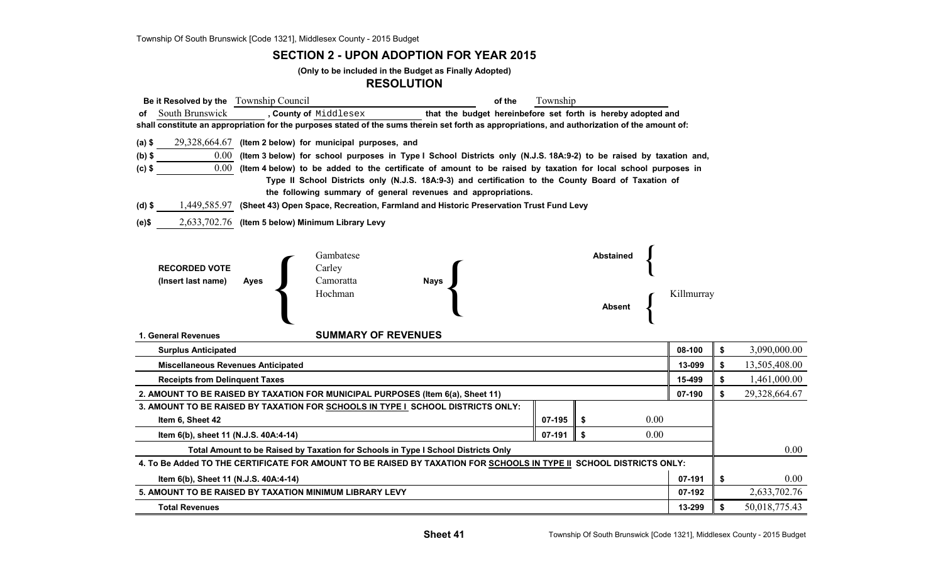Township Of South Brunswick [Code 1321], Middlesex County - 2015 Budget

### **SECTION 2 - UPON ADOPTION FOR YEAR 2015**

**(Only to be included in the Budget as Finally Adopted)**

### **RESOLUTION**

| Be it Resolved by the Township Council<br>South Brunswick<br>of<br>shall constitute an appropriation for the purposes stated of the sums therein set forth as appropriations, and authorization of the amount of:<br>$(a)$ \$<br>$(b)$ \$<br>$(c)$ \$ |             | , County of Middlesex<br>$29,328,664.67$ (Item 2 below) for municipal purposes, and<br>0.00 (Item 3 below) for school purposes in Type I School Districts only (N.J.S. 18A:9-2) to be raised by taxation and,<br>$0.00$ (Item 4 below) to be added to the certificate of amount to be raised by taxation for local school purposes in<br>Type II School Districts only (N.J.S. 18A:9-3) and certification to the County Board of Taxation of |             |  | of the | Township | that the budget hereinbefore set forth is hereby adopted and |                     |                    |                    |
|-------------------------------------------------------------------------------------------------------------------------------------------------------------------------------------------------------------------------------------------------------|-------------|----------------------------------------------------------------------------------------------------------------------------------------------------------------------------------------------------------------------------------------------------------------------------------------------------------------------------------------------------------------------------------------------------------------------------------------------|-------------|--|--------|----------|--------------------------------------------------------------|---------------------|--------------------|--------------------|
| $(d)$ \$<br>(e)\$                                                                                                                                                                                                                                     |             | the following summary of general revenues and appropriations.<br>$1,449,585.97$ (Sheet 43) Open Space, Recreation, Farmland and Historic Preservation Trust Fund Levy<br>$2,633,702.76$ (Item 5 below) Minimum Library Levy                                                                                                                                                                                                                  |             |  |        |          |                                                              |                     |                    |                    |
| <b>RECORDED VOTE</b><br>(Insert last name)                                                                                                                                                                                                            | <b>Ayes</b> | Gambatese<br>Carley<br>Camoratta<br>Hochman                                                                                                                                                                                                                                                                                                                                                                                                  | <b>Nays</b> |  |        |          | <b>Abstained</b><br><b>Absent</b>                            |                     | Killmurray         |                    |
| 1. General Revenues                                                                                                                                                                                                                                   |             | <b>SUMMARY OF REVENUES</b>                                                                                                                                                                                                                                                                                                                                                                                                                   |             |  |        |          |                                                              |                     |                    |                    |
| <b>Surplus Anticipated</b>                                                                                                                                                                                                                            |             |                                                                                                                                                                                                                                                                                                                                                                                                                                              |             |  |        |          |                                                              |                     | 08-100             | \$<br>3,090,000.00 |
| <b>Miscellaneous Revenues Anticipated</b>                                                                                                                                                                                                             |             |                                                                                                                                                                                                                                                                                                                                                                                                                                              |             |  |        |          | 13-099                                                       | \$<br>13,505,408.00 |                    |                    |
| <b>Receipts from Delinquent Taxes</b>                                                                                                                                                                                                                 |             |                                                                                                                                                                                                                                                                                                                                                                                                                                              |             |  |        |          |                                                              | 15-499              | \$<br>1,461,000.00 |                    |
| 2. AMOUNT TO BE RAISED BY TAXATION FOR MUNICIPAL PURPOSES (Item 6(a), Sheet 11)                                                                                                                                                                       |             |                                                                                                                                                                                                                                                                                                                                                                                                                                              |             |  |        |          | 07-190                                                       | \$<br>29,328,664.67 |                    |                    |
| Item 6, Sheet 42                                                                                                                                                                                                                                      |             | 3. AMOUNT TO BE RAISED BY TAXATION FOR SCHOOLS IN TYPE I_SCHOOL DISTRICTS ONLY:                                                                                                                                                                                                                                                                                                                                                              |             |  |        | 07-195   | \$                                                           | 0.00                |                    |                    |

| Item 6, Sheet 42                                                                                                    | 07-195 |  | 0.00 |        |  |               |  |  |
|---------------------------------------------------------------------------------------------------------------------|--------|--|------|--------|--|---------------|--|--|
| Item 6(b), sheet 11 (N.J.S. 40A:4-14)                                                                               |        |  |      |        |  |               |  |  |
| Total Amount to be Raised by Taxation for Schools in Type I School Districts Only                                   |        |  |      |        |  |               |  |  |
| 4. To Be Added TO THE CERTIFICATE FOR AMOUNT TO BE RAISED BY TAXATION FOR SCHOOLS IN TYPE II SCHOOL DISTRICTS ONLY: |        |  |      |        |  |               |  |  |
| 07-191<br>Item 6(b), Sheet 11 (N.J.S. 40A:4-14)                                                                     |        |  |      |        |  |               |  |  |
| 07-192<br>5. AMOUNT TO BE RAISED BY TAXATION MINIMUM LIBRARY LEVY                                                   |        |  |      |        |  |               |  |  |
| <b>Total Revenues</b>                                                                                               |        |  |      | 13-299 |  | 50,018,775.43 |  |  |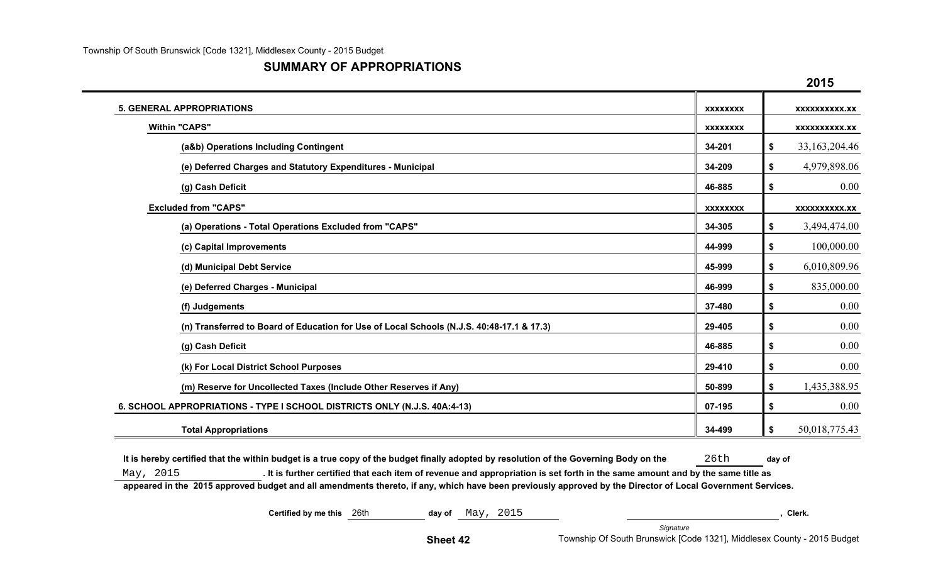## **SUMMARY OF APPROPRIATIONS**

|                                                                                           |                 | 2015                   |
|-------------------------------------------------------------------------------------------|-----------------|------------------------|
| <b>5. GENERAL APPROPRIATIONS</b>                                                          | <b>XXXXXXXX</b> | XXXXXXXXXX.XX          |
| <b>Within "CAPS"</b>                                                                      | <b>XXXXXXXX</b> | <b>XXXXXXXXXX.XX</b>   |
| (a&b) Operations Including Contingent                                                     | 34-201          | 33, 163, 204. 46<br>\$ |
| (e) Deferred Charges and Statutory Expenditures - Municipal                               | 34-209          | 4,979,898.06<br>\$     |
| (g) Cash Deficit                                                                          | 46-885          | 0.00<br>\$             |
| <b>Excluded from "CAPS"</b>                                                               | <b>XXXXXXXX</b> | <b>XXXXXXXXXX.XX</b>   |
| (a) Operations - Total Operations Excluded from "CAPS"                                    | 34-305          | 3,494,474.00<br>\$     |
| (c) Capital Improvements                                                                  | 44-999          | 100,000.00<br>\$       |
| (d) Municipal Debt Service                                                                | 45-999          | 6,010,809.96<br>\$     |
| (e) Deferred Charges - Municipal                                                          | 46-999          | 835,000.00<br>\$       |
| (f) Judgements                                                                            | 37-480          | 0.00<br>\$             |
| (n) Transferred to Board of Education for Use of Local Schools (N.J.S. 40:48-17.1 & 17.3) | 29-405          | 0.00<br>\$             |
| (g) Cash Deficit                                                                          | 46-885          | 0.00<br>\$             |
| (k) For Local District School Purposes                                                    | 29-410          | 0.00<br>\$             |
| (m) Reserve for Uncollected Taxes (Include Other Reserves if Any)                         | 50-899          | 1,435,388.95<br>\$     |
| 6. SCHOOL APPROPRIATIONS - TYPE I SCHOOL DISTRICTS ONLY (N.J.S. 40A:4-13)                 | 07-195          | 0.00<br>\$             |
| <b>Total Appropriations</b>                                                               | 34-499          | 50,018,775.43<br>\$    |

It is hereby certified that the within budget is a true copy of the budget finally adopted by resolution of the Governing Body on the 26th day of May, 2015 **. It is further certified that each item of revenue and appropriation is set forth in the same amount and by the same title as appeared in the 2015 approved budget and all amendments thereto, if any, which have been previously approved by the Director of Local Government Services.**

| Certified by me this 26th | dav of          | May, 2015 | Clerk.                                                                  |
|---------------------------|-----------------|-----------|-------------------------------------------------------------------------|
|                           |                 |           | Signature                                                               |
|                           | <b>Sheet 42</b> |           | Township Of South Brunswick [Code 1321], Middlesex County - 2015 Budget |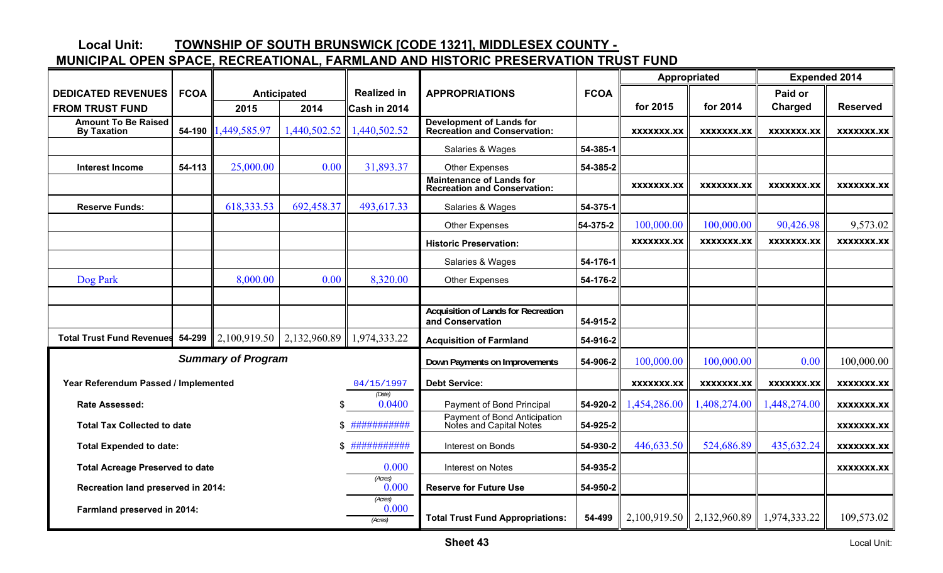# **Local Unit: TOWNSHIP OF SOUTH BRUNSWICK [CODE 1321], MIDDLESEX COUNTY -**

# **MUNICIPAL OPEN SPACE, RECREATIONAL, FARMLAND AND HISTORIC PRESERVATION TRUST FUND**

|                                                  |             |                           |                                                             |                             |                                                                        |             | Appropriated      |              | <b>Expended 2014</b> |                   |  |
|--------------------------------------------------|-------------|---------------------------|-------------------------------------------------------------|-----------------------------|------------------------------------------------------------------------|-------------|-------------------|--------------|----------------------|-------------------|--|
| <b>DEDICATED REVENUES</b>                        | <b>FCOA</b> |                           | Anticipated                                                 | <b>Realized in</b>          | <b>APPROPRIATIONS</b>                                                  | <b>FCOA</b> |                   |              | Paid or              |                   |  |
| <b>FROM TRUST FUND</b>                           |             | 2015                      | 2014                                                        | Cash in 2014                |                                                                        |             | for 2015          | for 2014     | Charged              | <b>Reserved</b>   |  |
| <b>Amount To Be Raised</b><br><b>By Taxation</b> | 54-190      | ,449,585.97               | ,440,502.52                                                 | 440,502.52                  | <b>Development of Lands for</b><br><b>Recreation and Conservation:</b> |             | XXXXXXX.XX        | XXXXXXX.XX   | XXXXXXX.XX           | <b>XXXXXXX.XX</b> |  |
|                                                  |             |                           |                                                             |                             | Salaries & Wages                                                       | 54-385-1    |                   |              |                      |                   |  |
| <b>Interest Income</b>                           | 54-113      | 25,000.00                 | 0.00                                                        | 31,893.37                   | <b>Other Expenses</b>                                                  | 54-385-2    |                   |              |                      |                   |  |
|                                                  |             |                           |                                                             |                             | <b>Maintenance of Lands for</b><br><b>Recreation and Conservation:</b> |             | <b>XXXXXXX.XX</b> | XXXXXXX.XX   | XXXXXXX.XX           | XXXXXXX.XX        |  |
| <b>Reserve Funds:</b>                            |             | 618, 333.53               | 692,458.37                                                  | 493,617.33                  | Salaries & Wages                                                       | 54-375-1    |                   |              |                      |                   |  |
|                                                  |             |                           |                                                             |                             | <b>Other Expenses</b>                                                  | 54-375-2    | 100,000.00        | 100,000.00   | 90,426.98            | 9,573.02          |  |
|                                                  |             |                           |                                                             |                             | <b>Historic Preservation:</b>                                          |             | <b>XXXXXXX.XX</b> | XXXXXXX.XX   | XXXXXXX.XX           | XXXXXXX.XX        |  |
|                                                  |             |                           |                                                             |                             | Salaries & Wages                                                       | 54-176-1    |                   |              |                      |                   |  |
| Dog Park                                         |             | 8,000.00                  | 0.00                                                        | 8,320.00                    | <b>Other Expenses</b>                                                  | 54-176-2    |                   |              |                      |                   |  |
|                                                  |             |                           |                                                             |                             |                                                                        |             |                   |              |                      |                   |  |
|                                                  |             |                           |                                                             |                             | <b>Acquisition of Lands for Recreation</b><br>and Conservation         | 54-915-2    |                   |              |                      |                   |  |
| <b>Total Trust Fund Revenues</b>                 | $54 - 299$  |                           | $\mid$ 2,100,919.50 $\mid$ 2,132,960.89 $\mid$ 1,974,333.22 |                             | <b>Acquisition of Farmland</b>                                         | 54-916-2    |                   |              |                      |                   |  |
|                                                  |             | <b>Summary of Program</b> |                                                             |                             | Down Payments on Improvements                                          | 54-906-2    | 100,000.00        | 100,000.00   | 0.00                 | 100,000.00        |  |
| Year Referendum Passed / Implemented             |             |                           |                                                             | 04/15/1997                  | <b>Debt Service:</b>                                                   |             | <b>XXXXXXX.XX</b> | XXXXXXX.XX   | XXXXXXX.XX           | <b>XXXXXXX.XX</b> |  |
| <b>Rate Assessed:</b>                            |             |                           | \$                                                          | (Date)<br>0.0400            | Payment of Bond Principal                                              | 54-920-2    | 1,454,286.00      | 1,408,274.00 | 1,448,274.00         | <b>XXXXXXX.XX</b> |  |
| <b>Total Tax Collected to date</b>               |             |                           |                                                             | ############                | Payment of Bond Anticipation<br>Notes and Capital Notes                | 54-925-2    |                   |              |                      | <b>XXXXXXX.XX</b> |  |
| <b>Total Expended to date:</b>                   |             |                           | \$.                                                         | ############                | Interest on Bonds                                                      | 54-930-2    | 446,633.50        | 524,686.89   | 435,632.24           | XXXXXXX.XX        |  |
| <b>Total Acreage Preserved to date</b>           |             |                           |                                                             | 0.000                       | Interest on Notes                                                      | 54-935-2    |                   |              |                      | XXXXXXX.XX        |  |
| Recreation land preserved in 2014:               |             |                           |                                                             | (Acres)<br>0.000            | <b>Reserve for Future Use</b>                                          | 54-950-2    |                   |              |                      |                   |  |
| Farmland preserved in 2014:                      |             |                           |                                                             | (Acres)<br>0.000<br>(Acres) | <b>Total Trust Fund Appropriations:</b>                                | 54-499      | 2,100,919.50      | 2,132,960.89 | 1,974,333.22         | 109,573.02        |  |